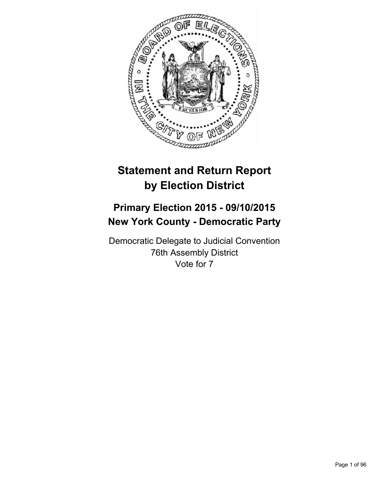

# **Statement and Return Report by Election District**

## **Primary Election 2015 - 09/10/2015 New York County - Democratic Party**

Democratic Delegate to Judicial Convention 76th Assembly District Vote for 7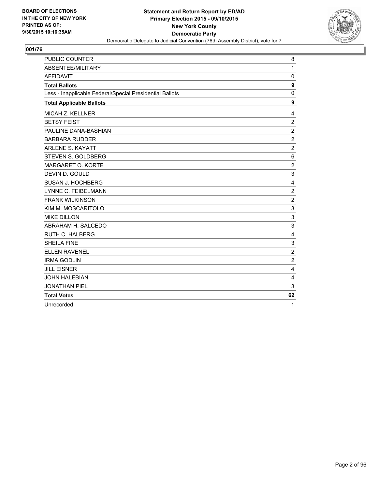

| PUBLIC COUNTER                                           | 8                |
|----------------------------------------------------------|------------------|
| ABSENTEE/MILITARY                                        | $\mathbf{1}$     |
| <b>AFFIDAVIT</b>                                         | $\mathbf 0$      |
| <b>Total Ballots</b>                                     | 9                |
| Less - Inapplicable Federal/Special Presidential Ballots | 0                |
| <b>Total Applicable Ballots</b>                          | 9                |
| <b>MICAH Z. KELLNER</b>                                  | 4                |
| <b>BETSY FEIST</b>                                       | $\overline{2}$   |
| PAULINE DANA-BASHIAN                                     | $\mathbf 2$      |
| <b>BARBARA RUDDER</b>                                    | $\overline{2}$   |
| <b>ARLENE S. KAYATT</b>                                  | $\overline{2}$   |
| STEVEN S. GOLDBERG                                       | 6                |
| MARGARET O. KORTE                                        | $\overline{c}$   |
| DEVIN D. GOULD                                           | 3                |
| SUSAN J. HOCHBERG                                        | 4                |
| <b>LYNNE C. FEIBELMANN</b>                               | $\boldsymbol{2}$ |
| <b>FRANK WILKINSON</b>                                   | $\overline{2}$   |
| KIM M. MOSCARITOLO                                       | 3                |
| <b>MIKE DILLON</b>                                       | 3                |
| ABRAHAM H. SALCEDO                                       | 3                |
| <b>RUTH C. HALBERG</b>                                   | 4                |
| <b>SHEILA FINE</b>                                       | 3                |
| <b>ELLEN RAVENEL</b>                                     | $\overline{2}$   |
| <b>IRMA GODLIN</b>                                       | $\overline{2}$   |
| <b>JILL EISNER</b>                                       | 4                |
| <b>JOHN HALEBIAN</b>                                     | 4                |
| <b>JONATHAN PIEL</b>                                     | 3                |
| <b>Total Votes</b>                                       | 62               |
| Unrecorded                                               | 1                |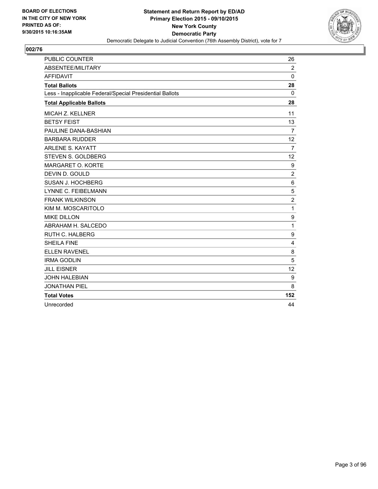

| <b>PUBLIC COUNTER</b>                                    | 26             |
|----------------------------------------------------------|----------------|
| <b>ABSENTEE/MILITARY</b>                                 | $\overline{2}$ |
| <b>AFFIDAVIT</b>                                         | $\Omega$       |
| <b>Total Ballots</b>                                     | 28             |
| Less - Inapplicable Federal/Special Presidential Ballots | 0              |
| <b>Total Applicable Ballots</b>                          | 28             |
| <b>MICAH Z. KELLNER</b>                                  | 11             |
| <b>BETSY FEIST</b>                                       | 13             |
| PAULINE DANA-BASHIAN                                     | $\overline{7}$ |
| <b>BARBARA RUDDER</b>                                    | 12             |
| <b>ARLENE S. KAYATT</b>                                  | $\overline{7}$ |
| STEVEN S. GOLDBERG                                       | 12             |
| MARGARET O. KORTE                                        | 9              |
| DEVIN D. GOULD                                           | 2              |
| SUSAN J. HOCHBERG                                        | 6              |
| LYNNE C. FEIBELMANN                                      | 5              |
| <b>FRANK WILKINSON</b>                                   | $\overline{2}$ |
| KIM M. MOSCARITOLO                                       | 1              |
| <b>MIKE DILLON</b>                                       | 9              |
| ABRAHAM H. SALCEDO                                       | 1              |
| <b>RUTH C. HALBERG</b>                                   | 9              |
| <b>SHEILA FINE</b>                                       | $\overline{4}$ |
| <b>ELLEN RAVENEL</b>                                     | 8              |
| <b>IRMA GODLIN</b>                                       | 5              |
| <b>JILL EISNER</b>                                       | 12             |
| <b>JOHN HALEBIAN</b>                                     | 9              |
| <b>JONATHAN PIEL</b>                                     | 8              |
| <b>Total Votes</b>                                       | 152            |
| Unrecorded                                               | 44             |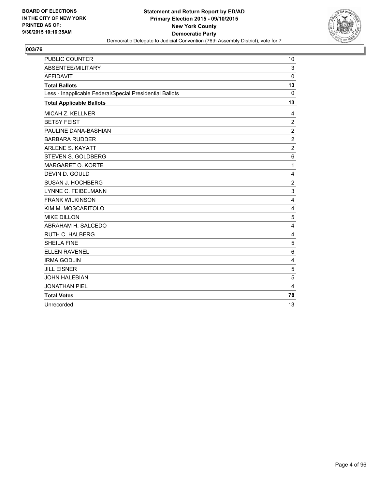

| <b>PUBLIC COUNTER</b>                                    | 10             |
|----------------------------------------------------------|----------------|
| <b>ABSENTEE/MILITARY</b>                                 | 3              |
| <b>AFFIDAVIT</b>                                         | 0              |
| <b>Total Ballots</b>                                     | 13             |
| Less - Inapplicable Federal/Special Presidential Ballots | 0              |
| <b>Total Applicable Ballots</b>                          | 13             |
| <b>MICAH Z. KELLNER</b>                                  | 4              |
| <b>BETSY FEIST</b>                                       | $\overline{2}$ |
| PAULINE DANA-BASHIAN                                     | $\overline{2}$ |
| <b>BARBARA RUDDER</b>                                    | $\overline{2}$ |
| <b>ARLENE S. KAYATT</b>                                  | $\overline{2}$ |
| STEVEN S. GOLDBERG                                       | 6              |
| MARGARET O. KORTE                                        | 1              |
| DEVIN D. GOULD                                           | 4              |
| SUSAN J. HOCHBERG                                        | $\overline{2}$ |
| <b>LYNNE C. FEIBELMANN</b>                               | 3              |
| <b>FRANK WILKINSON</b>                                   | 4              |
| KIM M. MOSCARITOLO                                       | 4              |
| <b>MIKE DILLON</b>                                       | 5              |
| ABRAHAM H. SALCEDO                                       | $\overline{4}$ |
| <b>RUTH C. HALBERG</b>                                   | 4              |
| <b>SHEILA FINE</b>                                       | 5              |
| <b>ELLEN RAVENEL</b>                                     | 6              |
| <b>IRMA GODLIN</b>                                       | 4              |
| <b>JILL EISNER</b>                                       | 5              |
| <b>JOHN HALEBIAN</b>                                     | 5              |
| <b>JONATHAN PIEL</b>                                     | 4              |
| <b>Total Votes</b>                                       | 78             |
| Unrecorded                                               | 13             |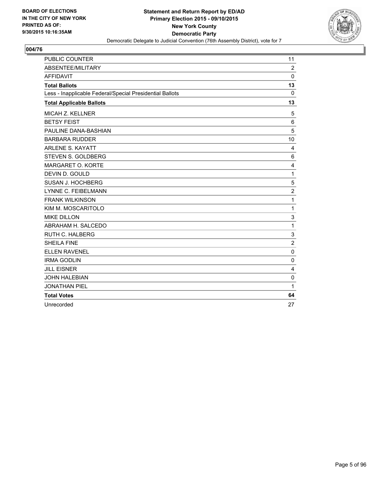

| <b>PUBLIC COUNTER</b>                                    | 11             |
|----------------------------------------------------------|----------------|
| ABSENTEE/MILITARY                                        | $\overline{2}$ |
| <b>AFFIDAVIT</b>                                         | $\Omega$       |
| <b>Total Ballots</b>                                     | 13             |
| Less - Inapplicable Federal/Special Presidential Ballots | 0              |
| <b>Total Applicable Ballots</b>                          | 13             |
| MICAH Z. KELLNER                                         | 5              |
| <b>BETSY FEIST</b>                                       | 6              |
| PAULINE DANA-BASHIAN                                     | 5              |
| <b>BARBARA RUDDER</b>                                    | 10             |
| <b>ARLENE S. KAYATT</b>                                  | 4              |
| STEVEN S. GOLDBERG                                       | 6              |
| MARGARET O. KORTE                                        | 4              |
| DEVIN D. GOULD                                           | 1              |
| SUSAN J. HOCHBERG                                        | 5              |
| <b>LYNNE C. FEIBELMANN</b>                               | $\overline{c}$ |
| <b>FRANK WILKINSON</b>                                   | 1              |
| KIM M. MOSCARITOLO                                       | 1              |
| <b>MIKE DILLON</b>                                       | 3              |
| ABRAHAM H. SALCEDO                                       | 1              |
| <b>RUTH C. HALBERG</b>                                   | 3              |
| <b>SHEILA FINE</b>                                       | $\overline{2}$ |
| <b>ELLEN RAVENEL</b>                                     | $\Omega$       |
| <b>IRMA GODLIN</b>                                       | 0              |
| <b>JILL EISNER</b>                                       | $\overline{4}$ |
| <b>JOHN HALEBIAN</b>                                     | $\mathbf 0$    |
| <b>JONATHAN PIEL</b>                                     | 1              |
| <b>Total Votes</b>                                       | 64             |
| Unrecorded                                               | 27             |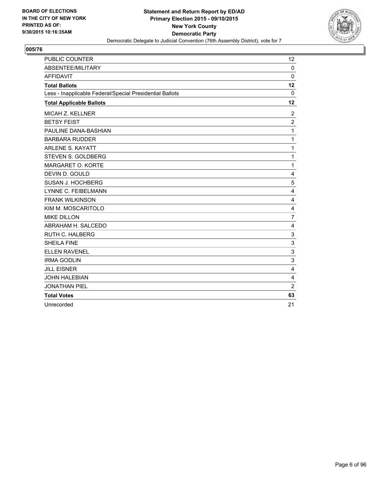

| <b>PUBLIC COUNTER</b>                                    | 12             |
|----------------------------------------------------------|----------------|
| <b>ABSENTEE/MILITARY</b>                                 | $\Omega$       |
| <b>AFFIDAVIT</b>                                         | 0              |
| <b>Total Ballots</b>                                     | 12             |
| Less - Inapplicable Federal/Special Presidential Ballots | $\mathbf{0}$   |
| <b>Total Applicable Ballots</b>                          | 12             |
| <b>MICAH Z. KELLNER</b>                                  | $\overline{2}$ |
| <b>BETSY FEIST</b>                                       | $\overline{2}$ |
| PAULINE DANA-BASHIAN                                     | 1              |
| <b>BARBARA RUDDER</b>                                    | 1              |
| <b>ARLENE S. KAYATT</b>                                  | 1              |
| STEVEN S. GOLDBERG                                       | 1              |
| MARGARET O. KORTE                                        | 1              |
| DEVIN D. GOULD                                           | 4              |
| SUSAN J. HOCHBERG                                        | 5              |
| <b>LYNNE C. FEIBELMANN</b>                               | $\overline{4}$ |
| <b>FRANK WILKINSON</b>                                   | 4              |
| KIM M. MOSCARITOLO                                       | $\overline{4}$ |
| <b>MIKE DILLON</b>                                       | $\overline{7}$ |
| ABRAHAM H. SALCEDO                                       | 4              |
| <b>RUTH C. HALBERG</b>                                   | 3              |
| <b>SHEILA FINE</b>                                       | 3              |
| <b>ELLEN RAVENEL</b>                                     | 3              |
| <b>IRMA GODLIN</b>                                       | 3              |
| <b>JILL EISNER</b>                                       | $\overline{4}$ |
| <b>JOHN HALEBIAN</b>                                     | $\overline{4}$ |
| <b>JONATHAN PIEL</b>                                     | $\overline{2}$ |
| <b>Total Votes</b>                                       | 63             |
| Unrecorded                                               | 21             |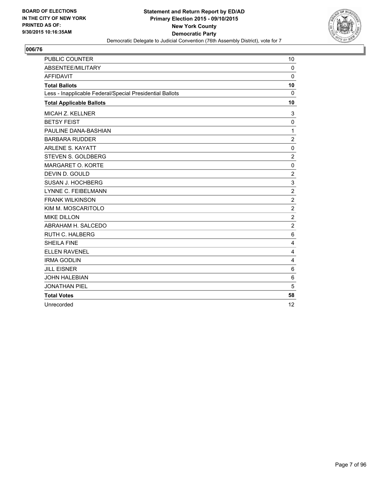

| <b>PUBLIC COUNTER</b>                                    | 10             |
|----------------------------------------------------------|----------------|
| ABSENTEE/MILITARY                                        | $\mathbf 0$    |
| <b>AFFIDAVIT</b>                                         | $\Omega$       |
| <b>Total Ballots</b>                                     | 10             |
| Less - Inapplicable Federal/Special Presidential Ballots | 0              |
| <b>Total Applicable Ballots</b>                          | 10             |
| MICAH Z. KELLNER                                         | 3              |
| <b>BETSY FEIST</b>                                       | 0              |
| PAULINE DANA-BASHIAN                                     | 1              |
| <b>BARBARA RUDDER</b>                                    | 2              |
| <b>ARLENE S. KAYATT</b>                                  | $\mathbf 0$    |
| STEVEN S. GOLDBERG                                       | $\overline{2}$ |
| MARGARET O. KORTE                                        | 0              |
| DEVIN D. GOULD                                           | $\overline{2}$ |
| SUSAN J. HOCHBERG                                        | 3              |
| <b>LYNNE C. FEIBELMANN</b>                               | $\overline{2}$ |
| <b>FRANK WILKINSON</b>                                   | $\overline{2}$ |
| KIM M. MOSCARITOLO                                       | $\overline{2}$ |
| <b>MIKE DILLON</b>                                       | $\overline{2}$ |
| ABRAHAM H. SALCEDO                                       | $\overline{c}$ |
| <b>RUTH C. HALBERG</b>                                   | 6              |
| <b>SHEILA FINE</b>                                       | 4              |
| <b>ELLEN RAVENEL</b>                                     | 4              |
| <b>IRMA GODLIN</b>                                       | 4              |
| <b>JILL EISNER</b>                                       | 6              |
| <b>JOHN HALEBIAN</b>                                     | 6              |
| <b>JONATHAN PIEL</b>                                     | 5              |
| <b>Total Votes</b>                                       | 58             |
| Unrecorded                                               | 12             |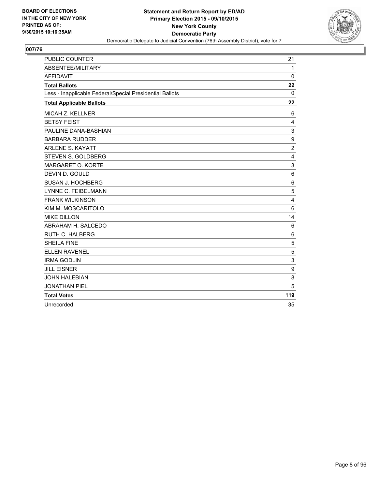

| <b>PUBLIC COUNTER</b>                                    | 21             |
|----------------------------------------------------------|----------------|
| ABSENTEE/MILITARY                                        | $\mathbf{1}$   |
| <b>AFFIDAVIT</b>                                         | 0              |
| <b>Total Ballots</b>                                     | 22             |
| Less - Inapplicable Federal/Special Presidential Ballots | 0              |
| <b>Total Applicable Ballots</b>                          | 22             |
| MICAH Z. KELLNER                                         | 6              |
| <b>BETSY FEIST</b>                                       | $\overline{4}$ |
| PAULINE DANA-BASHIAN                                     | 3              |
| <b>BARBARA RUDDER</b>                                    | 9              |
| <b>ARLENE S. KAYATT</b>                                  | $\overline{c}$ |
| STEVEN S. GOLDBERG                                       | 4              |
| MARGARET O. KORTE                                        | 3              |
| DEVIN D. GOULD                                           | 6              |
| SUSAN J. HOCHBERG                                        | 6              |
| LYNNE C. FEIBELMANN                                      | 5              |
| <b>FRANK WILKINSON</b>                                   | 4              |
| KIM M. MOSCARITOLO                                       | 6              |
| <b>MIKE DILLON</b>                                       | 14             |
| ABRAHAM H. SALCEDO                                       | 6              |
| <b>RUTH C. HALBERG</b>                                   | 6              |
| <b>SHEILA FINE</b>                                       | 5              |
| <b>ELLEN RAVENEL</b>                                     | 5              |
| <b>IRMA GODLIN</b>                                       | 3              |
| <b>JILL EISNER</b>                                       | 9              |
| <b>JOHN HALEBIAN</b>                                     | 8              |
| <b>JONATHAN PIEL</b>                                     | 5              |
| <b>Total Votes</b>                                       | 119            |
| Unrecorded                                               | 35             |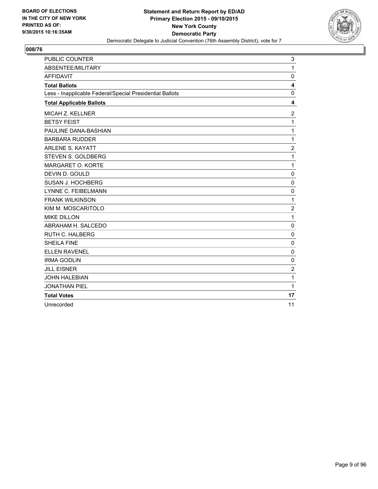

| <b>PUBLIC COUNTER</b>                                    | 3              |
|----------------------------------------------------------|----------------|
| ABSENTEE/MILITARY                                        | $\mathbf{1}$   |
| <b>AFFIDAVIT</b>                                         | 0              |
| <b>Total Ballots</b>                                     | 4              |
| Less - Inapplicable Federal/Special Presidential Ballots | 0              |
| <b>Total Applicable Ballots</b>                          | 4              |
| MICAH Z. KELLNER                                         | 2              |
| <b>BETSY FEIST</b>                                       | 1              |
| PAULINE DANA-BASHIAN                                     | 1              |
| <b>BARBARA RUDDER</b>                                    | 1              |
| <b>ARLENE S. KAYATT</b>                                  | $\overline{c}$ |
| <b>STEVEN S. GOLDBERG</b>                                | 1              |
| MARGARET O. KORTE                                        | 1              |
| DEVIN D. GOULD                                           | $\mathbf 0$    |
| SUSAN J. HOCHBERG                                        | $\mathbf 0$    |
| LYNNE C. FEIBELMANN                                      | $\mathbf 0$    |
| <b>FRANK WILKINSON</b>                                   | 1              |
| KIM M. MOSCARITOLO                                       | $\overline{c}$ |
| <b>MIKE DILLON</b>                                       | 1              |
| ABRAHAM H. SALCEDO                                       | 0              |
| <b>RUTH C. HALBERG</b>                                   | 0              |
| <b>SHEILA FINE</b>                                       | 0              |
| <b>ELLEN RAVENEL</b>                                     | $\Omega$       |
| <b>IRMA GODLIN</b>                                       | 0              |
| <b>JILL EISNER</b>                                       | 2              |
| <b>JOHN HALEBIAN</b>                                     | 1              |
| <b>JONATHAN PIEL</b>                                     | 1              |
| <b>Total Votes</b>                                       | 17             |
| Unrecorded                                               | 11             |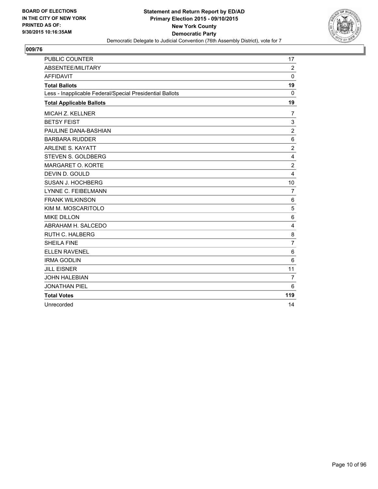

| <b>PUBLIC COUNTER</b>                                    | 17             |
|----------------------------------------------------------|----------------|
| ABSENTEE/MILITARY                                        | 2              |
| <b>AFFIDAVIT</b>                                         | 0              |
| <b>Total Ballots</b>                                     | 19             |
| Less - Inapplicable Federal/Special Presidential Ballots | 0              |
| <b>Total Applicable Ballots</b>                          | 19             |
| <b>MICAH Z. KELLNER</b>                                  | 7              |
| <b>BETSY FEIST</b>                                       | 3              |
| PAULINE DANA-BASHIAN                                     | $\overline{2}$ |
| <b>BARBARA RUDDER</b>                                    | $\,6$          |
| <b>ARLENE S. KAYATT</b>                                  | $\overline{2}$ |
| STEVEN S. GOLDBERG                                       | 4              |
| MARGARET O. KORTE                                        | $\overline{2}$ |
| DEVIN D. GOULD                                           | 4              |
| SUSAN J. HOCHBERG                                        | 10             |
| LYNNE C. FEIBELMANN                                      | 7              |
| <b>FRANK WILKINSON</b>                                   | 6              |
| KIM M. MOSCARITOLO                                       | 5              |
| <b>MIKE DILLON</b>                                       | 6              |
| ABRAHAM H. SALCEDO                                       | 4              |
| <b>RUTH C. HALBERG</b>                                   | 8              |
| <b>SHEILA FINE</b>                                       | $\overline{7}$ |
| <b>ELLEN RAVENEL</b>                                     | 6              |
| <b>IRMA GODLIN</b>                                       | 6              |
| <b>JILL EISNER</b>                                       | 11             |
| <b>JOHN HALEBIAN</b>                                     | $\overline{7}$ |
| <b>JONATHAN PIEL</b>                                     | 6              |
| <b>Total Votes</b>                                       | 119            |
| Unrecorded                                               | 14             |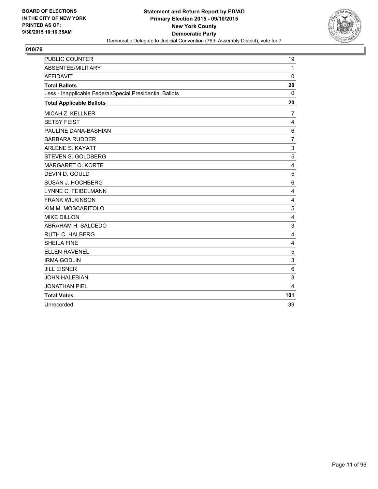

| <b>PUBLIC COUNTER</b>                                    | 19             |
|----------------------------------------------------------|----------------|
| <b>ABSENTEE/MILITARY</b>                                 | $\mathbf{1}$   |
| <b>AFFIDAVIT</b>                                         | $\Omega$       |
| <b>Total Ballots</b>                                     | 20             |
| Less - Inapplicable Federal/Special Presidential Ballots | 0              |
| <b>Total Applicable Ballots</b>                          | 20             |
| <b>MICAH Z. KELLNER</b>                                  | 7              |
| <b>BETSY FEIST</b>                                       | 4              |
| PAULINE DANA-BASHIAN                                     | $\,6$          |
| <b>BARBARA RUDDER</b>                                    | $\overline{7}$ |
| <b>ARLENE S. KAYATT</b>                                  | 3              |
| STEVEN S. GOLDBERG                                       | 5              |
| MARGARET O. KORTE                                        | 4              |
| DEVIN D. GOULD                                           | 5              |
| SUSAN J. HOCHBERG                                        | 6              |
| LYNNE C. FEIBELMANN                                      | 4              |
| <b>FRANK WILKINSON</b>                                   | $\overline{4}$ |
| KIM M. MOSCARITOLO                                       | 5              |
| <b>MIKE DILLON</b>                                       | 4              |
| ABRAHAM H. SALCEDO                                       | 3              |
| <b>RUTH C. HALBERG</b>                                   | 4              |
| <b>SHEILA FINE</b>                                       | $\overline{4}$ |
| <b>ELLEN RAVENEL</b>                                     | 5              |
| <b>IRMA GODLIN</b>                                       | 3              |
| <b>JILL EISNER</b>                                       | 6              |
| <b>JOHN HALEBIAN</b>                                     | 8              |
| <b>JONATHAN PIEL</b>                                     | 4              |
| <b>Total Votes</b>                                       | 101            |
| Unrecorded                                               | 39             |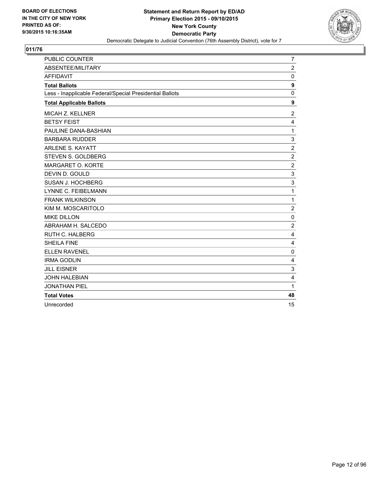

| <b>PUBLIC COUNTER</b>                                    | 7                |
|----------------------------------------------------------|------------------|
| <b>ABSENTEE/MILITARY</b>                                 | $\overline{2}$   |
| <b>AFFIDAVIT</b>                                         | 0                |
| <b>Total Ballots</b>                                     | $\boldsymbol{9}$ |
| Less - Inapplicable Federal/Special Presidential Ballots | 0                |
| <b>Total Applicable Ballots</b>                          | $\boldsymbol{9}$ |
| <b>MICAH Z. KELLNER</b>                                  | 2                |
| <b>BETSY FEIST</b>                                       | 4                |
| PAULINE DANA-BASHIAN                                     | 1                |
| <b>BARBARA RUDDER</b>                                    | 3                |
| <b>ARLENE S. KAYATT</b>                                  | $\overline{2}$   |
| STEVEN S. GOLDBERG                                       | $\overline{2}$   |
| MARGARET O. KORTE                                        | $\overline{c}$   |
| DEVIN D. GOULD                                           | 3                |
| SUSAN J. HOCHBERG                                        | 3                |
| LYNNE C. FEIBELMANN                                      | 1                |
| <b>FRANK WILKINSON</b>                                   | 1                |
| KIM M. MOSCARITOLO                                       | $\overline{c}$   |
| <b>MIKE DILLON</b>                                       | 0                |
| ABRAHAM H. SALCEDO                                       | $\overline{c}$   |
| <b>RUTH C. HALBERG</b>                                   | 4                |
| <b>SHEILA FINE</b>                                       | 4                |
| <b>ELLEN RAVENEL</b>                                     | $\mathbf 0$      |
| <b>IRMA GODLIN</b>                                       | 4                |
| <b>JILL EISNER</b>                                       | 3                |
| <b>JOHN HALEBIAN</b>                                     | $\overline{4}$   |
| <b>JONATHAN PIEL</b>                                     | 1                |
| <b>Total Votes</b>                                       | 48               |
| Unrecorded                                               | 15               |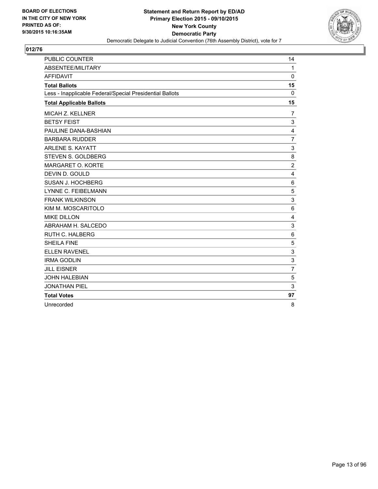

| <b>PUBLIC COUNTER</b>                                    | 14             |
|----------------------------------------------------------|----------------|
| <b>ABSENTEE/MILITARY</b>                                 | $\mathbf{1}$   |
| <b>AFFIDAVIT</b>                                         | 0              |
| <b>Total Ballots</b>                                     | 15             |
| Less - Inapplicable Federal/Special Presidential Ballots | $\mathbf{0}$   |
| <b>Total Applicable Ballots</b>                          | 15             |
| <b>MICAH Z. KELLNER</b>                                  | 7              |
| <b>BETSY FEIST</b>                                       | 3              |
| PAULINE DANA-BASHIAN                                     | 4              |
| <b>BARBARA RUDDER</b>                                    | $\overline{7}$ |
| <b>ARLENE S. KAYATT</b>                                  | 3              |
| STEVEN S. GOLDBERG                                       | 8              |
| MARGARET O. KORTE                                        | $\overline{c}$ |
| DEVIN D. GOULD                                           | 4              |
| SUSAN J. HOCHBERG                                        | 6              |
| <b>LYNNE C. FEIBELMANN</b>                               | 5              |
| <b>FRANK WILKINSON</b>                                   | 3              |
| KIM M. MOSCARITOLO                                       | $6\phantom{1}$ |
| <b>MIKE DILLON</b>                                       | 4              |
| ABRAHAM H. SALCEDO                                       | 3              |
| <b>RUTH C. HALBERG</b>                                   | 6              |
| <b>SHEILA FINE</b>                                       | 5              |
| <b>ELLEN RAVENEL</b>                                     | 3              |
| <b>IRMA GODLIN</b>                                       | 3              |
| <b>JILL EISNER</b>                                       | $\overline{7}$ |
| <b>JOHN HALEBIAN</b>                                     | 5              |
| <b>JONATHAN PIEL</b>                                     | 3              |
| <b>Total Votes</b>                                       | 97             |
| Unrecorded                                               | 8              |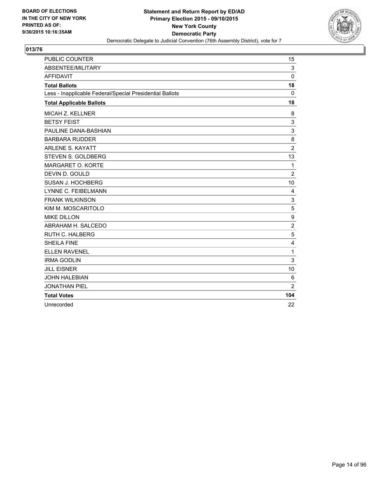

| <b>PUBLIC COUNTER</b>                                    | 15             |
|----------------------------------------------------------|----------------|
| ABSENTEE/MILITARY                                        | 3              |
| <b>AFFIDAVIT</b>                                         | 0              |
| <b>Total Ballots</b>                                     | 18             |
| Less - Inapplicable Federal/Special Presidential Ballots | 0              |
| <b>Total Applicable Ballots</b>                          | 18             |
| <b>MICAH Z. KELLNER</b>                                  | 8              |
| <b>BETSY FEIST</b>                                       | 3              |
| PAULINE DANA-BASHIAN                                     | 3              |
| <b>BARBARA RUDDER</b>                                    | 8              |
| <b>ARLENE S. KAYATT</b>                                  | $\overline{2}$ |
| STEVEN S. GOLDBERG                                       | 13             |
| MARGARET O. KORTE                                        | 1              |
| DEVIN D. GOULD                                           | $\overline{2}$ |
| <b>SUSAN J. HOCHBERG</b>                                 | 10             |
| LYNNE C. FEIBELMANN                                      | 4              |
| <b>FRANK WILKINSON</b>                                   | 3              |
| KIM M. MOSCARITOLO                                       | 5              |
| <b>MIKE DILLON</b>                                       | 9              |
| ABRAHAM H. SALCEDO                                       | $\overline{2}$ |
| <b>RUTH C. HALBERG</b>                                   | 5              |
| <b>SHEILA FINE</b>                                       | 4              |
| <b>ELLEN RAVENEL</b>                                     | 1              |
| <b>IRMA GODLIN</b>                                       | 3              |
| <b>JILL EISNER</b>                                       | 10             |
| <b>JOHN HALEBIAN</b>                                     | 6              |
| <b>JONATHAN PIEL</b>                                     | $\overline{2}$ |
| <b>Total Votes</b>                                       | 104            |
| Unrecorded                                               | 22             |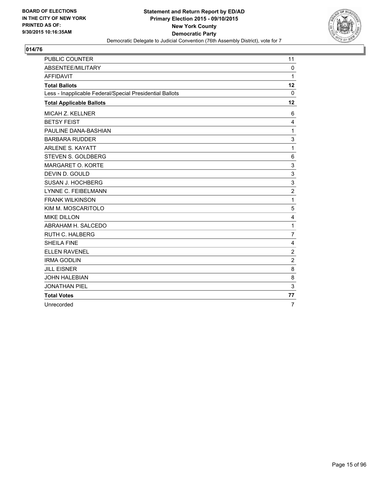

| <b>PUBLIC COUNTER</b>                                    | 11             |
|----------------------------------------------------------|----------------|
| ABSENTEE/MILITARY                                        | $\Omega$       |
| <b>AFFIDAVIT</b>                                         | 1              |
| <b>Total Ballots</b>                                     | 12             |
| Less - Inapplicable Federal/Special Presidential Ballots | 0              |
| <b>Total Applicable Ballots</b>                          | 12             |
| <b>MICAH Z. KELLNER</b>                                  | 6              |
| <b>BETSY FEIST</b>                                       | 4              |
| PAULINE DANA-BASHIAN                                     | 1              |
| <b>BARBARA RUDDER</b>                                    | 3              |
| <b>ARLENE S. KAYATT</b>                                  | 1              |
| STEVEN S. GOLDBERG                                       | 6              |
| MARGARET O. KORTE                                        | 3              |
| DEVIN D. GOULD                                           | 3              |
| SUSAN J. HOCHBERG                                        | 3              |
| LYNNE C. FEIBELMANN                                      | $\overline{2}$ |
| <b>FRANK WILKINSON</b>                                   | 1              |
| KIM M. MOSCARITOLO                                       | 5              |
| <b>MIKE DILLON</b>                                       | 4              |
| ABRAHAM H. SALCEDO                                       | 1              |
| <b>RUTH C. HALBERG</b>                                   | $\overline{7}$ |
| <b>SHEILA FINE</b>                                       | $\overline{4}$ |
| <b>ELLEN RAVENEL</b>                                     | $\overline{2}$ |
| <b>IRMA GODLIN</b>                                       | $\overline{2}$ |
| <b>JILL EISNER</b>                                       | 8              |
| <b>JOHN HALEBIAN</b>                                     | 8              |
| <b>JONATHAN PIEL</b>                                     | 3              |
| <b>Total Votes</b>                                       | 77             |
| Unrecorded                                               | $\overline{7}$ |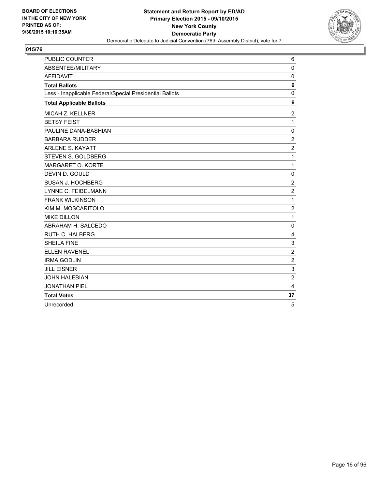

| <b>PUBLIC COUNTER</b>                                    | 6              |
|----------------------------------------------------------|----------------|
| ABSENTEE/MILITARY                                        | $\Omega$       |
| <b>AFFIDAVIT</b>                                         | $\mathbf 0$    |
| <b>Total Ballots</b>                                     | 6              |
| Less - Inapplicable Federal/Special Presidential Ballots | 0              |
| <b>Total Applicable Ballots</b>                          | 6              |
| <b>MICAH Z. KELLNER</b>                                  | 2              |
| <b>BETSY FEIST</b>                                       | 1              |
| PAULINE DANA-BASHIAN                                     | 0              |
| <b>BARBARA RUDDER</b>                                    | $\overline{2}$ |
| <b>ARLENE S. KAYATT</b>                                  | $\overline{2}$ |
| STEVEN S. GOLDBERG                                       | 1              |
| MARGARET O. KORTE                                        | 1              |
| DEVIN D. GOULD                                           | 0              |
| SUSAN J. HOCHBERG                                        | $\overline{2}$ |
| LYNNE C. FEIBELMANN                                      | $\overline{2}$ |
| <b>FRANK WILKINSON</b>                                   | 1              |
| KIM M. MOSCARITOLO                                       | $\overline{2}$ |
| <b>MIKE DILLON</b>                                       | 1              |
| ABRAHAM H. SALCEDO                                       | $\Omega$       |
| <b>RUTH C. HALBERG</b>                                   | 4              |
| <b>SHEILA FINE</b>                                       | 3              |
| <b>ELLEN RAVENEL</b>                                     | $\overline{2}$ |
| <b>IRMA GODLIN</b>                                       | $\overline{c}$ |
| <b>JILL EISNER</b>                                       | 3              |
| <b>JOHN HALEBIAN</b>                                     | $\overline{2}$ |
| <b>JONATHAN PIEL</b>                                     | 4              |
| <b>Total Votes</b>                                       | 37             |
| Unrecorded                                               | 5              |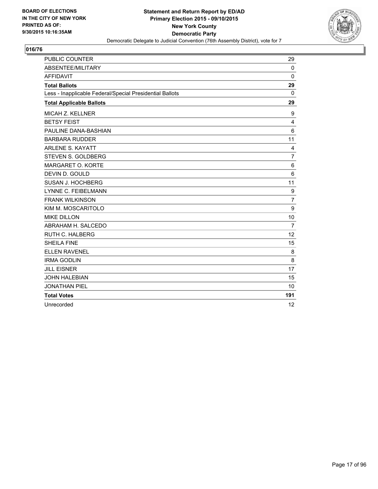

| <b>PUBLIC COUNTER</b>                                    | 29             |
|----------------------------------------------------------|----------------|
| ABSENTEE/MILITARY                                        | $\Omega$       |
| <b>AFFIDAVIT</b>                                         | $\mathbf{0}$   |
| <b>Total Ballots</b>                                     | 29             |
| Less - Inapplicable Federal/Special Presidential Ballots | 0              |
| <b>Total Applicable Ballots</b>                          | 29             |
| MICAH Z. KELLNER                                         | 9              |
| <b>BETSY FEIST</b>                                       | 4              |
| PAULINE DANA-BASHIAN                                     | 6              |
| <b>BARBARA RUDDER</b>                                    | 11             |
| <b>ARLENE S. KAYATT</b>                                  | $\overline{4}$ |
| STEVEN S. GOLDBERG                                       | $\overline{7}$ |
| MARGARET O. KORTE                                        | 6              |
| DEVIN D. GOULD                                           | 6              |
| SUSAN J. HOCHBERG                                        | 11             |
| <b>LYNNE C. FEIBELMANN</b>                               | 9              |
| <b>FRANK WILKINSON</b>                                   | $\overline{7}$ |
| KIM M. MOSCARITOLO                                       | 9              |
| <b>MIKE DILLON</b>                                       | 10             |
| ABRAHAM H. SALCEDO                                       | $\overline{7}$ |
| <b>RUTH C. HALBERG</b>                                   | 12             |
| <b>SHEILA FINE</b>                                       | 15             |
| <b>ELLEN RAVENEL</b>                                     | 8              |
| <b>IRMA GODLIN</b>                                       | 8              |
| <b>JILL EISNER</b>                                       | 17             |
| <b>JOHN HALEBIAN</b>                                     | 15             |
| <b>JONATHAN PIEL</b>                                     | 10             |
| <b>Total Votes</b>                                       | 191            |
| Unrecorded                                               | 12             |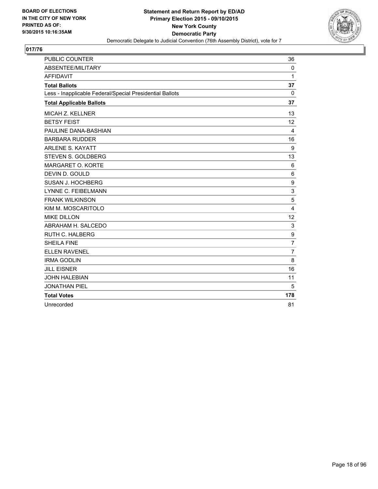

| <b>PUBLIC COUNTER</b>                                    | 36             |
|----------------------------------------------------------|----------------|
| <b>ABSENTEE/MILITARY</b>                                 | $\mathbf{0}$   |
| <b>AFFIDAVIT</b>                                         | 1              |
| <b>Total Ballots</b>                                     | 37             |
| Less - Inapplicable Federal/Special Presidential Ballots | $\mathbf{0}$   |
| <b>Total Applicable Ballots</b>                          | 37             |
| <b>MICAH Z. KELLNER</b>                                  | 13             |
| <b>BETSY FEIST</b>                                       | 12             |
| PAULINE DANA-BASHIAN                                     | 4              |
| <b>BARBARA RUDDER</b>                                    | 16             |
| <b>ARLENE S. KAYATT</b>                                  | 9              |
| STEVEN S. GOLDBERG                                       | 13             |
| MARGARET O. KORTE                                        | 6              |
| DEVIN D. GOULD                                           | 6              |
| SUSAN J. HOCHBERG                                        | 9              |
| <b>LYNNE C. FEIBELMANN</b>                               | 3              |
| <b>FRANK WILKINSON</b>                                   | 5              |
| KIM M. MOSCARITOLO                                       | 4              |
| <b>MIKE DILLON</b>                                       | 12             |
| ABRAHAM H. SALCEDO                                       | 3              |
| RUTH C. HALBERG                                          | 9              |
| <b>SHEILA FINE</b>                                       | $\overline{7}$ |
| <b>ELLEN RAVENEL</b>                                     | $\overline{7}$ |
| <b>IRMA GODLIN</b>                                       | 8              |
| <b>JILL EISNER</b>                                       | 16             |
| <b>JOHN HALEBIAN</b>                                     | 11             |
| <b>JONATHAN PIEL</b>                                     | 5              |
| <b>Total Votes</b>                                       | 178            |
| Unrecorded                                               | 81             |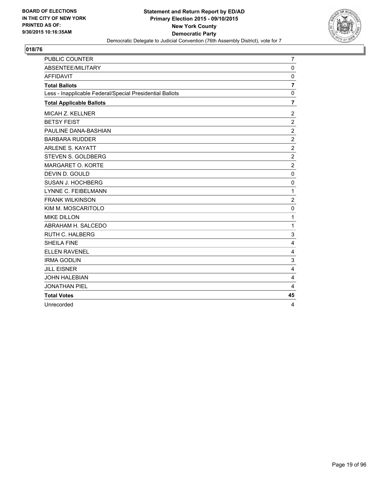

| <b>PUBLIC COUNTER</b>                                    | $\overline{7}$ |
|----------------------------------------------------------|----------------|
| <b>ABSENTEE/MILITARY</b>                                 | $\Omega$       |
| <b>AFFIDAVIT</b>                                         | $\mathbf 0$    |
| <b>Total Ballots</b>                                     | $\overline{7}$ |
| Less - Inapplicable Federal/Special Presidential Ballots | $\Omega$       |
| <b>Total Applicable Ballots</b>                          | $\overline{7}$ |
| MICAH Z. KELLNER                                         | 2              |
| <b>BETSY FEIST</b>                                       | $\overline{2}$ |
| PAULINE DANA-BASHIAN                                     | $\overline{2}$ |
| <b>BARBARA RUDDER</b>                                    | $\overline{2}$ |
| <b>ARLENE S. KAYATT</b>                                  | $\overline{2}$ |
| STEVEN S. GOLDBERG                                       | $\overline{2}$ |
| MARGARET O. KORTE                                        | $\overline{2}$ |
| DEVIN D. GOULD                                           | $\mathbf 0$    |
| SUSAN J. HOCHBERG                                        | $\Omega$       |
| LYNNE C. FEIBELMANN                                      | 1              |
| <b>FRANK WILKINSON</b>                                   | $\overline{c}$ |
| KIM M. MOSCARITOLO                                       | $\mathbf 0$    |
| <b>MIKE DILLON</b>                                       | 1              |
| ABRAHAM H. SALCEDO                                       | 1              |
| <b>RUTH C. HALBERG</b>                                   | 3              |
| <b>SHEILA FINE</b>                                       | 4              |
| <b>ELLEN RAVENEL</b>                                     | 4              |
| <b>IRMA GODLIN</b>                                       | 3              |
| <b>JILL EISNER</b>                                       | $\overline{4}$ |
| <b>JOHN HALEBIAN</b>                                     | 4              |
| <b>JONATHAN PIEL</b>                                     | 4              |
| <b>Total Votes</b>                                       | 45             |
| Unrecorded                                               | 4              |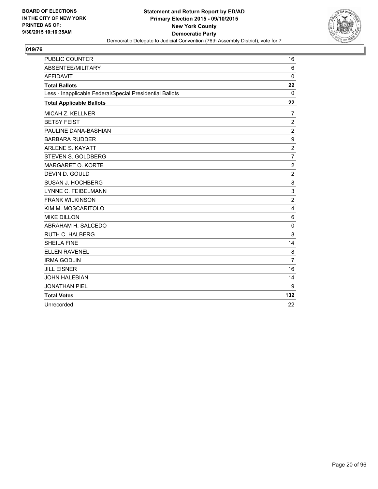

| <b>PUBLIC COUNTER</b>                                    | 16             |
|----------------------------------------------------------|----------------|
| ABSENTEE/MILITARY                                        | 6              |
| <b>AFFIDAVIT</b>                                         | $\Omega$       |
| <b>Total Ballots</b>                                     | 22             |
| Less - Inapplicable Federal/Special Presidential Ballots | 0              |
| <b>Total Applicable Ballots</b>                          | 22             |
| MICAH Z. KELLNER                                         | 7              |
| <b>BETSY FEIST</b>                                       | $\overline{2}$ |
| PAULINE DANA-BASHIAN                                     | $\overline{2}$ |
| <b>BARBARA RUDDER</b>                                    | 9              |
| <b>ARLENE S. KAYATT</b>                                  | $\overline{2}$ |
| STEVEN S. GOLDBERG                                       | $\overline{7}$ |
| MARGARET O. KORTE                                        | $\overline{2}$ |
| DEVIN D. GOULD                                           | $\overline{2}$ |
| SUSAN J. HOCHBERG                                        | 8              |
| <b>LYNNE C. FEIBELMANN</b>                               | 3              |
| <b>FRANK WILKINSON</b>                                   | $\overline{2}$ |
| KIM M. MOSCARITOLO                                       | 4              |
| <b>MIKE DILLON</b>                                       | 6              |
| ABRAHAM H. SALCEDO                                       | $\mathbf 0$    |
| <b>RUTH C. HALBERG</b>                                   | 8              |
| <b>SHEILA FINE</b>                                       | 14             |
| <b>ELLEN RAVENEL</b>                                     | 8              |
| <b>IRMA GODLIN</b>                                       | $\overline{7}$ |
| <b>JILL EISNER</b>                                       | 16             |
| <b>JOHN HALEBIAN</b>                                     | 14             |
| <b>JONATHAN PIEL</b>                                     | 9              |
| <b>Total Votes</b>                                       | 132            |
| Unrecorded                                               | 22             |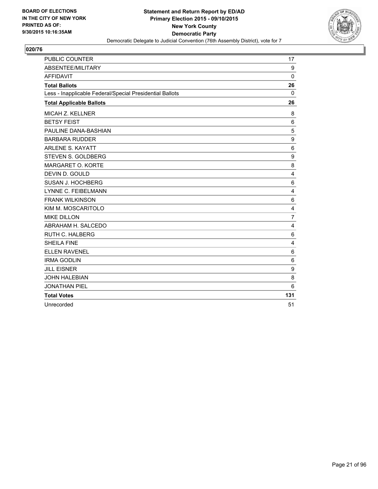

| <b>PUBLIC COUNTER</b>                                    | 17               |
|----------------------------------------------------------|------------------|
| <b>ABSENTEE/MILITARY</b>                                 | 9                |
| <b>AFFIDAVIT</b>                                         | $\mathbf 0$      |
| <b>Total Ballots</b>                                     | 26               |
| Less - Inapplicable Federal/Special Presidential Ballots | 0                |
| <b>Total Applicable Ballots</b>                          | 26               |
| <b>MICAH Z. KELLNER</b>                                  | 8                |
| <b>BETSY FEIST</b>                                       | $\,6$            |
| PAULINE DANA-BASHIAN                                     | 5                |
| <b>BARBARA RUDDER</b>                                    | 9                |
| <b>ARLENE S. KAYATT</b>                                  | 6                |
| STEVEN S. GOLDBERG                                       | 9                |
| MARGARET O. KORTE                                        | 8                |
| DEVIN D. GOULD                                           | $\overline{4}$   |
| SUSAN J. HOCHBERG                                        | 6                |
| LYNNE C. FEIBELMANN                                      | $\overline{4}$   |
| <b>FRANK WILKINSON</b>                                   | 6                |
| KIM M. MOSCARITOLO                                       | $\overline{4}$   |
| <b>MIKE DILLON</b>                                       | $\overline{7}$   |
| ABRAHAM H. SALCEDO                                       | 4                |
| <b>RUTH C. HALBERG</b>                                   | 6                |
| <b>SHEILA FINE</b>                                       | $\overline{4}$   |
| <b>ELLEN RAVENEL</b>                                     | $\,6$            |
| <b>IRMA GODLIN</b>                                       | 6                |
| <b>JILL EISNER</b>                                       | $\boldsymbol{9}$ |
| <b>JOHN HALEBIAN</b>                                     | 8                |
| <b>JONATHAN PIEL</b>                                     | 6                |
| <b>Total Votes</b>                                       | 131              |
| Unrecorded                                               | 51               |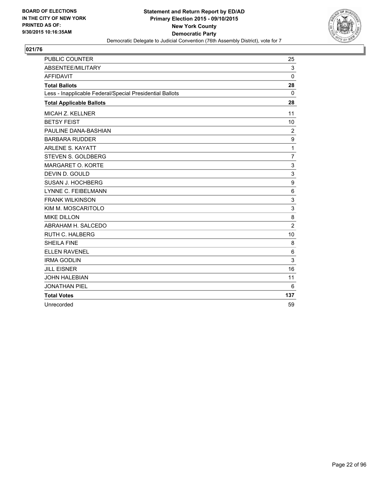

| <b>PUBLIC COUNTER</b>                                    | 25             |
|----------------------------------------------------------|----------------|
| <b>ABSENTEE/MILITARY</b>                                 | 3              |
| <b>AFFIDAVIT</b>                                         | 0              |
| <b>Total Ballots</b>                                     | 28             |
| Less - Inapplicable Federal/Special Presidential Ballots | 0              |
| <b>Total Applicable Ballots</b>                          | 28             |
| <b>MICAH Z. KELLNER</b>                                  | 11             |
| <b>BETSY FEIST</b>                                       | 10             |
| PAULINE DANA-BASHIAN                                     | $\overline{2}$ |
| <b>BARBARA RUDDER</b>                                    | 9              |
| <b>ARLENE S. KAYATT</b>                                  | 1              |
| STEVEN S. GOLDBERG                                       | $\overline{7}$ |
| MARGARET O. KORTE                                        | 3              |
| DEVIN D. GOULD                                           | 3              |
| SUSAN J. HOCHBERG                                        | 9              |
| <b>LYNNE C. FEIBELMANN</b>                               | 6              |
| <b>FRANK WILKINSON</b>                                   | 3              |
| KIM M. MOSCARITOLO                                       | 3              |
| <b>MIKE DILLON</b>                                       | 8              |
| ABRAHAM H. SALCEDO                                       | $\overline{2}$ |
| <b>RUTH C. HALBERG</b>                                   | 10             |
| <b>SHEILA FINE</b>                                       | 8              |
| <b>ELLEN RAVENEL</b>                                     | 6              |
| <b>IRMA GODLIN</b>                                       | 3              |
| <b>JILL EISNER</b>                                       | 16             |
| <b>JOHN HALEBIAN</b>                                     | 11             |
| <b>JONATHAN PIEL</b>                                     | 6              |
| <b>Total Votes</b>                                       | 137            |
| Unrecorded                                               | 59             |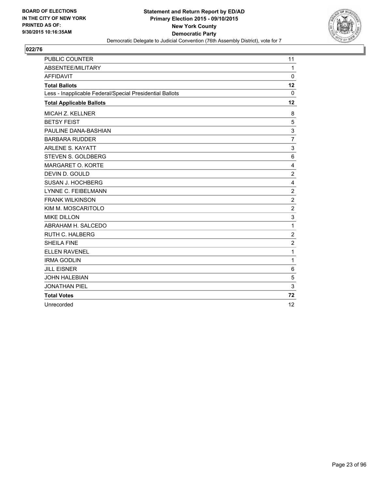

| <b>PUBLIC COUNTER</b>                                    | 11               |
|----------------------------------------------------------|------------------|
| ABSENTEE/MILITARY                                        | $\mathbf{1}$     |
| <b>AFFIDAVIT</b>                                         | 0                |
| <b>Total Ballots</b>                                     | 12               |
| Less - Inapplicable Federal/Special Presidential Ballots | $\mathbf{0}$     |
| <b>Total Applicable Ballots</b>                          | 12               |
| <b>MICAH Z. KELLNER</b>                                  | 8                |
| <b>BETSY FEIST</b>                                       | 5                |
| PAULINE DANA-BASHIAN                                     | 3                |
| <b>BARBARA RUDDER</b>                                    | $\overline{7}$   |
| <b>ARLENE S. KAYATT</b>                                  | 3                |
| STEVEN S. GOLDBERG                                       | 6                |
| MARGARET O. KORTE                                        | 4                |
| DEVIN D. GOULD                                           | $\overline{c}$   |
| SUSAN J. HOCHBERG                                        | 4                |
| LYNNE C. FEIBELMANN                                      | $\boldsymbol{2}$ |
| <b>FRANK WILKINSON</b>                                   | $\overline{2}$   |
| KIM M. MOSCARITOLO                                       | $\boldsymbol{2}$ |
| <b>MIKE DILLON</b>                                       | 3                |
| ABRAHAM H. SALCEDO                                       | 1                |
| <b>RUTH C. HALBERG</b>                                   | $\overline{2}$   |
| <b>SHEILA FINE</b>                                       | $\overline{2}$   |
| <b>ELLEN RAVENEL</b>                                     | 1                |
| <b>IRMA GODLIN</b>                                       | $\mathbf{1}$     |
| <b>JILL EISNER</b>                                       | 6                |
| <b>JOHN HALEBIAN</b>                                     | 5                |
| <b>JONATHAN PIEL</b>                                     | 3                |
| <b>Total Votes</b>                                       | 72               |
| Unrecorded                                               | 12               |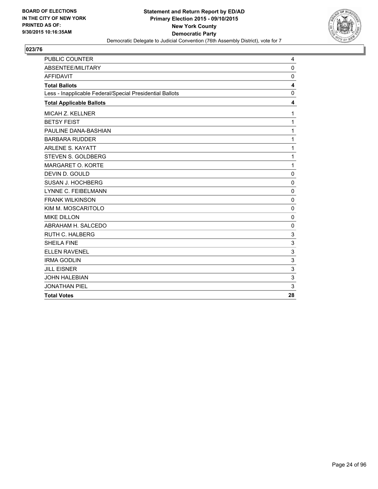

| PUBLIC COUNTER                                           | 4                       |
|----------------------------------------------------------|-------------------------|
| ABSENTEE/MILITARY                                        | $\mathbf 0$             |
| <b>AFFIDAVIT</b>                                         | $\mathbf 0$             |
| <b>Total Ballots</b>                                     | $\overline{\mathbf{4}}$ |
| Less - Inapplicable Federal/Special Presidential Ballots | $\mathbf{0}$            |
| <b>Total Applicable Ballots</b>                          | 4                       |
| <b>MICAH Z. KELLNER</b>                                  | 1                       |
| <b>BETSY FEIST</b>                                       | 1                       |
| PAULINE DANA-BASHIAN                                     | $\mathbf{1}$            |
| <b>BARBARA RUDDER</b>                                    | 1                       |
| <b>ARLENE S. KAYATT</b>                                  | 1                       |
| STEVEN S. GOLDBERG                                       | $\mathbf 1$             |
| MARGARET O. KORTE                                        | $\mathbf 1$             |
| DEVIN D. GOULD                                           | $\mathbf 0$             |
| SUSAN J. HOCHBERG                                        | 0                       |
| <b>LYNNE C. FEIBELMANN</b>                               | $\mathbf 0$             |
| <b>FRANK WILKINSON</b>                                   | $\mathbf 0$             |
| KIM M. MOSCARITOLO                                       | $\mathbf 0$             |
| <b>MIKE DILLON</b>                                       | $\mathbf 0$             |
| ABRAHAM H. SALCEDO                                       | $\mathbf 0$             |
| <b>RUTH C. HALBERG</b>                                   | 3                       |
| <b>SHEILA FINE</b>                                       | 3                       |
| <b>ELLEN RAVENEL</b>                                     | 3                       |
| <b>IRMA GODLIN</b>                                       | 3                       |
| <b>JILL EISNER</b>                                       | 3                       |
| <b>JOHN HALEBIAN</b>                                     | 3                       |
| <b>JONATHAN PIEL</b>                                     | 3                       |
| <b>Total Votes</b>                                       | 28                      |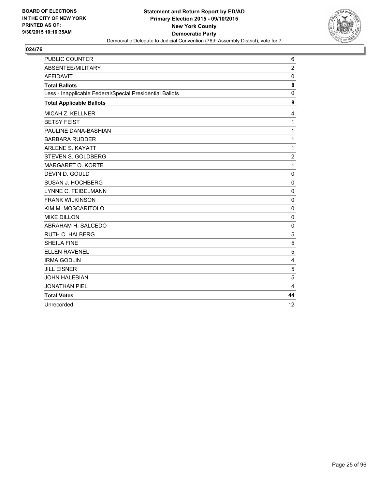

| <b>PUBLIC COUNTER</b>                                    | 6              |
|----------------------------------------------------------|----------------|
| ABSENTEE/MILITARY                                        | $\overline{2}$ |
| <b>AFFIDAVIT</b>                                         | $\Omega$       |
| <b>Total Ballots</b>                                     | 8              |
| Less - Inapplicable Federal/Special Presidential Ballots | 0              |
| <b>Total Applicable Ballots</b>                          | 8              |
| <b>MICAH Z. KELLNER</b>                                  | 4              |
| <b>BETSY FEIST</b>                                       | 1              |
| PAULINE DANA-BASHIAN                                     | 1              |
| <b>BARBARA RUDDER</b>                                    | 1              |
| <b>ARLENE S. KAYATT</b>                                  | 1              |
| STEVEN S. GOLDBERG                                       | $\overline{2}$ |
| <b>MARGARET O. KORTE</b>                                 | 1              |
| DEVIN D. GOULD                                           | 0              |
| SUSAN J. HOCHBERG                                        | $\mathbf 0$    |
| LYNNE C. FEIBELMANN                                      | $\mathbf 0$    |
| <b>FRANK WILKINSON</b>                                   | $\mathbf 0$    |
| KIM M. MOSCARITOLO                                       | 0              |
| <b>MIKE DILLON</b>                                       | $\mathbf 0$    |
| ABRAHAM H. SALCEDO                                       | 0              |
| <b>RUTH C. HALBERG</b>                                   | 5              |
| <b>SHEILA FINE</b>                                       | 5              |
| <b>ELLEN RAVENEL</b>                                     | 5              |
| <b>IRMA GODLIN</b>                                       | 4              |
| <b>JILL EISNER</b>                                       | 5              |
| <b>JOHN HALEBIAN</b>                                     | 5              |
| <b>JONATHAN PIEL</b>                                     | $\overline{4}$ |
| <b>Total Votes</b>                                       | 44             |
| Unrecorded                                               | 12             |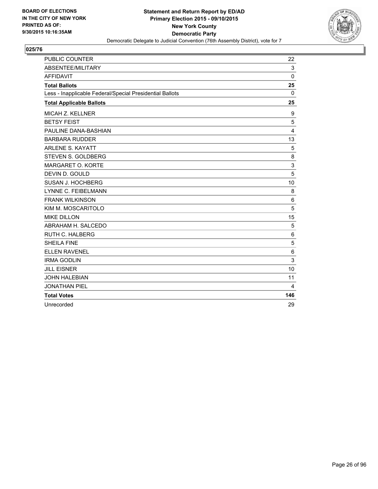

| <b>PUBLIC COUNTER</b>                                    | 22             |
|----------------------------------------------------------|----------------|
| ABSENTEE/MILITARY                                        | 3              |
| <b>AFFIDAVIT</b>                                         | $\Omega$       |
| <b>Total Ballots</b>                                     | 25             |
| Less - Inapplicable Federal/Special Presidential Ballots | 0              |
| <b>Total Applicable Ballots</b>                          | 25             |
| MICAH Z. KELLNER                                         | 9              |
| <b>BETSY FEIST</b>                                       | 5              |
| PAULINE DANA-BASHIAN                                     | $\overline{4}$ |
| <b>BARBARA RUDDER</b>                                    | 13             |
| <b>ARLENE S. KAYATT</b>                                  | 5              |
| STEVEN S. GOLDBERG                                       | 8              |
| <b>MARGARET O. KORTE</b>                                 | $\mathsf 3$    |
| DEVIN D. GOULD                                           | 5              |
| SUSAN J. HOCHBERG                                        | 10             |
| <b>LYNNE C. FEIBELMANN</b>                               | 8              |
| <b>FRANK WILKINSON</b>                                   | 6              |
| KIM M. MOSCARITOLO                                       | 5              |
| <b>MIKE DILLON</b>                                       | 15             |
| ABRAHAM H. SALCEDO                                       | 5              |
| <b>RUTH C. HALBERG</b>                                   | 6              |
| <b>SHEILA FINE</b>                                       | 5              |
| <b>ELLEN RAVENEL</b>                                     | 6              |
| <b>IRMA GODLIN</b>                                       | 3              |
| <b>JILL EISNER</b>                                       | 10             |
| <b>JOHN HALEBIAN</b>                                     | 11             |
| <b>JONATHAN PIEL</b>                                     | 4              |
| <b>Total Votes</b>                                       | 146            |
| Unrecorded                                               | 29             |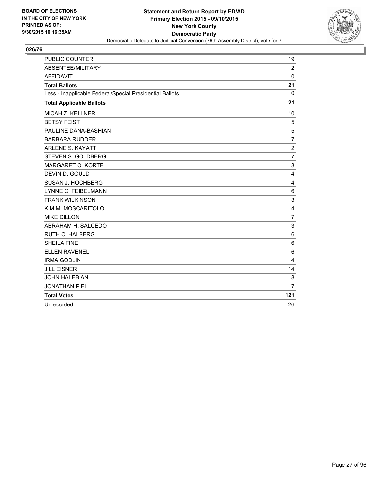

| <b>PUBLIC COUNTER</b>                                    | 19             |
|----------------------------------------------------------|----------------|
| ABSENTEE/MILITARY                                        | $\overline{2}$ |
| <b>AFFIDAVIT</b>                                         | $\Omega$       |
| <b>Total Ballots</b>                                     | 21             |
| Less - Inapplicable Federal/Special Presidential Ballots | 0              |
| <b>Total Applicable Ballots</b>                          | 21             |
| MICAH Z. KELLNER                                         | 10             |
| <b>BETSY FEIST</b>                                       | 5              |
| PAULINE DANA-BASHIAN                                     | 5              |
| <b>BARBARA RUDDER</b>                                    | $\overline{7}$ |
| <b>ARLENE S. KAYATT</b>                                  | $\overline{2}$ |
| STEVEN S. GOLDBERG                                       | $\overline{7}$ |
| <b>MARGARET O. KORTE</b>                                 | 3              |
| DEVIN D. GOULD                                           | 4              |
| SUSAN J. HOCHBERG                                        | 4              |
| <b>LYNNE C. FEIBELMANN</b>                               | 6              |
| <b>FRANK WILKINSON</b>                                   | 3              |
| KIM M. MOSCARITOLO                                       | 4              |
| <b>MIKE DILLON</b>                                       | $\overline{7}$ |
| ABRAHAM H. SALCEDO                                       | 3              |
| <b>RUTH C. HALBERG</b>                                   | 6              |
| <b>SHEILA FINE</b>                                       | 6              |
| <b>ELLEN RAVENEL</b>                                     | 6              |
| <b>IRMA GODLIN</b>                                       | 4              |
| <b>JILL EISNER</b>                                       | 14             |
| <b>JOHN HALEBIAN</b>                                     | 8              |
| <b>JONATHAN PIEL</b>                                     | $\overline{7}$ |
| <b>Total Votes</b>                                       | 121            |
| Unrecorded                                               | 26             |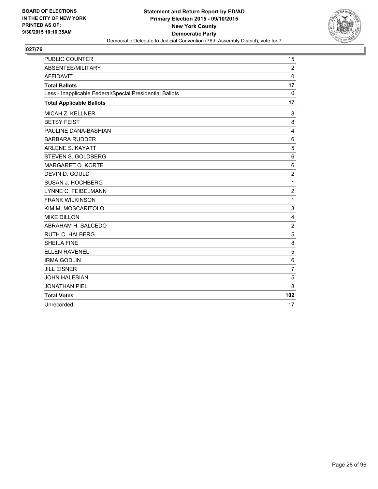

| <b>PUBLIC COUNTER</b>                                    | 15             |
|----------------------------------------------------------|----------------|
| <b>ABSENTEE/MILITARY</b>                                 | 2              |
| <b>AFFIDAVIT</b>                                         | 0              |
| <b>Total Ballots</b>                                     | 17             |
| Less - Inapplicable Federal/Special Presidential Ballots | $\mathbf{0}$   |
| <b>Total Applicable Ballots</b>                          | 17             |
| <b>MICAH Z. KELLNER</b>                                  | 8              |
| <b>BETSY FEIST</b>                                       | 8              |
| PAULINE DANA-BASHIAN                                     | $\overline{4}$ |
| <b>BARBARA RUDDER</b>                                    | 6              |
| <b>ARLENE S. KAYATT</b>                                  | 5              |
| STEVEN S. GOLDBERG                                       | 6              |
| <b>MARGARET O. KORTE</b>                                 | 6              |
| DEVIN D. GOULD                                           | $\overline{2}$ |
| SUSAN J. HOCHBERG                                        | 1              |
| <b>LYNNE C. FEIBELMANN</b>                               | $\overline{c}$ |
| <b>FRANK WILKINSON</b>                                   | 1              |
| KIM M. MOSCARITOLO                                       | 3              |
| <b>MIKE DILLON</b>                                       | 4              |
| ABRAHAM H. SALCEDO                                       | $\overline{2}$ |
| <b>RUTH C. HALBERG</b>                                   | 5              |
| <b>SHEILA FINE</b>                                       | 8              |
| <b>ELLEN RAVENEL</b>                                     | 5              |
| <b>IRMA GODLIN</b>                                       | 6              |
| <b>JILL EISNER</b>                                       | $\overline{7}$ |
| <b>JOHN HALEBIAN</b>                                     | 5              |
| <b>JONATHAN PIEL</b>                                     | 8              |
| <b>Total Votes</b>                                       | 102            |
| Unrecorded                                               | 17             |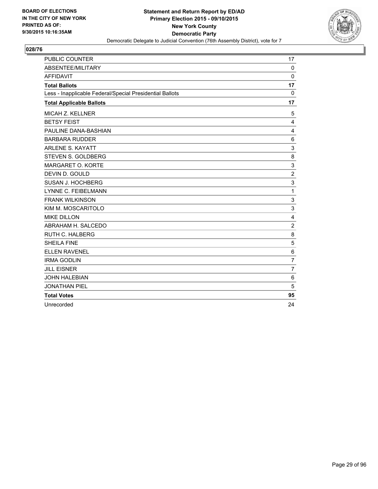

| <b>PUBLIC COUNTER</b>                                    | 17             |
|----------------------------------------------------------|----------------|
| ABSENTEE/MILITARY                                        | $\Omega$       |
| <b>AFFIDAVIT</b>                                         | 0              |
| <b>Total Ballots</b>                                     | 17             |
| Less - Inapplicable Federal/Special Presidential Ballots | $\mathbf{0}$   |
| <b>Total Applicable Ballots</b>                          | 17             |
| <b>MICAH Z. KELLNER</b>                                  | 5              |
| <b>BETSY FEIST</b>                                       | 4              |
| PAULINE DANA-BASHIAN                                     | 4              |
| <b>BARBARA RUDDER</b>                                    | 6              |
| <b>ARLENE S. KAYATT</b>                                  | 3              |
| STEVEN S. GOLDBERG                                       | 8              |
| <b>MARGARET O. KORTE</b>                                 | 3              |
| DEVIN D. GOULD                                           | $\overline{2}$ |
| SUSAN J. HOCHBERG                                        | 3              |
| <b>LYNNE C. FEIBELMANN</b>                               | 1              |
| <b>FRANK WILKINSON</b>                                   | 3              |
| KIM M. MOSCARITOLO                                       | 3              |
| <b>MIKE DILLON</b>                                       | 4              |
| ABRAHAM H. SALCEDO                                       | $\overline{2}$ |
| <b>RUTH C. HALBERG</b>                                   | 8              |
| <b>SHEILA FINE</b>                                       | 5              |
| <b>ELLEN RAVENEL</b>                                     | 6              |
| <b>IRMA GODLIN</b>                                       | $\overline{7}$ |
| <b>JILL EISNER</b>                                       | $\overline{7}$ |
| <b>JOHN HALEBIAN</b>                                     | 6              |
| <b>JONATHAN PIEL</b>                                     | 5              |
| <b>Total Votes</b>                                       | 95             |
| Unrecorded                                               | 24             |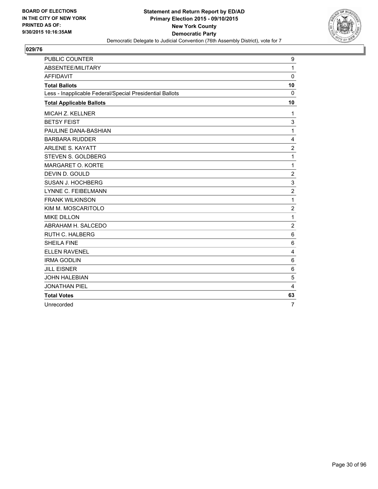

| <b>PUBLIC COUNTER</b>                                    | 9              |
|----------------------------------------------------------|----------------|
| ABSENTEE/MILITARY                                        | $\mathbf{1}$   |
| <b>AFFIDAVIT</b>                                         | $\mathbf 0$    |
| <b>Total Ballots</b>                                     | 10             |
| Less - Inapplicable Federal/Special Presidential Ballots | 0              |
| <b>Total Applicable Ballots</b>                          | 10             |
| <b>MICAH Z. KELLNER</b>                                  | 1              |
| <b>BETSY FEIST</b>                                       | 3              |
| PAULINE DANA-BASHIAN                                     | 1              |
| <b>BARBARA RUDDER</b>                                    | 4              |
| <b>ARLENE S. KAYATT</b>                                  | $\overline{2}$ |
| STEVEN S. GOLDBERG                                       | 1              |
| MARGARET O. KORTE                                        | 1              |
| DEVIN D. GOULD                                           | $\overline{c}$ |
| SUSAN J. HOCHBERG                                        | 3              |
| LYNNE C. FEIBELMANN                                      | $\overline{2}$ |
| <b>FRANK WILKINSON</b>                                   | 1              |
| KIM M. MOSCARITOLO                                       | $\overline{2}$ |
| <b>MIKE DILLON</b>                                       | 1              |
| ABRAHAM H. SALCEDO                                       | $\overline{2}$ |
| <b>RUTH C. HALBERG</b>                                   | 6              |
| <b>SHEILA FINE</b>                                       | 6              |
| <b>ELLEN RAVENEL</b>                                     | 4              |
| <b>IRMA GODLIN</b>                                       | 6              |
| <b>JILL EISNER</b>                                       | 6              |
| <b>JOHN HALEBIAN</b>                                     | 5              |
| <b>JONATHAN PIEL</b>                                     | 4              |
| <b>Total Votes</b>                                       | 63             |
| Unrecorded                                               | $\overline{7}$ |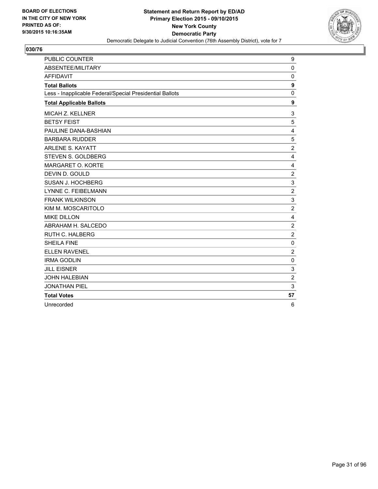

| PUBLIC COUNTER                                           | 9              |
|----------------------------------------------------------|----------------|
| ABSENTEE/MILITARY                                        | $\mathbf 0$    |
| <b>AFFIDAVIT</b>                                         | 0              |
| <b>Total Ballots</b>                                     | 9              |
| Less - Inapplicable Federal/Special Presidential Ballots | 0              |
| <b>Total Applicable Ballots</b>                          | 9              |
| MICAH Z. KELLNER                                         | 3              |
| <b>BETSY FEIST</b>                                       | 5              |
| PAULINE DANA-BASHIAN                                     | 4              |
| <b>BARBARA RUDDER</b>                                    | 5              |
| <b>ARLENE S. KAYATT</b>                                  | $\overline{2}$ |
| <b>STEVEN S. GOLDBERG</b>                                | 4              |
| MARGARET O. KORTE                                        | 4              |
| DEVIN D. GOULD                                           | $\overline{2}$ |
| SUSAN J. HOCHBERG                                        | 3              |
| LYNNE C. FEIBELMANN                                      | $\overline{2}$ |
| <b>FRANK WILKINSON</b>                                   | 3              |
| KIM M. MOSCARITOLO                                       | $\overline{2}$ |
| <b>MIKE DILLON</b>                                       | 4              |
| ABRAHAM H. SALCEDO                                       | $\overline{2}$ |
| <b>RUTH C. HALBERG</b>                                   | $\overline{2}$ |
| <b>SHEILA FINE</b>                                       | $\mathbf 0$    |
| <b>ELLEN RAVENEL</b>                                     | $\overline{2}$ |
| <b>IRMA GODLIN</b>                                       | 0              |
| <b>JILL EISNER</b>                                       | 3              |
| <b>JOHN HALEBIAN</b>                                     | $\overline{2}$ |
| <b>JONATHAN PIEL</b>                                     | 3              |
| <b>Total Votes</b>                                       | 57             |
| Unrecorded                                               | 6              |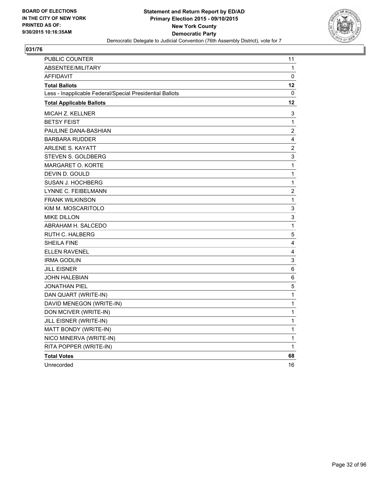

| <b>PUBLIC COUNTER</b>                                    | 11             |
|----------------------------------------------------------|----------------|
| ABSENTEE/MILITARY                                        | 1              |
| <b>AFFIDAVIT</b>                                         | 0              |
| <b>Total Ballots</b>                                     | 12             |
| Less - Inapplicable Federal/Special Presidential Ballots | 0              |
| <b>Total Applicable Ballots</b>                          | 12             |
| MICAH Z. KELLNER                                         | 3              |
| <b>BETSY FEIST</b>                                       | 1              |
| PAULINE DANA-BASHIAN                                     | $\overline{c}$ |
| <b>BARBARA RUDDER</b>                                    | 4              |
| <b>ARLENE S. KAYATT</b>                                  | $\overline{c}$ |
| STEVEN S. GOLDBERG                                       | 3              |
| <b>MARGARET O. KORTE</b>                                 | 1              |
| DEVIN D. GOULD                                           | $\mathbf{1}$   |
| SUSAN J. HOCHBERG                                        | 1              |
| LYNNE C. FEIBELMANN                                      | $\overline{2}$ |
| <b>FRANK WILKINSON</b>                                   | 1              |
| KIM M. MOSCARITOLO                                       | 3              |
| <b>MIKE DILLON</b>                                       | 3              |
| ABRAHAM H. SALCEDO                                       | $\mathbf{1}$   |
| <b>RUTH C. HALBERG</b>                                   | 5              |
| <b>SHEILA FINE</b>                                       | 4              |
| <b>ELLEN RAVENEL</b>                                     | 4              |
| <b>IRMA GODLIN</b>                                       | 3              |
| JILL EISNER                                              | 6              |
| JOHN HALEBIAN                                            | 6              |
| <b>JONATHAN PIEL</b>                                     | 5              |
| DAN QUART (WRITE-IN)                                     | 1              |
| DAVID MENEGON (WRITE-IN)                                 | 1              |
| DON MCIVER (WRITE-IN)                                    | 1              |
| JILL EISNER (WRITE-IN)                                   | $\mathbf 1$    |
| MATT BONDY (WRITE-IN)                                    | $\mathbf{1}$   |
| NICO MINERVA (WRITE-IN)                                  | 1              |
| RITA POPPER (WRITE-IN)                                   | 1              |
| <b>Total Votes</b>                                       | 68             |
| Unrecorded                                               | 16             |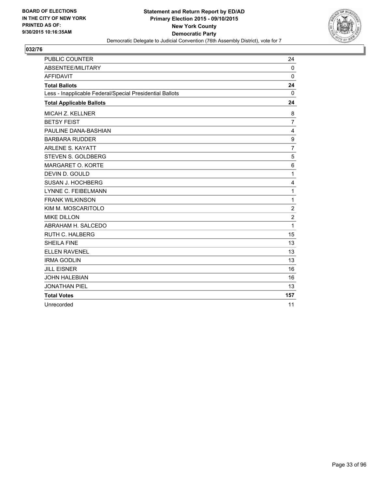

| <b>PUBLIC COUNTER</b>                                    | 24             |
|----------------------------------------------------------|----------------|
| ABSENTEE/MILITARY                                        | $\Omega$       |
| <b>AFFIDAVIT</b>                                         | 0              |
| <b>Total Ballots</b>                                     | 24             |
| Less - Inapplicable Federal/Special Presidential Ballots | 0              |
| <b>Total Applicable Ballots</b>                          | 24             |
| <b>MICAH Z. KELLNER</b>                                  | 8              |
| <b>BETSY FEIST</b>                                       | $\overline{7}$ |
| PAULINE DANA-BASHIAN                                     | 4              |
| <b>BARBARA RUDDER</b>                                    | 9              |
| <b>ARLENE S. KAYATT</b>                                  | $\overline{7}$ |
| STEVEN S. GOLDBERG                                       | 5              |
| MARGARET O. KORTE                                        | 6              |
| DEVIN D. GOULD                                           | $\mathbf{1}$   |
| SUSAN J. HOCHBERG                                        | 4              |
| LYNNE C. FEIBELMANN                                      | $\mathbf{1}$   |
| <b>FRANK WILKINSON</b>                                   | $\mathbf{1}$   |
| KIM M. MOSCARITOLO                                       | $\mathbf 2$    |
| <b>MIKE DILLON</b>                                       | $\overline{2}$ |
| ABRAHAM H. SALCEDO                                       | 1              |
| <b>RUTH C. HALBERG</b>                                   | 15             |
| <b>SHEILA FINE</b>                                       | 13             |
| <b>ELLEN RAVENEL</b>                                     | 13             |
| <b>IRMA GODLIN</b>                                       | 13             |
| <b>JILL EISNER</b>                                       | 16             |
| <b>JOHN HALEBIAN</b>                                     | 16             |
| <b>JONATHAN PIEL</b>                                     | 13             |
| <b>Total Votes</b>                                       | 157            |
| Unrecorded                                               | 11             |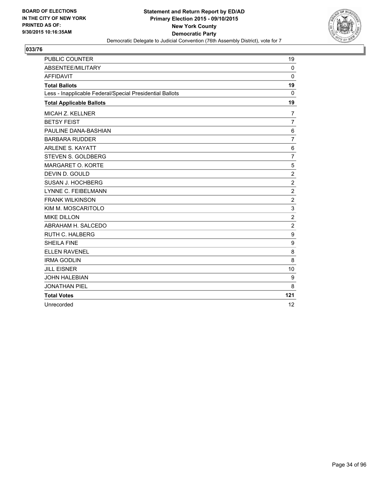

| <b>PUBLIC COUNTER</b>                                    | 19             |
|----------------------------------------------------------|----------------|
| <b>ABSENTEE/MILITARY</b>                                 | $\Omega$       |
| <b>AFFIDAVIT</b>                                         | 0              |
| <b>Total Ballots</b>                                     | 19             |
| Less - Inapplicable Federal/Special Presidential Ballots | 0              |
| <b>Total Applicable Ballots</b>                          | 19             |
| <b>MICAH Z. KELLNER</b>                                  | 7              |
| <b>BETSY FEIST</b>                                       | $\overline{7}$ |
| PAULINE DANA-BASHIAN                                     | 6              |
| <b>BARBARA RUDDER</b>                                    | $\overline{7}$ |
| <b>ARLENE S. KAYATT</b>                                  | 6              |
| STEVEN S. GOLDBERG                                       | $\overline{7}$ |
| <b>MARGARET O. KORTE</b>                                 | 5              |
| DEVIN D. GOULD                                           | $\overline{2}$ |
| SUSAN J. HOCHBERG                                        | $\overline{c}$ |
| <b>LYNNE C. FEIBELMANN</b>                               | $\overline{2}$ |
| <b>FRANK WILKINSON</b>                                   | $\overline{2}$ |
| KIM M. MOSCARITOLO                                       | 3              |
| <b>MIKE DILLON</b>                                       | $\overline{2}$ |
| ABRAHAM H. SALCEDO                                       | $\overline{2}$ |
| <b>RUTH C. HALBERG</b>                                   | 9              |
| <b>SHEILA FINE</b>                                       | 9              |
| <b>ELLEN RAVENEL</b>                                     | 8              |
| <b>IRMA GODLIN</b>                                       | 8              |
| <b>JILL EISNER</b>                                       | 10             |
| <b>JOHN HALEBIAN</b>                                     | 9              |
| <b>JONATHAN PIEL</b>                                     | 8              |
| <b>Total Votes</b>                                       | 121            |
| Unrecorded                                               | 12             |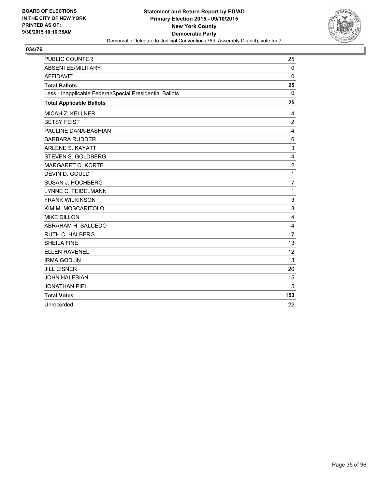

| <b>PUBLIC COUNTER</b>                                    | 25             |
|----------------------------------------------------------|----------------|
| ABSENTEE/MILITARY                                        | 0              |
| <b>AFFIDAVIT</b>                                         | $\Omega$       |
| <b>Total Ballots</b>                                     | 25             |
| Less - Inapplicable Federal/Special Presidential Ballots | 0              |
| <b>Total Applicable Ballots</b>                          | 25             |
| MICAH Z. KELLNER                                         | 4              |
| <b>BETSY FEIST</b>                                       | $\overline{c}$ |
| PAULINE DANA-BASHIAN                                     | 4              |
| <b>BARBARA RUDDER</b>                                    | 6              |
| <b>ARLENE S. KAYATT</b>                                  | 3              |
| STEVEN S. GOLDBERG                                       | 4              |
| <b>MARGARET O. KORTE</b>                                 | $\overline{2}$ |
| DEVIN D. GOULD                                           | 1              |
| SUSAN J. HOCHBERG                                        | $\overline{7}$ |
| <b>LYNNE C. FEIBELMANN</b>                               | 1              |
| <b>FRANK WILKINSON</b>                                   | 3              |
| KIM M. MOSCARITOLO                                       | 3              |
| <b>MIKE DILLON</b>                                       | 4              |
| ABRAHAM H. SALCEDO                                       | $\overline{4}$ |
| <b>RUTH C. HALBERG</b>                                   | 17             |
| <b>SHEILA FINE</b>                                       | 13             |
| <b>ELLEN RAVENEL</b>                                     | 12             |
| <b>IRMA GODLIN</b>                                       | 13             |
| <b>JILL EISNER</b>                                       | 20             |
| <b>JOHN HALEBIAN</b>                                     | 15             |
| <b>JONATHAN PIEL</b>                                     | 15             |
| <b>Total Votes</b>                                       | 153            |
| Unrecorded                                               | 22             |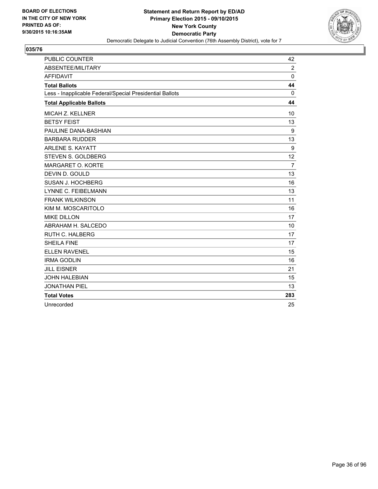

| <b>PUBLIC COUNTER</b>                                    | 42             |
|----------------------------------------------------------|----------------|
| ABSENTEE/MILITARY                                        | $\overline{2}$ |
| <b>AFFIDAVIT</b>                                         | $\Omega$       |
| <b>Total Ballots</b>                                     | 44             |
| Less - Inapplicable Federal/Special Presidential Ballots | 0              |
| <b>Total Applicable Ballots</b>                          | 44             |
| <b>MICAH Z. KELLNER</b>                                  | 10             |
| <b>BETSY FEIST</b>                                       | 13             |
| PAULINE DANA-BASHIAN                                     | 9              |
| <b>BARBARA RUDDER</b>                                    | 13             |
| <b>ARLENE S. KAYATT</b>                                  | 9              |
| STEVEN S. GOLDBERG                                       | 12             |
| MARGARET O. KORTE                                        | $\overline{7}$ |
| DEVIN D. GOULD                                           | 13             |
| SUSAN J. HOCHBERG                                        | 16             |
| <b>LYNNE C. FEIBELMANN</b>                               | 13             |
| <b>FRANK WILKINSON</b>                                   | 11             |
| KIM M. MOSCARITOLO                                       | 16             |
| <b>MIKE DILLON</b>                                       | 17             |
| ABRAHAM H. SALCEDO                                       | 10             |
| RUTH C. HALBERG                                          | 17             |
| <b>SHEILA FINE</b>                                       | 17             |
| <b>ELLEN RAVENEL</b>                                     | 15             |
| <b>IRMA GODLIN</b>                                       | 16             |
| <b>JILL EISNER</b>                                       | 21             |
| <b>JOHN HALEBIAN</b>                                     | 15             |
| <b>JONATHAN PIEL</b>                                     | 13             |
| <b>Total Votes</b>                                       | 283            |
| Unrecorded                                               | 25             |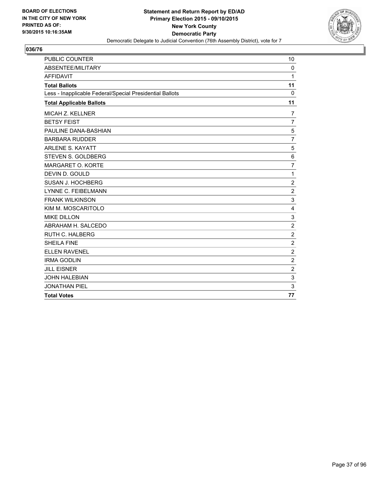

| <b>PUBLIC COUNTER</b>                                    | 10             |
|----------------------------------------------------------|----------------|
| ABSENTEE/MILITARY                                        | $\Omega$       |
| <b>AFFIDAVIT</b>                                         | 1              |
| <b>Total Ballots</b>                                     | 11             |
| Less - Inapplicable Federal/Special Presidential Ballots | $\Omega$       |
| <b>Total Applicable Ballots</b>                          | 11             |
| <b>MICAH Z. KELLNER</b>                                  | $\overline{7}$ |
| <b>BETSY FEIST</b>                                       | $\overline{7}$ |
| PAULINE DANA-BASHIAN                                     | 5              |
| <b>BARBARA RUDDER</b>                                    | $\overline{7}$ |
| <b>ARLENE S. KAYATT</b>                                  | 5              |
| STEVEN S. GOLDBERG                                       | 6              |
| MARGARET O. KORTE                                        | $\overline{7}$ |
| DEVIN D. GOULD                                           | 1              |
| SUSAN J. HOCHBERG                                        | $\overline{2}$ |
| LYNNE C. FEIBELMANN                                      | $\overline{2}$ |
| <b>FRANK WILKINSON</b>                                   | 3              |
| KIM M. MOSCARITOLO                                       | 4              |
| <b>MIKE DILLON</b>                                       | 3              |
| ABRAHAM H. SALCEDO                                       | $\overline{2}$ |
| <b>RUTH C. HALBERG</b>                                   | $\overline{2}$ |
| <b>SHEILA FINE</b>                                       | $\overline{2}$ |
| <b>ELLEN RAVENEL</b>                                     | $\overline{c}$ |
| <b>IRMA GODLIN</b>                                       | $\overline{2}$ |
| <b>JILL EISNER</b>                                       | $\overline{2}$ |
| <b>JOHN HALEBIAN</b>                                     | 3              |
| <b>JONATHAN PIEL</b>                                     | 3              |
| <b>Total Votes</b>                                       | 77             |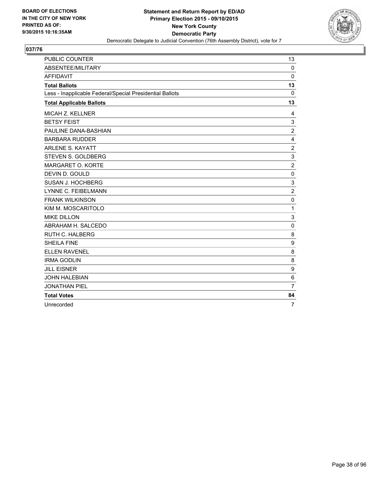

| <b>PUBLIC COUNTER</b>                                    | 13             |
|----------------------------------------------------------|----------------|
| ABSENTEE/MILITARY                                        | $\mathbf{0}$   |
| <b>AFFIDAVIT</b>                                         | $\Omega$       |
| <b>Total Ballots</b>                                     | 13             |
| Less - Inapplicable Federal/Special Presidential Ballots | 0              |
| <b>Total Applicable Ballots</b>                          | 13             |
| MICAH Z. KELLNER                                         | 4              |
| <b>BETSY FEIST</b>                                       | $\mathsf 3$    |
| PAULINE DANA-BASHIAN                                     | $\overline{2}$ |
| <b>BARBARA RUDDER</b>                                    | 4              |
| <b>ARLENE S. KAYATT</b>                                  | $\overline{2}$ |
| STEVEN S. GOLDBERG                                       | 3              |
| <b>MARGARET O. KORTE</b>                                 | $\overline{2}$ |
| DEVIN D. GOULD                                           | 0              |
| SUSAN J. HOCHBERG                                        | 3              |
| LYNNE C. FEIBELMANN                                      | $\overline{2}$ |
| <b>FRANK WILKINSON</b>                                   | $\mathbf 0$    |
| KIM M. MOSCARITOLO                                       | 1              |
| <b>MIKE DILLON</b>                                       | 3              |
| ABRAHAM H. SALCEDO                                       | $\mathbf 0$    |
| <b>RUTH C. HALBERG</b>                                   | 8              |
| <b>SHEILA FINE</b>                                       | 9              |
| <b>ELLEN RAVENEL</b>                                     | 8              |
| <b>IRMA GODLIN</b>                                       | 8              |
| <b>JILL EISNER</b>                                       | 9              |
| <b>JOHN HALEBIAN</b>                                     | 6              |
| <b>JONATHAN PIEL</b>                                     | $\overline{7}$ |
| <b>Total Votes</b>                                       | 84             |
| Unrecorded                                               | $\overline{7}$ |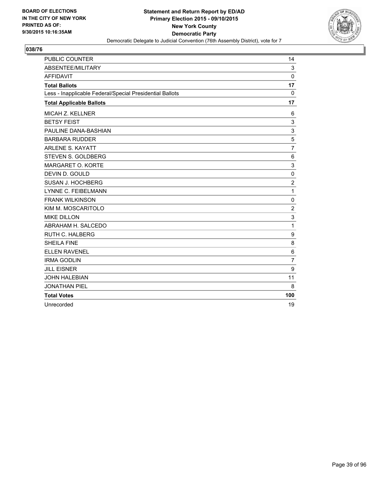

| <b>PUBLIC COUNTER</b>                                    | 14             |
|----------------------------------------------------------|----------------|
| ABSENTEE/MILITARY                                        | 3              |
| <b>AFFIDAVIT</b>                                         | $\mathbf{0}$   |
| <b>Total Ballots</b>                                     | 17             |
| Less - Inapplicable Federal/Special Presidential Ballots | $\mathbf{0}$   |
| <b>Total Applicable Ballots</b>                          | 17             |
| <b>MICAH Z. KELLNER</b>                                  | 6              |
| <b>BETSY FEIST</b>                                       | 3              |
| PAULINE DANA-BASHIAN                                     | 3              |
| <b>BARBARA RUDDER</b>                                    | 5              |
| <b>ARLENE S. KAYATT</b>                                  | $\overline{7}$ |
| STEVEN S. GOLDBERG                                       | 6              |
| MARGARET O. KORTE                                        | 3              |
| DEVIN D. GOULD                                           | 0              |
| SUSAN J. HOCHBERG                                        | $\overline{2}$ |
| LYNNE C. FEIBELMANN                                      | 1              |
| <b>FRANK WILKINSON</b>                                   | $\Omega$       |
| KIM M. MOSCARITOLO                                       | $\overline{c}$ |
| <b>MIKE DILLON</b>                                       | 3              |
| ABRAHAM H. SALCEDO                                       | 1              |
| <b>RUTH C. HALBERG</b>                                   | 9              |
| <b>SHEILA FINE</b>                                       | 8              |
| <b>ELLEN RAVENEL</b>                                     | 6              |
| <b>IRMA GODLIN</b>                                       | $\overline{7}$ |
| <b>JILL EISNER</b>                                       | 9              |
| <b>JOHN HALEBIAN</b>                                     | 11             |
| <b>JONATHAN PIEL</b>                                     | 8              |
| <b>Total Votes</b>                                       | 100            |
| Unrecorded                                               | 19             |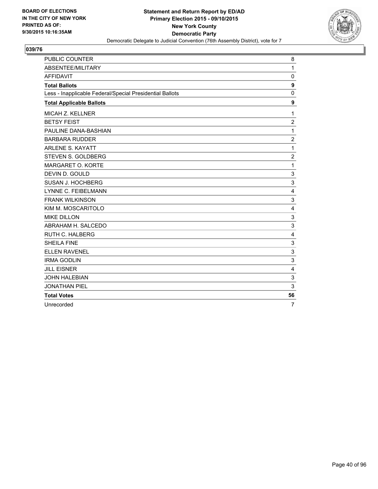

| <b>PUBLIC COUNTER</b>                                    | 8              |
|----------------------------------------------------------|----------------|
| ABSENTEE/MILITARY                                        | $\mathbf{1}$   |
| <b>AFFIDAVIT</b>                                         | $\mathbf 0$    |
| <b>Total Ballots</b>                                     | 9              |
| Less - Inapplicable Federal/Special Presidential Ballots | $\mathbf 0$    |
| <b>Total Applicable Ballots</b>                          | 9              |
| MICAH Z. KELLNER                                         | $\mathbf{1}$   |
| <b>BETSY FEIST</b>                                       | 2              |
| PAULINE DANA-BASHIAN                                     | $\mathbf{1}$   |
| <b>BARBARA RUDDER</b>                                    | $\overline{2}$ |
| <b>ARLENE S. KAYATT</b>                                  | 1              |
| STEVEN S. GOLDBERG                                       | 2              |
| MARGARET O. KORTE                                        | 1              |
| DEVIN D. GOULD                                           | 3              |
| SUSAN J. HOCHBERG                                        | 3              |
| <b>LYNNE C. FEIBELMANN</b>                               | 4              |
| <b>FRANK WILKINSON</b>                                   | 3              |
| KIM M. MOSCARITOLO                                       | 4              |
| <b>MIKE DILLON</b>                                       | 3              |
| ABRAHAM H. SALCEDO                                       | 3              |
| <b>RUTH C. HALBERG</b>                                   | 4              |
| <b>SHEILA FINE</b>                                       | 3              |
| <b>ELLEN RAVENEL</b>                                     | 3              |
| <b>IRMA GODLIN</b>                                       | 3              |
| <b>JILL EISNER</b>                                       | 4              |
| <b>JOHN HALEBIAN</b>                                     | 3              |
| <b>JONATHAN PIEL</b>                                     | 3              |
| <b>Total Votes</b>                                       | 56             |
| Unrecorded                                               | $\overline{7}$ |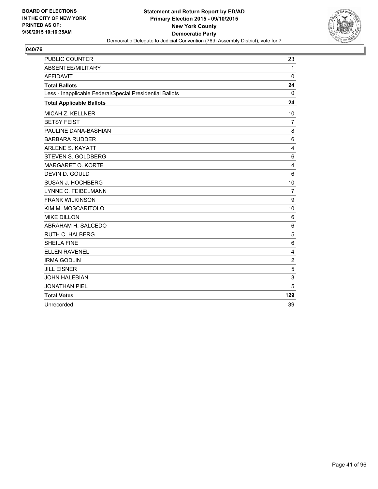

| <b>PUBLIC COUNTER</b>                                    | 23             |
|----------------------------------------------------------|----------------|
| ABSENTEE/MILITARY                                        | $\mathbf{1}$   |
| <b>AFFIDAVIT</b>                                         | $\Omega$       |
| <b>Total Ballots</b>                                     | 24             |
| Less - Inapplicable Federal/Special Presidential Ballots | 0              |
| <b>Total Applicable Ballots</b>                          | 24             |
| MICAH Z. KELLNER                                         | 10             |
| <b>BETSY FEIST</b>                                       | $\overline{7}$ |
| PAULINE DANA-BASHIAN                                     | 8              |
| <b>BARBARA RUDDER</b>                                    | 6              |
| <b>ARLENE S. KAYATT</b>                                  | $\overline{4}$ |
| STEVEN S. GOLDBERG                                       | 6              |
| MARGARET O. KORTE                                        | 4              |
| DEVIN D. GOULD                                           | 6              |
| SUSAN J. HOCHBERG                                        | 10             |
| <b>LYNNE C. FEIBELMANN</b>                               | $\overline{7}$ |
| <b>FRANK WILKINSON</b>                                   | 9              |
| KIM M. MOSCARITOLO                                       | 10             |
| <b>MIKE DILLON</b>                                       | 6              |
| ABRAHAM H. SALCEDO                                       | 6              |
| <b>RUTH C. HALBERG</b>                                   | 5              |
| <b>SHEILA FINE</b>                                       | 6              |
| <b>ELLEN RAVENEL</b>                                     | 4              |
| <b>IRMA GODLIN</b>                                       | $\overline{2}$ |
| <b>JILL EISNER</b>                                       | 5              |
| <b>JOHN HALEBIAN</b>                                     | 3              |
| <b>JONATHAN PIEL</b>                                     | 5              |
| <b>Total Votes</b>                                       | 129            |
| Unrecorded                                               | 39             |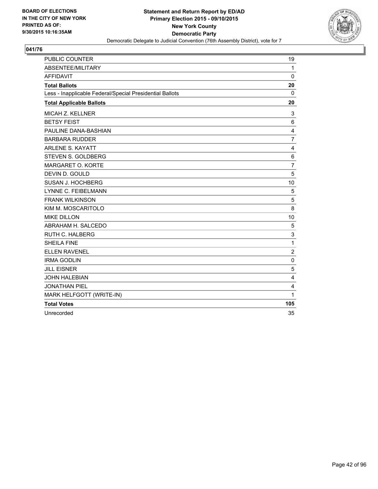

| <b>PUBLIC COUNTER</b>                                    | 19               |
|----------------------------------------------------------|------------------|
| ABSENTEE/MILITARY                                        | 1                |
| <b>AFFIDAVIT</b>                                         | $\mathbf 0$      |
| <b>Total Ballots</b>                                     | 20               |
| Less - Inapplicable Federal/Special Presidential Ballots | 0                |
| <b>Total Applicable Ballots</b>                          | 20               |
| MICAH Z. KELLNER                                         | 3                |
| <b>BETSY FEIST</b>                                       | 6                |
| PAULINE DANA-BASHIAN                                     | 4                |
| <b>BARBARA RUDDER</b>                                    | $\overline{7}$   |
| <b>ARLENE S. KAYATT</b>                                  | 4                |
| <b>STEVEN S. GOLDBERG</b>                                | 6                |
| <b>MARGARET O. KORTE</b>                                 | $\overline{7}$   |
| DEVIN D. GOULD                                           | 5                |
| SUSAN J. HOCHBERG                                        | 10               |
| LYNNE C. FEIBELMANN                                      | 5                |
| <b>FRANK WILKINSON</b>                                   | 5                |
| KIM M. MOSCARITOLO                                       | 8                |
| <b>MIKE DILLON</b>                                       | 10               |
| ABRAHAM H. SALCEDO                                       | 5                |
| <b>RUTH C. HALBERG</b>                                   | 3                |
| <b>SHEILA FINE</b>                                       | $\mathbf 1$      |
| <b>ELLEN RAVENEL</b>                                     | $\boldsymbol{2}$ |
| <b>IRMA GODLIN</b>                                       | 0                |
| <b>JILL EISNER</b>                                       | 5                |
| <b>JOHN HALEBIAN</b>                                     | 4                |
| <b>JONATHAN PIEL</b>                                     | 4                |
| MARK HELFGOTT (WRITE-IN)                                 | $\mathbf{1}$     |
| <b>Total Votes</b>                                       | 105              |
| Unrecorded                                               | 35               |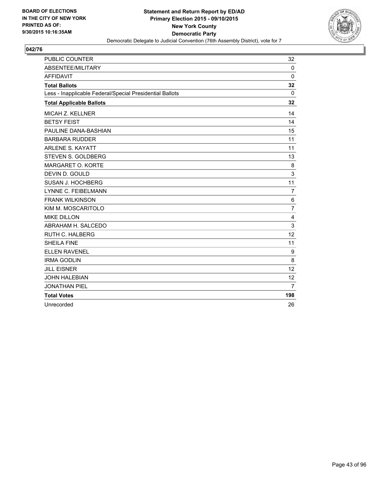

| <b>PUBLIC COUNTER</b>                                    | 32             |
|----------------------------------------------------------|----------------|
| <b>ABSENTEE/MILITARY</b>                                 | $\Omega$       |
| <b>AFFIDAVIT</b>                                         | 0              |
| <b>Total Ballots</b>                                     | 32             |
| Less - Inapplicable Federal/Special Presidential Ballots | 0              |
| <b>Total Applicable Ballots</b>                          | 32             |
| <b>MICAH Z. KELLNER</b>                                  | 14             |
| <b>BETSY FEIST</b>                                       | 14             |
| PAULINE DANA-BASHIAN                                     | 15             |
| <b>BARBARA RUDDER</b>                                    | 11             |
| <b>ARLENE S. KAYATT</b>                                  | 11             |
| STEVEN S. GOLDBERG                                       | 13             |
| MARGARET O. KORTE                                        | 8              |
| DEVIN D. GOULD                                           | 3              |
| SUSAN J. HOCHBERG                                        | 11             |
| <b>LYNNE C. FEIBELMANN</b>                               | $\overline{7}$ |
| <b>FRANK WILKINSON</b>                                   | 6              |
| KIM M. MOSCARITOLO                                       | $\overline{7}$ |
| <b>MIKE DILLON</b>                                       | 4              |
| ABRAHAM H. SALCEDO                                       | 3              |
| <b>RUTH C. HALBERG</b>                                   | 12             |
| <b>SHEILA FINE</b>                                       | 11             |
| <b>ELLEN RAVENEL</b>                                     | 9              |
| <b>IRMA GODLIN</b>                                       | 8              |
| <b>JILL EISNER</b>                                       | 12             |
| <b>JOHN HALEBIAN</b>                                     | 12             |
| <b>JONATHAN PIEL</b>                                     | 7              |
| <b>Total Votes</b>                                       | 198            |
| Unrecorded                                               | 26             |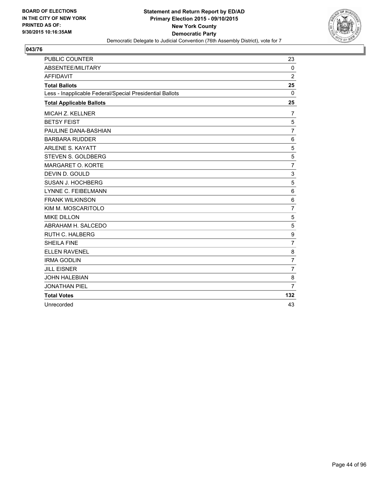

| <b>PUBLIC COUNTER</b>                                    | 23             |
|----------------------------------------------------------|----------------|
| ABSENTEE/MILITARY                                        | $\mathbf 0$    |
| <b>AFFIDAVIT</b>                                         | $\overline{2}$ |
| <b>Total Ballots</b>                                     | 25             |
| Less - Inapplicable Federal/Special Presidential Ballots | 0              |
| <b>Total Applicable Ballots</b>                          | 25             |
| <b>MICAH Z. KELLNER</b>                                  | 7              |
| <b>BETSY FEIST</b>                                       | 5              |
| PAULINE DANA-BASHIAN                                     | $\overline{7}$ |
| <b>BARBARA RUDDER</b>                                    | 6              |
| <b>ARLENE S. KAYATT</b>                                  | 5              |
| <b>STEVEN S. GOLDBERG</b>                                | 5              |
| MARGARET O. KORTE                                        | $\overline{7}$ |
| DEVIN D. GOULD                                           | 3              |
| SUSAN J. HOCHBERG                                        | 5              |
| LYNNE C. FEIBELMANN                                      | 6              |
| <b>FRANK WILKINSON</b>                                   | 6              |
| KIM M. MOSCARITOLO                                       | $\overline{7}$ |
| <b>MIKE DILLON</b>                                       | 5              |
| ABRAHAM H. SALCEDO                                       | 5              |
| RUTH C. HALBERG                                          | 9              |
| <b>SHEILA FINE</b>                                       | $\overline{7}$ |
| <b>ELLEN RAVENEL</b>                                     | 8              |
| <b>IRMA GODLIN</b>                                       | $\overline{7}$ |
| <b>JILL EISNER</b>                                       | $\overline{7}$ |
| <b>JOHN HALEBIAN</b>                                     | 8              |
| <b>JONATHAN PIEL</b>                                     | 7              |
| <b>Total Votes</b>                                       | 132            |
| Unrecorded                                               | 43             |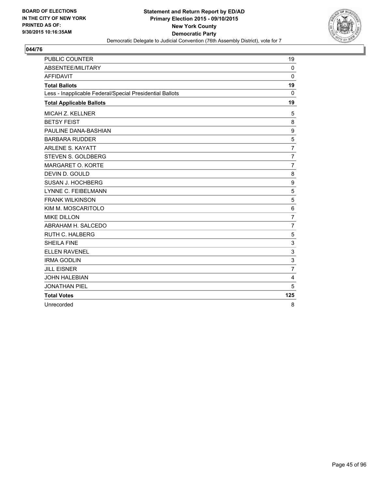

| <b>PUBLIC COUNTER</b>                                    | 19             |
|----------------------------------------------------------|----------------|
| <b>ABSENTEE/MILITARY</b>                                 | $\Omega$       |
| <b>AFFIDAVIT</b>                                         | $\mathbf 0$    |
| <b>Total Ballots</b>                                     | 19             |
| Less - Inapplicable Federal/Special Presidential Ballots | 0              |
| <b>Total Applicable Ballots</b>                          | 19             |
| <b>MICAH Z. KELLNER</b>                                  | 5              |
| <b>BETSY FEIST</b>                                       | 8              |
| PAULINE DANA-BASHIAN                                     | 9              |
| <b>BARBARA RUDDER</b>                                    | 5              |
| <b>ARLENE S. KAYATT</b>                                  | $\overline{7}$ |
| STEVEN S. GOLDBERG                                       | $\overline{7}$ |
| MARGARET O. KORTE                                        | $\overline{7}$ |
| DEVIN D. GOULD                                           | 8              |
| SUSAN J. HOCHBERG                                        | 9              |
| LYNNE C. FEIBELMANN                                      | 5              |
| <b>FRANK WILKINSON</b>                                   | 5              |
| KIM M. MOSCARITOLO                                       | 6              |
| <b>MIKE DILLON</b>                                       | $\overline{7}$ |
| ABRAHAM H. SALCEDO                                       | $\overline{7}$ |
| <b>RUTH C. HALBERG</b>                                   | 5              |
| <b>SHEILA FINE</b>                                       | 3              |
| <b>ELLEN RAVENEL</b>                                     | 3              |
| <b>IRMA GODLIN</b>                                       | 3              |
| <b>JILL EISNER</b>                                       | $\overline{7}$ |
| <b>JOHN HALEBIAN</b>                                     | 4              |
| <b>JONATHAN PIEL</b>                                     | 5              |
| <b>Total Votes</b>                                       | 125            |
| Unrecorded                                               | 8              |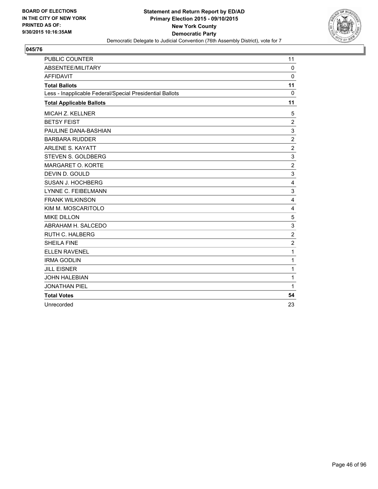

| <b>PUBLIC COUNTER</b>                                    | 11             |
|----------------------------------------------------------|----------------|
| ABSENTEE/MILITARY                                        | $\mathbf 0$    |
| <b>AFFIDAVIT</b>                                         | 0              |
| <b>Total Ballots</b>                                     | 11             |
| Less - Inapplicable Federal/Special Presidential Ballots | 0              |
| <b>Total Applicable Ballots</b>                          | 11             |
| <b>MICAH Z. KELLNER</b>                                  | 5              |
| <b>BETSY FEIST</b>                                       | $\overline{2}$ |
| PAULINE DANA-BASHIAN                                     | 3              |
| <b>BARBARA RUDDER</b>                                    | $\overline{2}$ |
| <b>ARLENE S. KAYATT</b>                                  | $\overline{2}$ |
| STEVEN S. GOLDBERG                                       | 3              |
| MARGARET O. KORTE                                        | $\overline{2}$ |
| DEVIN D. GOULD                                           | 3              |
| SUSAN J. HOCHBERG                                        | 4              |
| LYNNE C. FEIBELMANN                                      | 3              |
| <b>FRANK WILKINSON</b>                                   | 4              |
| KIM M. MOSCARITOLO                                       | 4              |
| <b>MIKE DILLON</b>                                       | 5              |
| ABRAHAM H. SALCEDO                                       | 3              |
| <b>RUTH C. HALBERG</b>                                   | $\overline{2}$ |
| <b>SHEILA FINE</b>                                       | $\overline{2}$ |
| <b>ELLEN RAVENEL</b>                                     | 1              |
| <b>IRMA GODLIN</b>                                       | 1              |
| <b>JILL EISNER</b>                                       | 1              |
| <b>JOHN HALEBIAN</b>                                     | 1              |
| <b>JONATHAN PIEL</b>                                     | 1              |
| <b>Total Votes</b>                                       | 54             |
| Unrecorded                                               | 23             |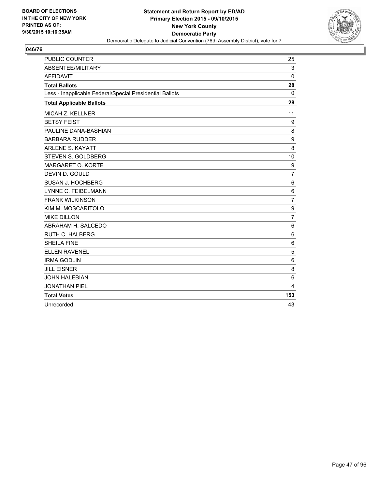

| <b>PUBLIC COUNTER</b>                                    | 25             |
|----------------------------------------------------------|----------------|
| ABSENTEE/MILITARY                                        | 3              |
| <b>AFFIDAVIT</b>                                         | $\mathbf{0}$   |
| <b>Total Ballots</b>                                     | 28             |
| Less - Inapplicable Federal/Special Presidential Ballots | 0              |
| <b>Total Applicable Ballots</b>                          | 28             |
| <b>MICAH Z. KELLNER</b>                                  | 11             |
| <b>BETSY FEIST</b>                                       | 9              |
| PAULINE DANA-BASHIAN                                     | 8              |
| <b>BARBARA RUDDER</b>                                    | 9              |
| <b>ARLENE S. KAYATT</b>                                  | 8              |
| STEVEN S. GOLDBERG                                       | 10             |
| MARGARET O. KORTE                                        | 9              |
| DEVIN D. GOULD                                           | 7              |
| SUSAN J. HOCHBERG                                        | 6              |
| LYNNE C. FEIBELMANN                                      | 6              |
| <b>FRANK WILKINSON</b>                                   | $\overline{7}$ |
| KIM M. MOSCARITOLO                                       | 9              |
| <b>MIKE DILLON</b>                                       | $\overline{7}$ |
| ABRAHAM H. SALCEDO                                       | 6              |
| <b>RUTH C. HALBERG</b>                                   | 6              |
| <b>SHEILA FINE</b>                                       | 6              |
| <b>ELLEN RAVENEL</b>                                     | 5              |
| <b>IRMA GODLIN</b>                                       | 6              |
| <b>JILL EISNER</b>                                       | 8              |
| <b>JOHN HALEBIAN</b>                                     | 6              |
| <b>JONATHAN PIEL</b>                                     | 4              |
| <b>Total Votes</b>                                       | 153            |
| Unrecorded                                               | 43             |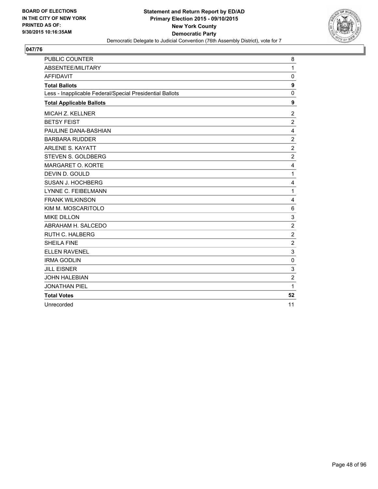

| <b>PUBLIC COUNTER</b>                                    | 8                       |
|----------------------------------------------------------|-------------------------|
| ABSENTEE/MILITARY                                        | $\mathbf{1}$            |
| <b>AFFIDAVIT</b>                                         | 0                       |
| <b>Total Ballots</b>                                     | $\boldsymbol{9}$        |
| Less - Inapplicable Federal/Special Presidential Ballots | 0                       |
| <b>Total Applicable Ballots</b>                          | 9                       |
| MICAH Z. KELLNER                                         | $\overline{2}$          |
| <b>BETSY FEIST</b>                                       | $\overline{\mathbf{c}}$ |
| PAULINE DANA-BASHIAN                                     | 4                       |
| <b>BARBARA RUDDER</b>                                    | 2                       |
| <b>ARLENE S. KAYATT</b>                                  | $\overline{2}$          |
| <b>STEVEN S. GOLDBERG</b>                                | $\overline{2}$          |
| MARGARET O. KORTE                                        | 4                       |
| DEVIN D. GOULD                                           | $\mathbf{1}$            |
| SUSAN J. HOCHBERG                                        | 4                       |
| LYNNE C. FEIBELMANN                                      | $\mathbf{1}$            |
| <b>FRANK WILKINSON</b>                                   | 4                       |
| KIM M. MOSCARITOLO                                       | 6                       |
| <b>MIKE DILLON</b>                                       | 3                       |
| ABRAHAM H. SALCEDO                                       | $\overline{2}$          |
| <b>RUTH C. HALBERG</b>                                   | $\overline{2}$          |
| <b>SHEILA FINE</b>                                       | $\overline{c}$          |
| <b>ELLEN RAVENEL</b>                                     | 3                       |
| <b>IRMA GODLIN</b>                                       | 0                       |
| <b>JILL EISNER</b>                                       | 3                       |
| <b>JOHN HALEBIAN</b>                                     | $\overline{2}$          |
| <b>JONATHAN PIEL</b>                                     | $\mathbf{1}$            |
| <b>Total Votes</b>                                       | 52                      |
| Unrecorded                                               | 11                      |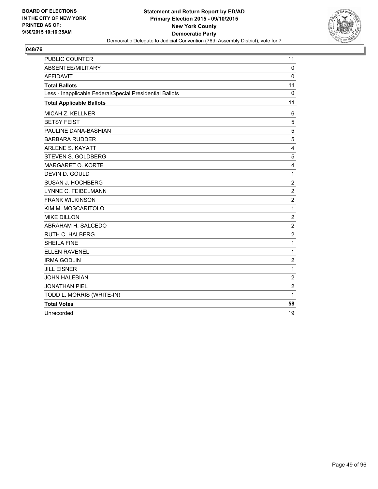

| <b>PUBLIC COUNTER</b>                                    | 11               |
|----------------------------------------------------------|------------------|
| ABSENTEE/MILITARY                                        | 0                |
| <b>AFFIDAVIT</b>                                         | $\mathbf 0$      |
| <b>Total Ballots</b>                                     | 11               |
| Less - Inapplicable Federal/Special Presidential Ballots | 0                |
| <b>Total Applicable Ballots</b>                          | 11               |
| MICAH Z. KELLNER                                         | 6                |
| <b>BETSY FEIST</b>                                       | 5                |
| PAULINE DANA-BASHIAN                                     | 5                |
| <b>BARBARA RUDDER</b>                                    | 5                |
| <b>ARLENE S. KAYATT</b>                                  | 4                |
| <b>STEVEN S. GOLDBERG</b>                                | 5                |
| MARGARET O. KORTE                                        | 4                |
| DEVIN D. GOULD                                           | $\mathbf 1$      |
| SUSAN J. HOCHBERG                                        | $\overline{2}$   |
| LYNNE C. FEIBELMANN                                      | $\overline{2}$   |
| <b>FRANK WILKINSON</b>                                   | $\overline{2}$   |
| KIM M. MOSCARITOLO                                       | $\mathbf 1$      |
| <b>MIKE DILLON</b>                                       | $\overline{2}$   |
| ABRAHAM H. SALCEDO                                       | $\overline{2}$   |
| <b>RUTH C. HALBERG</b>                                   | $\overline{2}$   |
| <b>SHEILA FINE</b>                                       | 1                |
| <b>ELLEN RAVENEL</b>                                     | 1                |
| <b>IRMA GODLIN</b>                                       | $\mathbf 2$      |
| <b>JILL EISNER</b>                                       | 1                |
| <b>JOHN HALEBIAN</b>                                     | $\overline{2}$   |
| <b>JONATHAN PIEL</b>                                     | $\boldsymbol{2}$ |
| TODD L. MORRIS (WRITE-IN)                                | 1                |
| <b>Total Votes</b>                                       | 58               |
| Unrecorded                                               | 19               |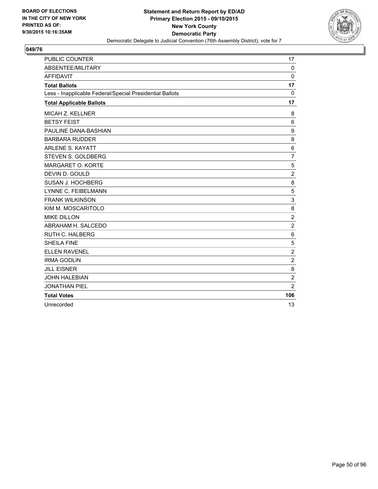

| <b>PUBLIC COUNTER</b>                                    | 17             |
|----------------------------------------------------------|----------------|
| <b>ABSENTEE/MILITARY</b>                                 | $\Omega$       |
| <b>AFFIDAVIT</b>                                         | 0              |
| <b>Total Ballots</b>                                     | 17             |
| Less - Inapplicable Federal/Special Presidential Ballots | $\mathbf{0}$   |
| <b>Total Applicable Ballots</b>                          | 17             |
| <b>MICAH Z. KELLNER</b>                                  | 8              |
| <b>BETSY FEIST</b>                                       | 6              |
| PAULINE DANA-BASHIAN                                     | 9              |
| <b>BARBARA RUDDER</b>                                    | 8              |
| <b>ARLENE S. KAYATT</b>                                  | 6              |
| STEVEN S. GOLDBERG                                       | $\overline{7}$ |
| MARGARET O. KORTE                                        | 5              |
| DEVIN D. GOULD                                           | $\overline{2}$ |
| SUSAN J. HOCHBERG                                        | 8              |
| LYNNE C. FEIBELMANN                                      | 5              |
| <b>FRANK WILKINSON</b>                                   | 3              |
| KIM M. MOSCARITOLO                                       | 8              |
| <b>MIKE DILLON</b>                                       | $\overline{2}$ |
| ABRAHAM H. SALCEDO                                       | $\overline{2}$ |
| <b>RUTH C. HALBERG</b>                                   | 6              |
| <b>SHEILA FINE</b>                                       | 5              |
| <b>ELLEN RAVENEL</b>                                     | $\overline{c}$ |
| <b>IRMA GODLIN</b>                                       | $\overline{2}$ |
| <b>JILL EISNER</b>                                       | 8              |
| <b>JOHN HALEBIAN</b>                                     | $\overline{2}$ |
| <b>JONATHAN PIEL</b>                                     | $\overline{2}$ |
| <b>Total Votes</b>                                       | 106            |
| Unrecorded                                               | 13             |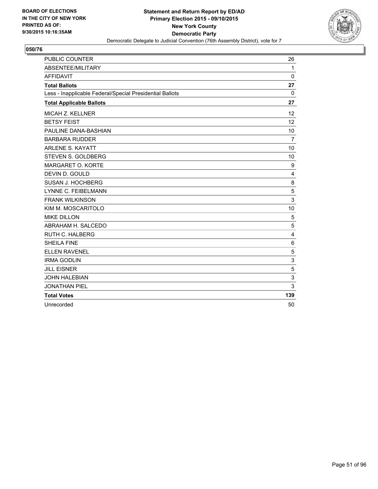

| <b>PUBLIC COUNTER</b>                                    | 26           |
|----------------------------------------------------------|--------------|
| ABSENTEE/MILITARY                                        | $\mathbf{1}$ |
| <b>AFFIDAVIT</b>                                         | 0            |
| <b>Total Ballots</b>                                     | 27           |
| Less - Inapplicable Federal/Special Presidential Ballots | 0            |
| <b>Total Applicable Ballots</b>                          | 27           |
| MICAH Z. KELLNER                                         | 12           |
| <b>BETSY FEIST</b>                                       | 12           |
| PAULINE DANA-BASHIAN                                     | 10           |
| <b>BARBARA RUDDER</b>                                    | 7            |
| <b>ARLENE S. KAYATT</b>                                  | 10           |
| STEVEN S. GOLDBERG                                       | 10           |
| MARGARET O. KORTE                                        | 9            |
| DEVIN D. GOULD                                           | 4            |
| SUSAN J. HOCHBERG                                        | 8            |
| <b>LYNNE C. FEIBELMANN</b>                               | 5            |
| <b>FRANK WILKINSON</b>                                   | 3            |
| KIM M. MOSCARITOLO                                       | 10           |
| <b>MIKE DILLON</b>                                       | 5            |
| ABRAHAM H. SALCEDO                                       | 5            |
| <b>RUTH C. HALBERG</b>                                   | 4            |
| <b>SHEILA FINE</b>                                       | 6            |
| <b>ELLEN RAVENEL</b>                                     | 5            |
| <b>IRMA GODLIN</b>                                       | 3            |
| <b>JILL EISNER</b>                                       | 5            |
| <b>JOHN HALEBIAN</b>                                     | 3            |
| <b>JONATHAN PIEL</b>                                     | 3            |
| <b>Total Votes</b>                                       | 139          |
| Unrecorded                                               | 50           |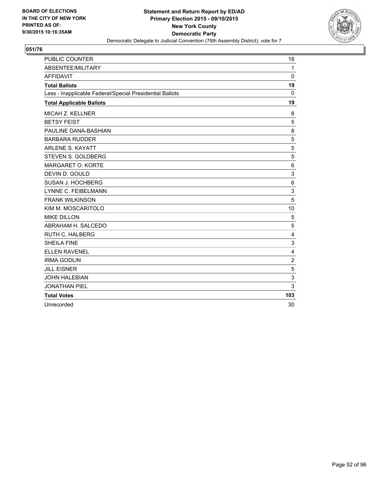

| <b>PUBLIC COUNTER</b>                                    | 18             |
|----------------------------------------------------------|----------------|
| <b>ABSENTEE/MILITARY</b>                                 | $\mathbf{1}$   |
| <b>AFFIDAVIT</b>                                         | 0              |
| <b>Total Ballots</b>                                     | 19             |
| Less - Inapplicable Federal/Special Presidential Ballots | 0              |
| <b>Total Applicable Ballots</b>                          | 19             |
| <b>MICAH Z. KELLNER</b>                                  | 8              |
| <b>BETSY FEIST</b>                                       | 5              |
| PAULINE DANA-BASHIAN                                     | 8              |
| <b>BARBARA RUDDER</b>                                    | 5              |
| <b>ARLENE S. KAYATT</b>                                  | 5              |
| STEVEN S. GOLDBERG                                       | 5              |
| MARGARET O. KORTE                                        | 6              |
| DEVIN D. GOULD                                           | 3              |
| SUSAN J. HOCHBERG                                        | 6              |
| <b>LYNNE C. FEIBELMANN</b>                               | 3              |
| <b>FRANK WILKINSON</b>                                   | 5              |
| KIM M. MOSCARITOLO                                       | 10             |
| <b>MIKE DILLON</b>                                       | 5              |
| ABRAHAM H. SALCEDO                                       | 5              |
| <b>RUTH C. HALBERG</b>                                   | 4              |
| <b>SHEILA FINE</b>                                       | 3              |
| <b>ELLEN RAVENEL</b>                                     | 4              |
| <b>IRMA GODLIN</b>                                       | $\overline{2}$ |
| <b>JILL EISNER</b>                                       | 5              |
| <b>JOHN HALEBIAN</b>                                     | 3              |
| <b>JONATHAN PIEL</b>                                     | 3              |
| <b>Total Votes</b>                                       | 103            |
| Unrecorded                                               | 30             |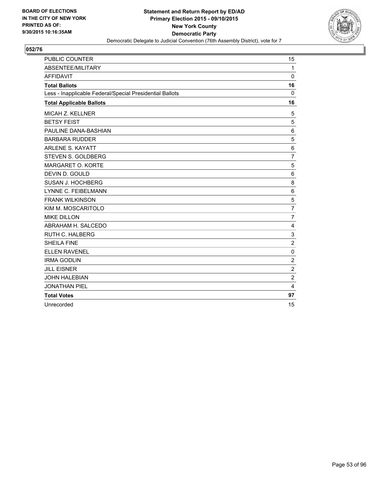

| <b>PUBLIC COUNTER</b>                                    | 15             |
|----------------------------------------------------------|----------------|
| <b>ABSENTEE/MILITARY</b>                                 | $\mathbf{1}$   |
| <b>AFFIDAVIT</b>                                         | 0              |
| <b>Total Ballots</b>                                     | 16             |
| Less - Inapplicable Federal/Special Presidential Ballots | $\mathbf{0}$   |
| <b>Total Applicable Ballots</b>                          | 16             |
| <b>MICAH Z. KELLNER</b>                                  | 5              |
| <b>BETSY FEIST</b>                                       | 5              |
| PAULINE DANA-BASHIAN                                     | 6              |
| <b>BARBARA RUDDER</b>                                    | 5              |
| <b>ARLENE S. KAYATT</b>                                  | 6              |
| STEVEN S. GOLDBERG                                       | $\overline{7}$ |
| MARGARET O. KORTE                                        | 5              |
| DEVIN D. GOULD                                           | 6              |
| SUSAN J. HOCHBERG                                        | 8              |
| <b>LYNNE C. FEIBELMANN</b>                               | 6              |
| <b>FRANK WILKINSON</b>                                   | 5              |
| KIM M. MOSCARITOLO                                       | $\overline{7}$ |
| <b>MIKE DILLON</b>                                       | $\overline{7}$ |
| ABRAHAM H. SALCEDO                                       | $\overline{4}$ |
| <b>RUTH C. HALBERG</b>                                   | 3              |
| <b>SHEILA FINE</b>                                       | $\overline{2}$ |
| <b>ELLEN RAVENEL</b>                                     | 0              |
| <b>IRMA GODLIN</b>                                       | $\overline{2}$ |
| <b>JILL EISNER</b>                                       | 2              |
| <b>JOHN HALEBIAN</b>                                     | $\overline{2}$ |
| <b>JONATHAN PIEL</b>                                     | 4              |
| <b>Total Votes</b>                                       | 97             |
| Unrecorded                                               | 15             |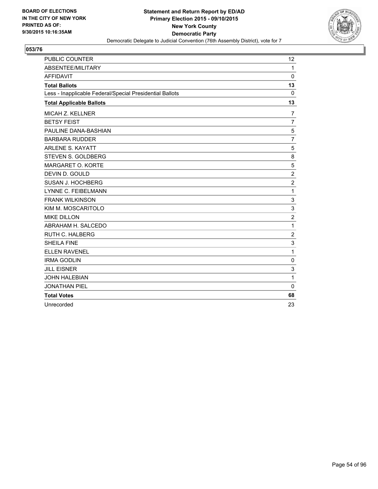

| <b>PUBLIC COUNTER</b>                                    | 12             |
|----------------------------------------------------------|----------------|
| <b>ABSENTEE/MILITARY</b>                                 | $\mathbf{1}$   |
| <b>AFFIDAVIT</b>                                         | 0              |
| <b>Total Ballots</b>                                     | 13             |
| Less - Inapplicable Federal/Special Presidential Ballots | 0              |
| <b>Total Applicable Ballots</b>                          | 13             |
| <b>MICAH Z. KELLNER</b>                                  | 7              |
| <b>BETSY FEIST</b>                                       | $\overline{7}$ |
| PAULINE DANA-BASHIAN                                     | 5              |
| <b>BARBARA RUDDER</b>                                    | $\overline{7}$ |
| <b>ARLENE S. KAYATT</b>                                  | 5              |
| STEVEN S. GOLDBERG                                       | 8              |
| MARGARET O. KORTE                                        | 5              |
| DEVIN D. GOULD                                           | $\overline{2}$ |
| SUSAN J. HOCHBERG                                        | $\overline{2}$ |
| <b>LYNNE C. FEIBELMANN</b>                               | 1              |
| <b>FRANK WILKINSON</b>                                   | 3              |
| KIM M. MOSCARITOLO                                       | 3              |
| <b>MIKE DILLON</b>                                       | $\overline{c}$ |
| ABRAHAM H. SALCEDO                                       | 1              |
| RUTH C. HALBERG                                          | 2              |
| <b>SHEILA FINE</b>                                       | 3              |
| <b>ELLEN RAVENEL</b>                                     | 1              |
| <b>IRMA GODLIN</b>                                       | $\mathbf 0$    |
| <b>JILL EISNER</b>                                       | 3              |
| <b>JOHN HALEBIAN</b>                                     | 1              |
| <b>JONATHAN PIEL</b>                                     | $\mathbf{0}$   |
| <b>Total Votes</b>                                       | 68             |
| Unrecorded                                               | 23             |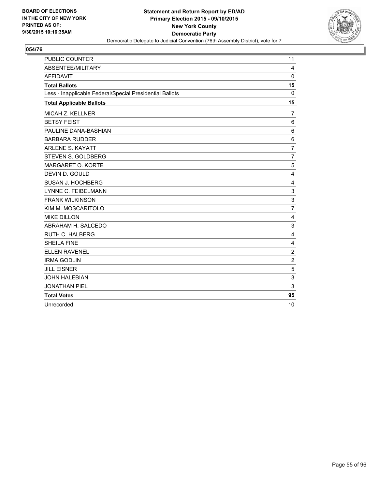

| <b>PUBLIC COUNTER</b>                                    | 11             |
|----------------------------------------------------------|----------------|
| <b>ABSENTEE/MILITARY</b>                                 | 4              |
| <b>AFFIDAVIT</b>                                         | 0              |
| <b>Total Ballots</b>                                     | 15             |
| Less - Inapplicable Federal/Special Presidential Ballots | 0              |
| <b>Total Applicable Ballots</b>                          | 15             |
| <b>MICAH Z. KELLNER</b>                                  | 7              |
| <b>BETSY FEIST</b>                                       | 6              |
| PAULINE DANA-BASHIAN                                     | 6              |
| <b>BARBARA RUDDER</b>                                    | 6              |
| <b>ARLENE S. KAYATT</b>                                  | 7              |
| STEVEN S. GOLDBERG                                       | $\overline{7}$ |
| MARGARET O. KORTE                                        | 5              |
| DEVIN D. GOULD                                           | 4              |
| SUSAN J. HOCHBERG                                        | 4              |
| <b>LYNNE C. FEIBELMANN</b>                               | 3              |
| <b>FRANK WILKINSON</b>                                   | 3              |
| KIM M. MOSCARITOLO                                       | $\overline{7}$ |
| <b>MIKE DILLON</b>                                       | 4              |
| ABRAHAM H. SALCEDO                                       | 3              |
| <b>RUTH C. HALBERG</b>                                   | 4              |
| <b>SHEILA FINE</b>                                       | 4              |
| <b>ELLEN RAVENEL</b>                                     | $\overline{c}$ |
| <b>IRMA GODLIN</b>                                       | $\overline{2}$ |
| <b>JILL EISNER</b>                                       | 5              |
| <b>JOHN HALEBIAN</b>                                     | 3              |
| <b>JONATHAN PIEL</b>                                     | 3              |
| <b>Total Votes</b>                                       | 95             |
| Unrecorded                                               | 10             |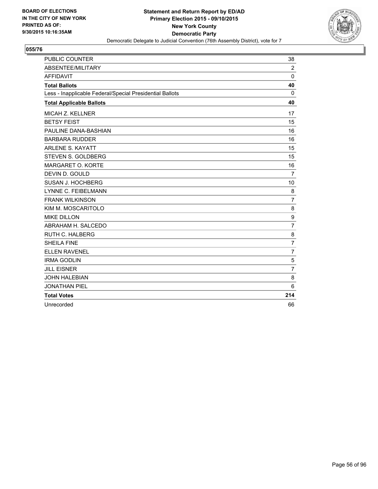

| <b>PUBLIC COUNTER</b>                                    | 38             |
|----------------------------------------------------------|----------------|
| ABSENTEE/MILITARY                                        | 2              |
| <b>AFFIDAVIT</b>                                         | $\Omega$       |
| <b>Total Ballots</b>                                     | 40             |
| Less - Inapplicable Federal/Special Presidential Ballots | 0              |
| <b>Total Applicable Ballots</b>                          | 40             |
| MICAH Z. KELLNER                                         | 17             |
| <b>BETSY FEIST</b>                                       | 15             |
| PAULINE DANA-BASHIAN                                     | 16             |
| <b>BARBARA RUDDER</b>                                    | 16             |
| <b>ARLENE S. KAYATT</b>                                  | 15             |
| STEVEN S. GOLDBERG                                       | 15             |
| MARGARET O. KORTE                                        | 16             |
| DEVIN D. GOULD                                           | $\overline{7}$ |
| SUSAN J. HOCHBERG                                        | 10             |
| LYNNE C. FEIBELMANN                                      | 8              |
| <b>FRANK WILKINSON</b>                                   | $\overline{7}$ |
| KIM M. MOSCARITOLO                                       | 8              |
| <b>MIKE DILLON</b>                                       | 9              |
| ABRAHAM H. SALCEDO                                       | $\overline{7}$ |
| RUTH C. HALBERG                                          | 8              |
| <b>SHEILA FINE</b>                                       | 7              |
| <b>ELLEN RAVENEL</b>                                     | $\overline{7}$ |
| <b>IRMA GODLIN</b>                                       | 5              |
| <b>JILL EISNER</b>                                       | $\overline{7}$ |
| <b>JOHN HALEBIAN</b>                                     | 8              |
| <b>JONATHAN PIEL</b>                                     | 6              |
| <b>Total Votes</b>                                       | 214            |
| Unrecorded                                               | 66             |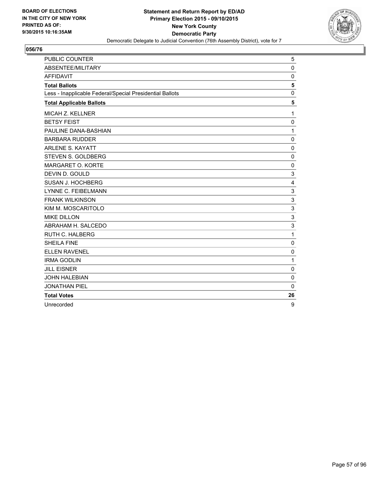

| <b>PUBLIC COUNTER</b>                                    | 5           |
|----------------------------------------------------------|-------------|
| ABSENTEE/MILITARY                                        | $\Omega$    |
| <b>AFFIDAVIT</b>                                         | 0           |
| <b>Total Ballots</b>                                     | 5           |
| Less - Inapplicable Federal/Special Presidential Ballots | $\mathbf 0$ |
| <b>Total Applicable Ballots</b>                          | 5           |
| MICAH Z. KELLNER                                         | 1           |
| <b>BETSY FEIST</b>                                       | $\mathbf 0$ |
| PAULINE DANA-BASHIAN                                     | 1           |
| <b>BARBARA RUDDER</b>                                    | $\mathbf 0$ |
| <b>ARLENE S. KAYATT</b>                                  | $\mathbf 0$ |
| STEVEN S. GOLDBERG                                       | $\mathbf 0$ |
| MARGARET O. KORTE                                        | 0           |
| DEVIN D. GOULD                                           | 3           |
| SUSAN J. HOCHBERG                                        | 4           |
| <b>LYNNE C. FEIBELMANN</b>                               | 3           |
| <b>FRANK WILKINSON</b>                                   | 3           |
| KIM M. MOSCARITOLO                                       | 3           |
| <b>MIKE DILLON</b>                                       | 3           |
| ABRAHAM H. SALCEDO                                       | 3           |
| <b>RUTH C. HALBERG</b>                                   | 1           |
| <b>SHEILA FINE</b>                                       | 0           |
| <b>ELLEN RAVENEL</b>                                     | $\mathbf 0$ |
| <b>IRMA GODLIN</b>                                       | 1           |
| <b>JILL EISNER</b>                                       | 0           |
| <b>JOHN HALEBIAN</b>                                     | $\Omega$    |
| <b>JONATHAN PIEL</b>                                     | $\Omega$    |
| <b>Total Votes</b>                                       | 26          |
| Unrecorded                                               | 9           |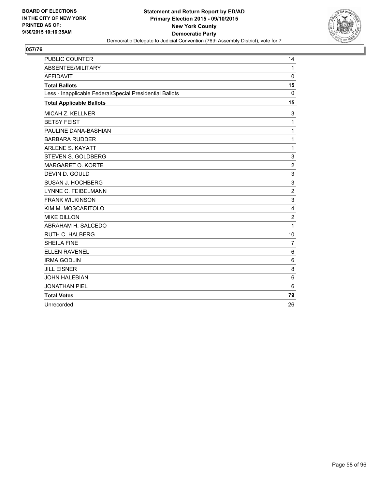

| <b>PUBLIC COUNTER</b>                                    | 14             |
|----------------------------------------------------------|----------------|
| <b>ABSENTEE/MILITARY</b>                                 | $\mathbf{1}$   |
| <b>AFFIDAVIT</b>                                         | 0              |
| <b>Total Ballots</b>                                     | 15             |
| Less - Inapplicable Federal/Special Presidential Ballots | 0              |
| <b>Total Applicable Ballots</b>                          | 15             |
| <b>MICAH Z. KELLNER</b>                                  | 3              |
| <b>BETSY FEIST</b>                                       | 1              |
| PAULINE DANA-BASHIAN                                     | 1              |
| <b>BARBARA RUDDER</b>                                    | 1              |
| <b>ARLENE S. KAYATT</b>                                  | 1              |
| STEVEN S. GOLDBERG                                       | 3              |
| MARGARET O. KORTE                                        | $\overline{2}$ |
| DEVIN D. GOULD                                           | 3              |
| SUSAN J. HOCHBERG                                        | 3              |
| <b>LYNNE C. FEIBELMANN</b>                               | $\overline{2}$ |
| <b>FRANK WILKINSON</b>                                   | 3              |
| KIM M. MOSCARITOLO                                       | $\overline{4}$ |
| <b>MIKE DILLON</b>                                       | $\overline{2}$ |
| ABRAHAM H. SALCEDO                                       | 1              |
| <b>RUTH C. HALBERG</b>                                   | 10             |
| <b>SHEILA FINE</b>                                       | $\overline{7}$ |
| <b>ELLEN RAVENEL</b>                                     | 6              |
| <b>IRMA GODLIN</b>                                       | 6              |
| <b>JILL EISNER</b>                                       | 8              |
| <b>JOHN HALEBIAN</b>                                     | 6              |
| <b>JONATHAN PIEL</b>                                     | 6              |
| <b>Total Votes</b>                                       | 79             |
| Unrecorded                                               | 26             |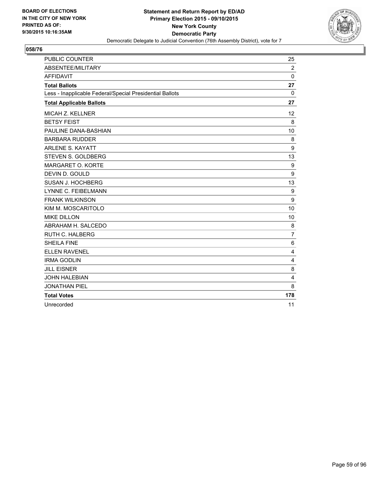

| <b>PUBLIC COUNTER</b>                                    | 25             |
|----------------------------------------------------------|----------------|
| <b>ABSENTEE/MILITARY</b>                                 | $\overline{2}$ |
| <b>AFFIDAVIT</b>                                         | 0              |
| <b>Total Ballots</b>                                     | 27             |
| Less - Inapplicable Federal/Special Presidential Ballots | $\mathbf{0}$   |
| <b>Total Applicable Ballots</b>                          | 27             |
| <b>MICAH Z. KELLNER</b>                                  | 12             |
| <b>BETSY FEIST</b>                                       | 8              |
| PAULINE DANA-BASHIAN                                     | 10             |
| <b>BARBARA RUDDER</b>                                    | 8              |
| <b>ARLENE S. KAYATT</b>                                  | 9              |
| STEVEN S. GOLDBERG                                       | 13             |
| MARGARET O. KORTE                                        | 9              |
| DEVIN D. GOULD                                           | 9              |
| SUSAN J. HOCHBERG                                        | 13             |
| LYNNE C. FEIBELMANN                                      | 9              |
| <b>FRANK WILKINSON</b>                                   | 9              |
| KIM M. MOSCARITOLO                                       | 10             |
| <b>MIKE DILLON</b>                                       | 10             |
| ABRAHAM H. SALCEDO                                       | 8              |
| <b>RUTH C. HALBERG</b>                                   | $\overline{7}$ |
| <b>SHEILA FINE</b>                                       | 6              |
| <b>ELLEN RAVENEL</b>                                     | 4              |
| <b>IRMA GODLIN</b>                                       | $\overline{4}$ |
| <b>JILL EISNER</b>                                       | 8              |
| <b>JOHN HALEBIAN</b>                                     | 4              |
| <b>JONATHAN PIEL</b>                                     | 8              |
| <b>Total Votes</b>                                       | 178            |
| Unrecorded                                               | 11             |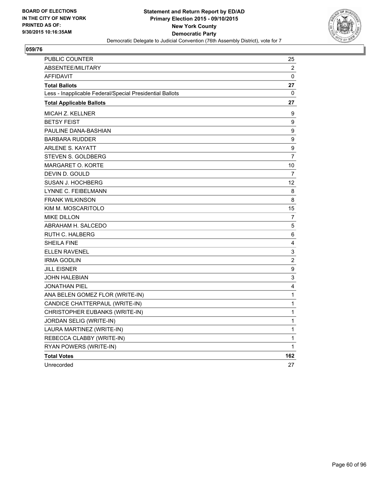

| PUBLIC COUNTER                                           | 25               |
|----------------------------------------------------------|------------------|
| ABSENTEE/MILITARY                                        | 2                |
| <b>AFFIDAVIT</b>                                         | 0                |
| <b>Total Ballots</b>                                     | 27               |
| Less - Inapplicable Federal/Special Presidential Ballots | 0                |
| <b>Total Applicable Ballots</b>                          | 27               |
| MICAH Z. KELLNER                                         | 9                |
| <b>BETSY FEIST</b>                                       | $\boldsymbol{9}$ |
| PAULINE DANA-BASHIAN                                     | $\boldsymbol{9}$ |
| <b>BARBARA RUDDER</b>                                    | $\boldsymbol{9}$ |
| <b>ARLENE S. KAYATT</b>                                  | $\boldsymbol{9}$ |
| STEVEN S. GOLDBERG                                       | $\overline{7}$   |
| <b>MARGARET O. KORTE</b>                                 | 10               |
| DEVIN D. GOULD                                           | $\overline{7}$   |
| SUSAN J. HOCHBERG                                        | 12               |
| LYNNE C. FEIBELMANN                                      | 8                |
| <b>FRANK WILKINSON</b>                                   | 8                |
| KIM M. MOSCARITOLO                                       | 15               |
| <b>MIKE DILLON</b>                                       | $\overline{7}$   |
| ABRAHAM H. SALCEDO                                       | 5                |
| RUTH C. HALBERG                                          | 6                |
| <b>SHEILA FINE</b>                                       | 4                |
| <b>ELLEN RAVENEL</b>                                     | 3                |
| <b>IRMA GODLIN</b>                                       | $\boldsymbol{2}$ |
| JILL EISNER                                              | $\boldsymbol{9}$ |
| JOHN HALEBIAN                                            | 3                |
| <b>JONATHAN PIEL</b>                                     | 4                |
| ANA BELEN GOMEZ FLOR (WRITE-IN)                          | $\mathbf 1$      |
| CANDICE CHATTERPAUL (WRITE-IN)                           | 1                |
| CHRISTOPHER EUBANKS (WRITE-IN)                           | 1                |
| JORDAN SELIG (WRITE-IN)                                  | 1                |
| LAURA MARTINEZ (WRITE-IN)                                | $\mathbf 1$      |
| REBECCA CLABBY (WRITE-IN)                                | 1                |
| RYAN POWERS (WRITE-IN)                                   | 1                |
| <b>Total Votes</b>                                       | 162              |
| Unrecorded                                               | 27               |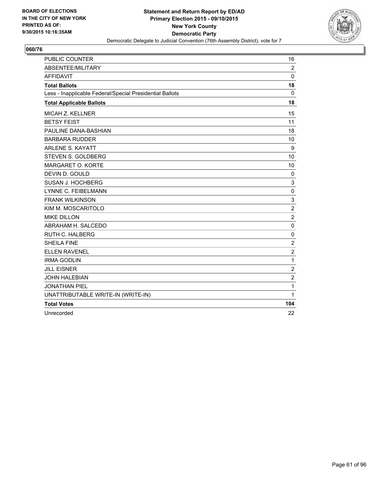

| <b>PUBLIC COUNTER</b>                                    | 16               |
|----------------------------------------------------------|------------------|
| ABSENTEE/MILITARY                                        | $\overline{2}$   |
| <b>AFFIDAVIT</b>                                         | 0                |
| <b>Total Ballots</b>                                     | 18               |
| Less - Inapplicable Federal/Special Presidential Ballots | $\Omega$         |
| <b>Total Applicable Ballots</b>                          | 18               |
| MICAH Z. KELLNER                                         | 15               |
| <b>BETSY FEIST</b>                                       | 11               |
| PAULINE DANA-BASHIAN                                     | 18               |
| <b>BARBARA RUDDER</b>                                    | 10               |
| <b>ARLENE S. KAYATT</b>                                  | 9                |
| STEVEN S. GOLDBERG                                       | 10               |
| MARGARET O. KORTE                                        | 10               |
| DEVIN D. GOULD                                           | 0                |
| <b>SUSAN J. HOCHBERG</b>                                 | 3                |
| LYNNE C. FEIBELMANN                                      | 0                |
| <b>FRANK WILKINSON</b>                                   | 3                |
| KIM M. MOSCARITOLO                                       | $\overline{c}$   |
| <b>MIKE DILLON</b>                                       | $\overline{2}$   |
| ABRAHAM H. SALCEDO                                       | $\mathbf 0$      |
| <b>RUTH C. HALBERG</b>                                   | $\pmb{0}$        |
| <b>SHEILA FINE</b>                                       | $\mathbf 2$      |
| <b>ELLEN RAVENEL</b>                                     | $\boldsymbol{2}$ |
| <b>IRMA GODLIN</b>                                       | $\mathbf{1}$     |
| <b>JILL EISNER</b>                                       | $\overline{c}$   |
| <b>JOHN HALEBIAN</b>                                     | $\overline{c}$   |
| <b>JONATHAN PIEL</b>                                     | $\mathbf{1}$     |
| UNATTRIBUTABLE WRITE-IN (WRITE-IN)                       | $\mathbf{1}$     |
| <b>Total Votes</b>                                       | 104              |
| Unrecorded                                               | 22               |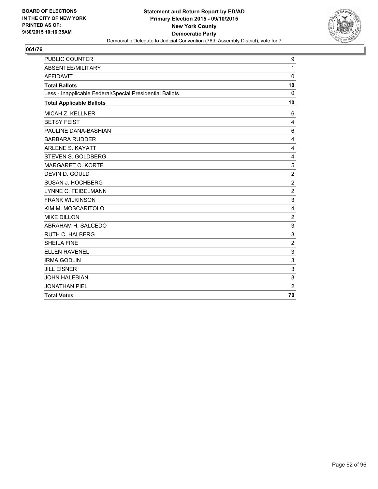

| PUBLIC COUNTER                                           | 9              |
|----------------------------------------------------------|----------------|
| ABSENTEE/MILITARY                                        | $\mathbf{1}$   |
| <b>AFFIDAVIT</b>                                         | $\mathbf 0$    |
| <b>Total Ballots</b>                                     | 10             |
| Less - Inapplicable Federal/Special Presidential Ballots | $\Omega$       |
| <b>Total Applicable Ballots</b>                          | 10             |
| <b>MICAH Z. KELLNER</b>                                  | 6              |
| <b>BETSY FEIST</b>                                       | 4              |
| PAULINE DANA-BASHIAN                                     | 6              |
| <b>BARBARA RUDDER</b>                                    | 4              |
| <b>ARLENE S. KAYATT</b>                                  | 4              |
| STEVEN S. GOLDBERG                                       | 4              |
| MARGARET O. KORTE                                        | 5              |
| DEVIN D. GOULD                                           | $\overline{2}$ |
| SUSAN J. HOCHBERG                                        | $\overline{2}$ |
| LYNNE C. FEIBELMANN                                      | $\overline{2}$ |
| <b>FRANK WILKINSON</b>                                   | 3              |
| KIM M. MOSCARITOLO                                       | 4              |
| <b>MIKE DILLON</b>                                       | $\overline{2}$ |
| ABRAHAM H. SALCEDO                                       | 3              |
| <b>RUTH C. HALBERG</b>                                   | 3              |
| <b>SHEILA FINE</b>                                       | $\overline{2}$ |
| <b>ELLEN RAVENEL</b>                                     | 3              |
| <b>IRMA GODLIN</b>                                       | 3              |
| <b>JILL EISNER</b>                                       | 3              |
| <b>JOHN HALEBIAN</b>                                     | 3              |
| <b>JONATHAN PIEL</b>                                     | $\overline{2}$ |
| <b>Total Votes</b>                                       | 70             |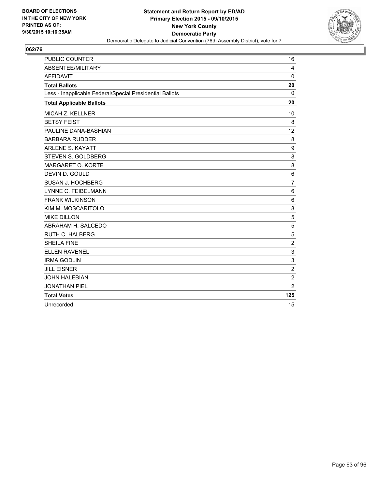

| <b>PUBLIC COUNTER</b>                                    | 16             |
|----------------------------------------------------------|----------------|
| <b>ABSENTEE/MILITARY</b>                                 | 4              |
| <b>AFFIDAVIT</b>                                         | 0              |
| <b>Total Ballots</b>                                     | 20             |
| Less - Inapplicable Federal/Special Presidential Ballots | $\mathbf{0}$   |
| <b>Total Applicable Ballots</b>                          | 20             |
| <b>MICAH Z. KELLNER</b>                                  | 10             |
| <b>BETSY FEIST</b>                                       | 8              |
| PAULINE DANA-BASHIAN                                     | 12             |
| <b>BARBARA RUDDER</b>                                    | 8              |
| <b>ARLENE S. KAYATT</b>                                  | 9              |
| STEVEN S. GOLDBERG                                       | 8              |
| MARGARET O. KORTE                                        | 8              |
| DEVIN D. GOULD                                           | 6              |
| SUSAN J. HOCHBERG                                        | $\overline{7}$ |
| <b>LYNNE C. FEIBELMANN</b>                               | 6              |
| <b>FRANK WILKINSON</b>                                   | 6              |
| KIM M. MOSCARITOLO                                       | 8              |
| <b>MIKE DILLON</b>                                       | 5              |
| ABRAHAM H. SALCEDO                                       | 5              |
| <b>RUTH C. HALBERG</b>                                   | 5              |
| <b>SHEILA FINE</b>                                       | $\overline{2}$ |
| <b>ELLEN RAVENEL</b>                                     | 3              |
| <b>IRMA GODLIN</b>                                       | 3              |
| <b>JILL EISNER</b>                                       | 2              |
| <b>JOHN HALEBIAN</b>                                     | $\overline{2}$ |
| <b>JONATHAN PIEL</b>                                     | $\overline{2}$ |
| <b>Total Votes</b>                                       | 125            |
| Unrecorded                                               | 15             |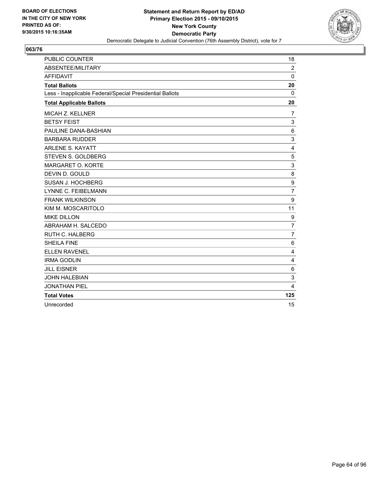

| <b>PUBLIC COUNTER</b>                                    | 18              |
|----------------------------------------------------------|-----------------|
| ABSENTEE/MILITARY                                        | $\overline{2}$  |
| <b>AFFIDAVIT</b>                                         | $\mathbf{0}$    |
| <b>Total Ballots</b>                                     | 20              |
| Less - Inapplicable Federal/Special Presidential Ballots | 0               |
| <b>Total Applicable Ballots</b>                          | 20              |
| MICAH Z. KELLNER                                         | $\overline{7}$  |
| <b>BETSY FEIST</b>                                       | 3               |
| PAULINE DANA-BASHIAN                                     | $6\phantom{1}6$ |
| <b>BARBARA RUDDER</b>                                    | 3               |
| <b>ARLENE S. KAYATT</b>                                  | 4               |
| STEVEN S. GOLDBERG                                       | 5               |
| MARGARET O. KORTE                                        | 3               |
| DEVIN D. GOULD                                           | 8               |
| SUSAN J. HOCHBERG                                        | 9               |
| LYNNE C. FEIBELMANN                                      | $\overline{7}$  |
| <b>FRANK WILKINSON</b>                                   | 9               |
| KIM M. MOSCARITOLO                                       | 11              |
| <b>MIKE DILLON</b>                                       | 9               |
| ABRAHAM H. SALCEDO                                       | $\overline{7}$  |
| <b>RUTH C. HALBERG</b>                                   | $\overline{7}$  |
| <b>SHEILA FINE</b>                                       | 6               |
| <b>ELLEN RAVENEL</b>                                     | 4               |
| <b>IRMA GODLIN</b>                                       | 4               |
| <b>JILL EISNER</b>                                       | 6               |
| <b>JOHN HALEBIAN</b>                                     | 3               |
| <b>JONATHAN PIEL</b>                                     | 4               |
| <b>Total Votes</b>                                       | 125             |
| Unrecorded                                               | 15              |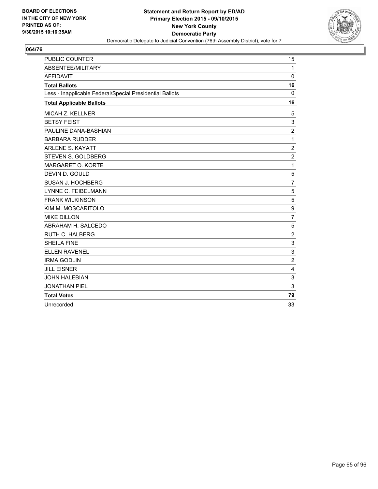

| <b>PUBLIC COUNTER</b>                                    | 15             |
|----------------------------------------------------------|----------------|
| ABSENTEE/MILITARY                                        | $\mathbf{1}$   |
| <b>AFFIDAVIT</b>                                         | $\mathbf 0$    |
| <b>Total Ballots</b>                                     | 16             |
| Less - Inapplicable Federal/Special Presidential Ballots | 0              |
| <b>Total Applicable Ballots</b>                          | 16             |
| MICAH Z. KELLNER                                         | 5              |
| <b>BETSY FEIST</b>                                       | 3              |
| PAULINE DANA-BASHIAN                                     | $\overline{2}$ |
| <b>BARBARA RUDDER</b>                                    | 1              |
| <b>ARLENE S. KAYATT</b>                                  | $\overline{2}$ |
| STEVEN S. GOLDBERG                                       | $\overline{2}$ |
| MARGARET O. KORTE                                        | 1              |
| DEVIN D. GOULD                                           | 5              |
| SUSAN J. HOCHBERG                                        | $\overline{7}$ |
| LYNNE C. FEIBELMANN                                      | 5              |
| <b>FRANK WILKINSON</b>                                   | 5              |
| KIM M. MOSCARITOLO                                       | 9              |
| <b>MIKE DILLON</b>                                       | $\overline{7}$ |
| ABRAHAM H. SALCEDO                                       | 5              |
| RUTH C. HALBERG                                          | $\overline{2}$ |
| <b>SHEILA FINE</b>                                       | 3              |
| <b>ELLEN RAVENEL</b>                                     | 3              |
| <b>IRMA GODLIN</b>                                       | $\overline{2}$ |
| <b>JILL EISNER</b>                                       | 4              |
| <b>JOHN HALEBIAN</b>                                     | 3              |
| <b>JONATHAN PIEL</b>                                     | 3              |
| <b>Total Votes</b>                                       | 79             |
| Unrecorded                                               | 33             |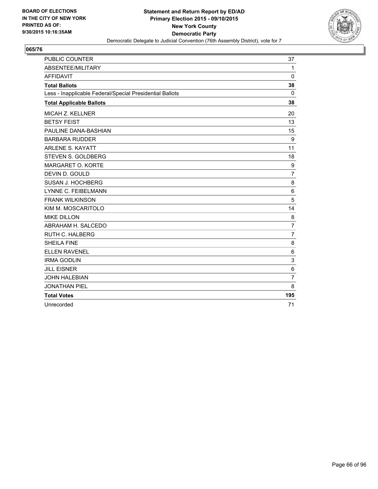

| <b>PUBLIC COUNTER</b>                                    | 37             |
|----------------------------------------------------------|----------------|
| <b>ABSENTEE/MILITARY</b>                                 | $\mathbf{1}$   |
| <b>AFFIDAVIT</b>                                         | $\Omega$       |
| <b>Total Ballots</b>                                     | 38             |
| Less - Inapplicable Federal/Special Presidential Ballots | $\Omega$       |
| <b>Total Applicable Ballots</b>                          | 38             |
| <b>MICAH Z. KELLNER</b>                                  | 20             |
| <b>BETSY FEIST</b>                                       | 13             |
| PAULINE DANA-BASHIAN                                     | 15             |
| <b>BARBARA RUDDER</b>                                    | 9              |
| <b>ARLENE S. KAYATT</b>                                  | 11             |
| STEVEN S. GOLDBERG                                       | 18             |
| MARGARET O. KORTE                                        | 9              |
| DEVIN D. GOULD                                           | $\overline{7}$ |
| SUSAN J. HOCHBERG                                        | 8              |
| LYNNE C. FEIBELMANN                                      | 6              |
| <b>FRANK WILKINSON</b>                                   | 5              |
| KIM M. MOSCARITOLO                                       | 14             |
| <b>MIKE DILLON</b>                                       | 8              |
| ABRAHAM H. SALCEDO                                       | $\overline{7}$ |
| RUTH C. HALBERG                                          | $\overline{7}$ |
| <b>SHEILA FINE</b>                                       | 8              |
| <b>ELLEN RAVENEL</b>                                     | $\,6$          |
| <b>IRMA GODLIN</b>                                       | 3              |
| <b>JILL EISNER</b>                                       | $\,6$          |
| <b>JOHN HALEBIAN</b>                                     | $\overline{7}$ |
| <b>JONATHAN PIEL</b>                                     | 8              |
| <b>Total Votes</b>                                       | 195            |
| Unrecorded                                               | 71             |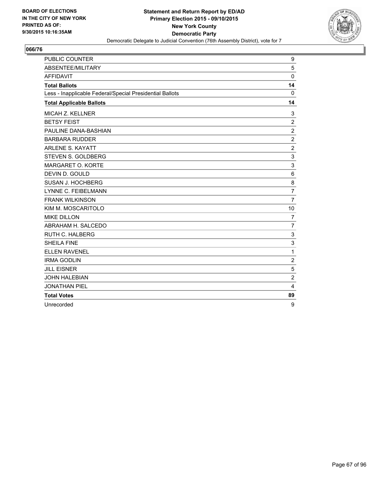

| <b>PUBLIC COUNTER</b>                                    | 9              |
|----------------------------------------------------------|----------------|
| <b>ABSENTEE/MILITARY</b>                                 | 5              |
| <b>AFFIDAVIT</b>                                         | 0              |
| <b>Total Ballots</b>                                     | 14             |
| Less - Inapplicable Federal/Special Presidential Ballots | $\mathbf{0}$   |
| <b>Total Applicable Ballots</b>                          | 14             |
| MICAH Z. KELLNER                                         | 3              |
| <b>BETSY FEIST</b>                                       | $\overline{2}$ |
| PAULINE DANA-BASHIAN                                     | $\overline{2}$ |
| <b>BARBARA RUDDER</b>                                    | $\overline{2}$ |
| <b>ARLENE S. KAYATT</b>                                  | $\overline{2}$ |
| STEVEN S. GOLDBERG                                       | 3              |
| MARGARET O. KORTE                                        | 3              |
| DEVIN D. GOULD                                           | 6              |
| SUSAN J. HOCHBERG                                        | 8              |
| LYNNE C. FEIBELMANN                                      | $\overline{7}$ |
| <b>FRANK WILKINSON</b>                                   | $\overline{7}$ |
| KIM M. MOSCARITOLO                                       | 10             |
| <b>MIKE DILLON</b>                                       | $\overline{7}$ |
| ABRAHAM H. SALCEDO                                       | $\overline{7}$ |
| <b>RUTH C. HALBERG</b>                                   | 3              |
| <b>SHEILA FINE</b>                                       | 3              |
| <b>ELLEN RAVENEL</b>                                     | 1              |
| <b>IRMA GODLIN</b>                                       | $\overline{2}$ |
| <b>JILL EISNER</b>                                       | 5              |
| <b>JOHN HALEBIAN</b>                                     | $\overline{2}$ |
| <b>JONATHAN PIEL</b>                                     | 4              |
| <b>Total Votes</b>                                       | 89             |
| Unrecorded                                               | 9              |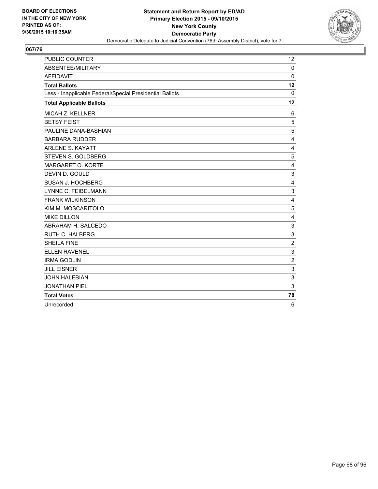

| <b>PUBLIC COUNTER</b>                                    | 12                      |
|----------------------------------------------------------|-------------------------|
| <b>ABSENTEE/MILITARY</b>                                 | $\Omega$                |
| <b>AFFIDAVIT</b>                                         | 0                       |
| <b>Total Ballots</b>                                     | 12                      |
| Less - Inapplicable Federal/Special Presidential Ballots | $\mathbf{0}$            |
| <b>Total Applicable Ballots</b>                          | 12                      |
| MICAH Z. KELLNER                                         | 6                       |
| <b>BETSY FEIST</b>                                       | 5                       |
| PAULINE DANA-BASHIAN                                     | 5                       |
| <b>BARBARA RUDDER</b>                                    | 4                       |
| <b>ARLENE S. KAYATT</b>                                  | $\overline{4}$          |
| STEVEN S. GOLDBERG                                       | 5                       |
| <b>MARGARET O. KORTE</b>                                 | $\overline{\mathbf{4}}$ |
| DEVIN D. GOULD                                           | 3                       |
| SUSAN J. HOCHBERG                                        | $\overline{4}$          |
| LYNNE C. FEIBELMANN                                      | 3                       |
| <b>FRANK WILKINSON</b>                                   | $\overline{4}$          |
| KIM M. MOSCARITOLO                                       | 5                       |
| <b>MIKE DILLON</b>                                       | 4                       |
| ABRAHAM H. SALCEDO                                       | 3                       |
| <b>RUTH C. HALBERG</b>                                   | 3                       |
| <b>SHEILA FINE</b>                                       | $\overline{2}$          |
| <b>ELLEN RAVENEL</b>                                     | 3                       |
| <b>IRMA GODLIN</b>                                       | $\overline{2}$          |
| <b>JILL EISNER</b>                                       | 3                       |
| <b>JOHN HALEBIAN</b>                                     | 3                       |
| <b>JONATHAN PIEL</b>                                     | 3                       |
| <b>Total Votes</b>                                       | 78                      |
| Unrecorded                                               | 6                       |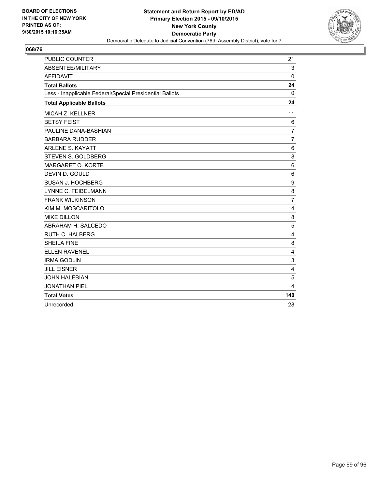

| <b>PUBLIC COUNTER</b>                                    | 21                      |
|----------------------------------------------------------|-------------------------|
| ABSENTEE/MILITARY                                        | 3                       |
| <b>AFFIDAVIT</b>                                         | $\mathbf 0$             |
| <b>Total Ballots</b>                                     | 24                      |
| Less - Inapplicable Federal/Special Presidential Ballots | 0                       |
| <b>Total Applicable Ballots</b>                          | 24                      |
| MICAH Z. KELLNER                                         | 11                      |
| <b>BETSY FEIST</b>                                       | 6                       |
| PAULINE DANA-BASHIAN                                     | $\overline{7}$          |
| <b>BARBARA RUDDER</b>                                    | $\overline{7}$          |
| <b>ARLENE S. KAYATT</b>                                  | $6\phantom{1}6$         |
| STEVEN S. GOLDBERG                                       | 8                       |
| MARGARET O. KORTE                                        | 6                       |
| DEVIN D. GOULD                                           | 6                       |
| SUSAN J. HOCHBERG                                        | 9                       |
| LYNNE C. FEIBELMANN                                      | 8                       |
| <b>FRANK WILKINSON</b>                                   | $\overline{7}$          |
| KIM M. MOSCARITOLO                                       | 14                      |
| <b>MIKE DILLON</b>                                       | 8                       |
| ABRAHAM H. SALCEDO                                       | 5                       |
| <b>RUTH C. HALBERG</b>                                   | 4                       |
| <b>SHEILA FINE</b>                                       | 8                       |
| <b>ELLEN RAVENEL</b>                                     | $\overline{\mathbf{4}}$ |
| <b>IRMA GODLIN</b>                                       | 3                       |
| <b>JILL EISNER</b>                                       | 4                       |
| <b>JOHN HALEBIAN</b>                                     | 5                       |
| <b>JONATHAN PIEL</b>                                     | 4                       |
| <b>Total Votes</b>                                       | 140                     |
| Unrecorded                                               | 28                      |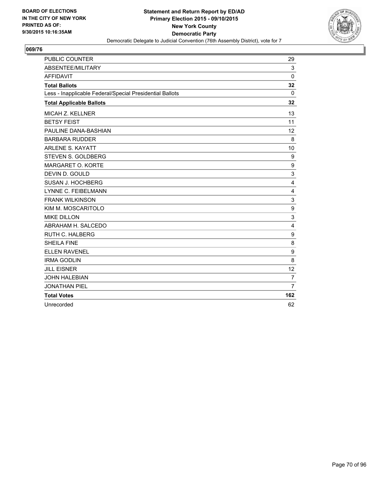

| <b>PUBLIC COUNTER</b>                                    | 29             |
|----------------------------------------------------------|----------------|
| ABSENTEE/MILITARY                                        | 3              |
| <b>AFFIDAVIT</b>                                         | $\Omega$       |
| <b>Total Ballots</b>                                     | 32             |
| Less - Inapplicable Federal/Special Presidential Ballots | 0              |
| <b>Total Applicable Ballots</b>                          | 32             |
| MICAH Z. KELLNER                                         | 13             |
| <b>BETSY FEIST</b>                                       | 11             |
| PAULINE DANA-BASHIAN                                     | 12             |
| <b>BARBARA RUDDER</b>                                    | 8              |
| <b>ARLENE S. KAYATT</b>                                  | 10             |
| STEVEN S. GOLDBERG                                       | 9              |
| MARGARET O. KORTE                                        | 9              |
| DEVIN D. GOULD                                           | 3              |
| SUSAN J. HOCHBERG                                        | 4              |
| <b>LYNNE C. FEIBELMANN</b>                               | 4              |
| <b>FRANK WILKINSON</b>                                   | 3              |
| KIM M. MOSCARITOLO                                       | 9              |
| <b>MIKE DILLON</b>                                       | 3              |
| ABRAHAM H. SALCEDO                                       | 4              |
| RUTH C. HALBERG                                          | 9              |
| <b>SHEILA FINE</b>                                       | 8              |
| <b>ELLEN RAVENEL</b>                                     | 9              |
| <b>IRMA GODLIN</b>                                       | 8              |
| <b>JILL EISNER</b>                                       | 12             |
| <b>JOHN HALEBIAN</b>                                     | $\overline{7}$ |
| <b>JONATHAN PIEL</b>                                     | $\overline{7}$ |
| <b>Total Votes</b>                                       | 162            |
| Unrecorded                                               | 62             |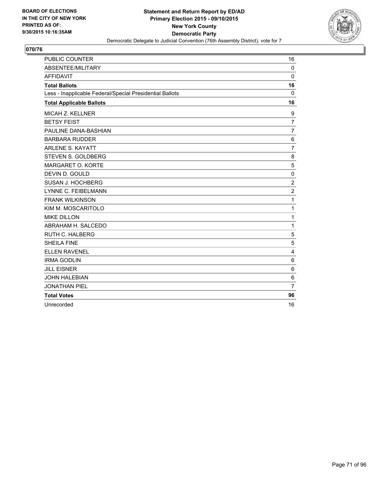

| <b>PUBLIC COUNTER</b>                                    | 16             |
|----------------------------------------------------------|----------------|
| <b>ABSENTEE/MILITARY</b>                                 | $\Omega$       |
| <b>AFFIDAVIT</b>                                         | 0              |
| <b>Total Ballots</b>                                     | 16             |
| Less - Inapplicable Federal/Special Presidential Ballots | 0              |
| <b>Total Applicable Ballots</b>                          | 16             |
| <b>MICAH Z. KELLNER</b>                                  | 9              |
| <b>BETSY FEIST</b>                                       | $\overline{7}$ |
| PAULINE DANA-BASHIAN                                     | $\overline{7}$ |
| <b>BARBARA RUDDER</b>                                    | 6              |
| <b>ARLENE S. KAYATT</b>                                  | $\overline{7}$ |
| STEVEN S. GOLDBERG                                       | 8              |
| MARGARET O. KORTE                                        | 5              |
| DEVIN D. GOULD                                           | $\mathbf 0$    |
| SUSAN J. HOCHBERG                                        | $\overline{2}$ |
| <b>LYNNE C. FEIBELMANN</b>                               | $\overline{2}$ |
| <b>FRANK WILKINSON</b>                                   | 1              |
| KIM M. MOSCARITOLO                                       | 1              |
| <b>MIKE DILLON</b>                                       | 1              |
| ABRAHAM H. SALCEDO                                       | 1              |
| <b>RUTH C. HALBERG</b>                                   | 5              |
| <b>SHEILA FINE</b>                                       | 5              |
| <b>ELLEN RAVENEL</b>                                     | 4              |
| <b>IRMA GODLIN</b>                                       | 6              |
| <b>JILL EISNER</b>                                       | 6              |
| <b>JOHN HALEBIAN</b>                                     | 6              |
| <b>JONATHAN PIEL</b>                                     | $\overline{7}$ |
| <b>Total Votes</b>                                       | 96             |
| Unrecorded                                               | 16             |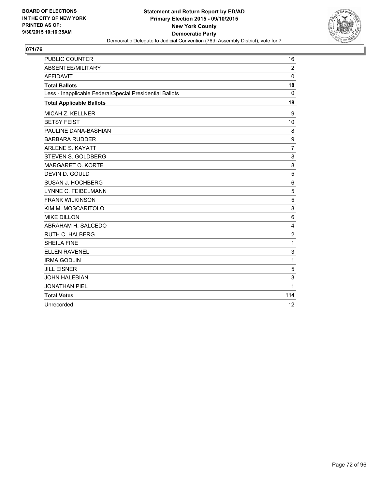

| <b>PUBLIC COUNTER</b>                                    | 16             |
|----------------------------------------------------------|----------------|
| ABSENTEE/MILITARY                                        | $\overline{2}$ |
| <b>AFFIDAVIT</b>                                         | $\Omega$       |
| <b>Total Ballots</b>                                     | 18             |
| Less - Inapplicable Federal/Special Presidential Ballots | $\Omega$       |
| <b>Total Applicable Ballots</b>                          | 18             |
| <b>MICAH Z. KELLNER</b>                                  | 9              |
| <b>BETSY FEIST</b>                                       | 10             |
| PAULINE DANA-BASHIAN                                     | 8              |
| <b>BARBARA RUDDER</b>                                    | 9              |
| <b>ARLENE S. KAYATT</b>                                  | $\overline{7}$ |
| STEVEN S. GOLDBERG                                       | 8              |
| MARGARET O. KORTE                                        | 8              |
| DEVIN D. GOULD                                           | 5              |
| SUSAN J. HOCHBERG                                        | 6              |
| LYNNE C. FEIBELMANN                                      | 5              |
| <b>FRANK WILKINSON</b>                                   | 5              |
| KIM M. MOSCARITOLO                                       | 8              |
| <b>MIKE DILLON</b>                                       | 6              |
| ABRAHAM H. SALCEDO                                       | $\overline{4}$ |
| <b>RUTH C. HALBERG</b>                                   | $\overline{2}$ |
| <b>SHEILA FINE</b>                                       | $\mathbf{1}$   |
| <b>ELLEN RAVENEL</b>                                     | 3              |
| <b>IRMA GODLIN</b>                                       | 1              |
| <b>JILL EISNER</b>                                       | 5              |
| <b>JOHN HALEBIAN</b>                                     | 3              |
| <b>JONATHAN PIEL</b>                                     | 1              |
| <b>Total Votes</b>                                       | 114            |
| Unrecorded                                               | 12             |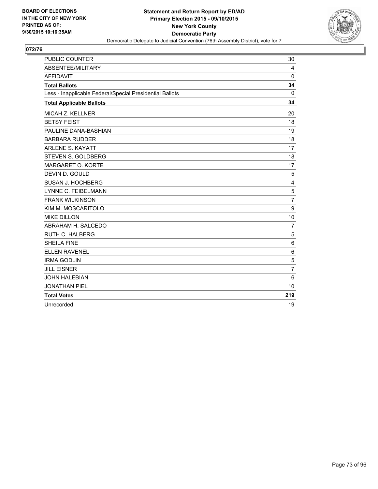

| <b>PUBLIC COUNTER</b>                                    | 30             |
|----------------------------------------------------------|----------------|
| ABSENTEE/MILITARY                                        | 4              |
| <b>AFFIDAVIT</b>                                         | $\Omega$       |
| <b>Total Ballots</b>                                     | 34             |
| Less - Inapplicable Federal/Special Presidential Ballots | 0              |
| <b>Total Applicable Ballots</b>                          | 34             |
| MICAH Z. KELLNER                                         | 20             |
| <b>BETSY FEIST</b>                                       | 18             |
| PAULINE DANA-BASHIAN                                     | 19             |
| <b>BARBARA RUDDER</b>                                    | 18             |
| <b>ARLENE S. KAYATT</b>                                  | 17             |
| STEVEN S. GOLDBERG                                       | 18             |
| MARGARET O. KORTE                                        | 17             |
| DEVIN D. GOULD                                           | 5              |
| SUSAN J. HOCHBERG                                        | 4              |
| LYNNE C. FEIBELMANN                                      | 5              |
| <b>FRANK WILKINSON</b>                                   | $\overline{7}$ |
| KIM M. MOSCARITOLO                                       | 9              |
| <b>MIKE DILLON</b>                                       | 10             |
| ABRAHAM H. SALCEDO                                       | $\overline{7}$ |
| <b>RUTH C. HALBERG</b>                                   | 5              |
| <b>SHEILA FINE</b>                                       | 6              |
| <b>ELLEN RAVENEL</b>                                     | 6              |
| <b>IRMA GODLIN</b>                                       | 5              |
| <b>JILL EISNER</b>                                       | $\overline{7}$ |
| <b>JOHN HALEBIAN</b>                                     | 6              |
| <b>JONATHAN PIEL</b>                                     | 10             |
| <b>Total Votes</b>                                       | 219            |
| Unrecorded                                               | 19             |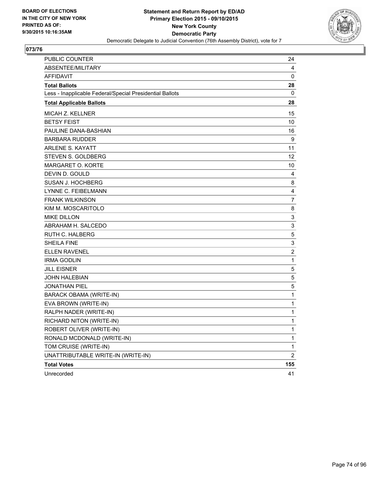

| PUBLIC COUNTER                                           | 24  |
|----------------------------------------------------------|-----|
| <b>ABSENTEE/MILITARY</b>                                 | 4   |
| <b>AFFIDAVIT</b>                                         | 0   |
| <b>Total Ballots</b>                                     | 28  |
| Less - Inapplicable Federal/Special Presidential Ballots | 0   |
| <b>Total Applicable Ballots</b>                          | 28  |
| MICAH Z. KELLNER                                         | 15  |
| <b>BETSY FEIST</b>                                       | 10  |
| PAULINE DANA-BASHIAN                                     | 16  |
| <b>BARBARA RUDDER</b>                                    | 9   |
| <b>ARLENE S. KAYATT</b>                                  | 11  |
| STEVEN S. GOLDBERG                                       | 12  |
| MARGARET O. KORTE                                        | 10  |
| DEVIN D. GOULD                                           | 4   |
| SUSAN J. HOCHBERG                                        | 8   |
| LYNNE C. FEIBELMANN                                      | 4   |
| <b>FRANK WILKINSON</b>                                   | 7   |
| KIM M. MOSCARITOLO                                       | 8   |
| <b>MIKE DILLON</b>                                       | 3   |
| ABRAHAM H. SALCEDO                                       | 3   |
| <b>RUTH C. HALBERG</b>                                   | 5   |
| <b>SHEILA FINE</b>                                       | 3   |
| <b>ELLEN RAVENEL</b>                                     | 2   |
| <b>IRMA GODLIN</b>                                       | 1   |
| <b>JILL EISNER</b>                                       | 5   |
| <b>JOHN HALEBIAN</b>                                     | 5   |
| JONATHAN PIEL                                            | 5   |
| <b>BARACK OBAMA (WRITE-IN)</b>                           | 1   |
| EVA BROWN (WRITE-IN)                                     | 1   |
| RALPH NADER (WRITE-IN)                                   | 1   |
| RICHARD NITON (WRITE-IN)                                 | 1   |
| ROBERT OLIVER (WRITE-IN)                                 | 1   |
| RONALD MCDONALD (WRITE-IN)                               | 1   |
| TOM CRUISE (WRITE-IN)                                    | 1   |
| UNATTRIBUTABLE WRITE-IN (WRITE-IN)                       | 2   |
| <b>Total Votes</b>                                       | 155 |
| Unrecorded                                               | 41  |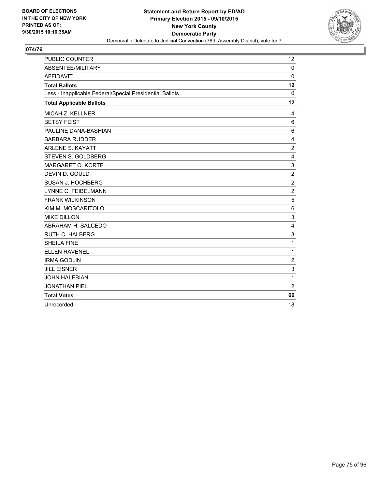

| <b>PUBLIC COUNTER</b>                                    | 12             |
|----------------------------------------------------------|----------------|
| <b>ABSENTEE/MILITARY</b>                                 | $\Omega$       |
| <b>AFFIDAVIT</b>                                         | 0              |
| <b>Total Ballots</b>                                     | 12             |
| Less - Inapplicable Federal/Special Presidential Ballots | $\mathbf{0}$   |
| <b>Total Applicable Ballots</b>                          | 12             |
| <b>MICAH Z. KELLNER</b>                                  | 4              |
| <b>BETSY FEIST</b>                                       | 6              |
| PAULINE DANA-BASHIAN                                     | 6              |
| <b>BARBARA RUDDER</b>                                    | 4              |
| <b>ARLENE S. KAYATT</b>                                  | $\overline{2}$ |
| STEVEN S. GOLDBERG                                       | 4              |
| MARGARET O. KORTE                                        | 3              |
| DEVIN D. GOULD                                           | $\overline{2}$ |
| SUSAN J. HOCHBERG                                        | $\overline{2}$ |
| <b>LYNNE C. FEIBELMANN</b>                               | $\overline{2}$ |
| <b>FRANK WILKINSON</b>                                   | 5              |
| KIM M. MOSCARITOLO                                       | 6              |
| <b>MIKE DILLON</b>                                       | 3              |
| ABRAHAM H. SALCEDO                                       | $\overline{4}$ |
| <b>RUTH C. HALBERG</b>                                   | 3              |
| <b>SHEILA FINE</b>                                       | 1              |
| <b>ELLEN RAVENEL</b>                                     | 1              |
| <b>IRMA GODLIN</b>                                       | $\overline{2}$ |
| <b>JILL EISNER</b>                                       | 3              |
| <b>JOHN HALEBIAN</b>                                     | 1              |
| <b>JONATHAN PIEL</b>                                     | $\overline{2}$ |
| <b>Total Votes</b>                                       | 66             |
| Unrecorded                                               | 18             |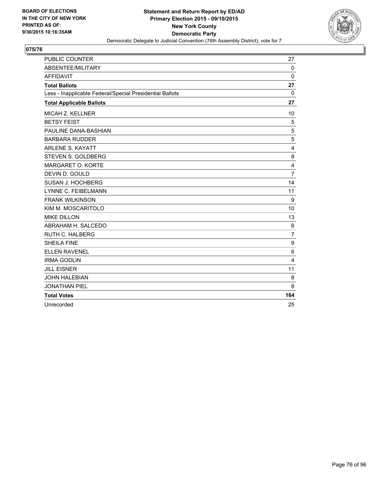

| <b>PUBLIC COUNTER</b>                                    | 27             |
|----------------------------------------------------------|----------------|
| ABSENTEE/MILITARY                                        | $\Omega$       |
| <b>AFFIDAVIT</b>                                         | 0              |
| <b>Total Ballots</b>                                     | 27             |
| Less - Inapplicable Federal/Special Presidential Ballots | 0              |
| <b>Total Applicable Ballots</b>                          | 27             |
| MICAH Z. KELLNER                                         | 10             |
| <b>BETSY FEIST</b>                                       | 5              |
| PAULINE DANA-BASHIAN                                     | 5              |
| <b>BARBARA RUDDER</b>                                    | 5              |
| <b>ARLENE S. KAYATT</b>                                  | $\overline{4}$ |
| STEVEN S. GOLDBERG                                       | 8              |
| <b>MARGARET O. KORTE</b>                                 | 4              |
| DEVIN D. GOULD                                           | $\overline{7}$ |
| SUSAN J. HOCHBERG                                        | 14             |
| <b>LYNNE C. FEIBELMANN</b>                               | 11             |
| <b>FRANK WILKINSON</b>                                   | 9              |
| KIM M. MOSCARITOLO                                       | 10             |
| <b>MIKE DILLON</b>                                       | 13             |
| ABRAHAM H. SALCEDO                                       | 6              |
| RUTH C. HALBERG                                          | $\overline{7}$ |
| <b>SHEILA FINE</b>                                       | 9              |
| <b>ELLEN RAVENEL</b>                                     | 6              |
| <b>IRMA GODLIN</b>                                       | 4              |
| <b>JILL EISNER</b>                                       | 11             |
| <b>JOHN HALEBIAN</b>                                     | 8              |
| <b>JONATHAN PIEL</b>                                     | 8              |
| <b>Total Votes</b>                                       | 164            |
| Unrecorded                                               | 25             |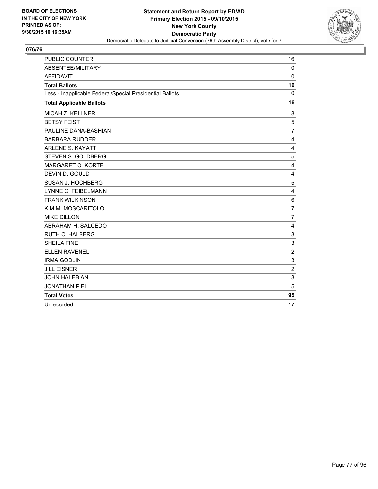

| <b>PUBLIC COUNTER</b>                                    | 16             |
|----------------------------------------------------------|----------------|
| <b>ABSENTEE/MILITARY</b>                                 | $\Omega$       |
| <b>AFFIDAVIT</b>                                         | 0              |
| <b>Total Ballots</b>                                     | 16             |
| Less - Inapplicable Federal/Special Presidential Ballots | $\mathbf{0}$   |
| <b>Total Applicable Ballots</b>                          | 16             |
| MICAH Z. KELLNER                                         | 8              |
| <b>BETSY FEIST</b>                                       | 5              |
| PAULINE DANA-BASHIAN                                     | $\overline{7}$ |
| <b>BARBARA RUDDER</b>                                    | 4              |
| <b>ARLENE S. KAYATT</b>                                  | $\overline{4}$ |
| STEVEN S. GOLDBERG                                       | 5              |
| MARGARET O. KORTE                                        | 4              |
| DEVIN D. GOULD                                           | 4              |
| SUSAN J. HOCHBERG                                        | 5              |
| <b>LYNNE C. FEIBELMANN</b>                               | $\overline{4}$ |
| <b>FRANK WILKINSON</b>                                   | 6              |
| KIM M. MOSCARITOLO                                       | $\overline{7}$ |
| <b>MIKE DILLON</b>                                       | $\overline{7}$ |
| ABRAHAM H. SALCEDO                                       | $\overline{4}$ |
| RUTH C. HALBERG                                          | 3              |
| <b>SHEILA FINE</b>                                       | 3              |
| <b>ELLEN RAVENEL</b>                                     | $\overline{2}$ |
| <b>IRMA GODLIN</b>                                       | 3              |
| <b>JILL EISNER</b>                                       | 2              |
| <b>JOHN HALEBIAN</b>                                     | 3              |
| <b>JONATHAN PIEL</b>                                     | 5              |
| <b>Total Votes</b>                                       | 95             |
| Unrecorded                                               | 17             |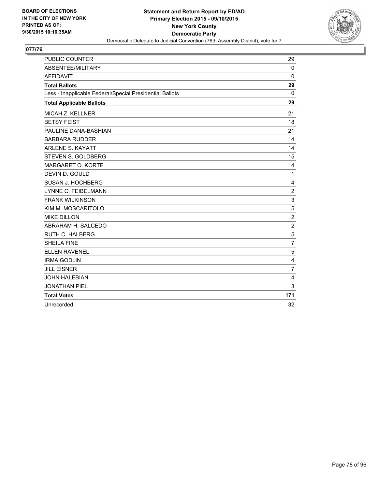

| <b>PUBLIC COUNTER</b>                                    | 29             |
|----------------------------------------------------------|----------------|
| <b>ABSENTEE/MILITARY</b>                                 | $\Omega$       |
| <b>AFFIDAVIT</b>                                         | $\mathbf{0}$   |
| <b>Total Ballots</b>                                     | 29             |
| Less - Inapplicable Federal/Special Presidential Ballots | 0              |
| <b>Total Applicable Ballots</b>                          | 29             |
| <b>MICAH Z. KELLNER</b>                                  | 21             |
| <b>BETSY FEIST</b>                                       | 18             |
| PAULINE DANA-BASHIAN                                     | 21             |
| <b>BARBARA RUDDER</b>                                    | 14             |
| <b>ARLENE S. KAYATT</b>                                  | 14             |
| STEVEN S. GOLDBERG                                       | 15             |
| MARGARET O. KORTE                                        | 14             |
| DEVIN D. GOULD                                           | 1              |
| SUSAN J. HOCHBERG                                        | 4              |
| <b>LYNNE C. FEIBELMANN</b>                               | $\overline{2}$ |
| <b>FRANK WILKINSON</b>                                   | 3              |
| KIM M. MOSCARITOLO                                       | 5              |
| <b>MIKE DILLON</b>                                       | $\overline{c}$ |
| ABRAHAM H. SALCEDO                                       | $\overline{2}$ |
| RUTH C. HALBERG                                          | 5              |
| <b>SHEILA FINE</b>                                       | $\overline{7}$ |
| <b>ELLEN RAVENEL</b>                                     | 5              |
| <b>IRMA GODLIN</b>                                       | 4              |
| <b>JILL EISNER</b>                                       | $\overline{7}$ |
| <b>JOHN HALEBIAN</b>                                     | 4              |
| <b>JONATHAN PIEL</b>                                     | 3              |
| <b>Total Votes</b>                                       | 171            |
| Unrecorded                                               | 32             |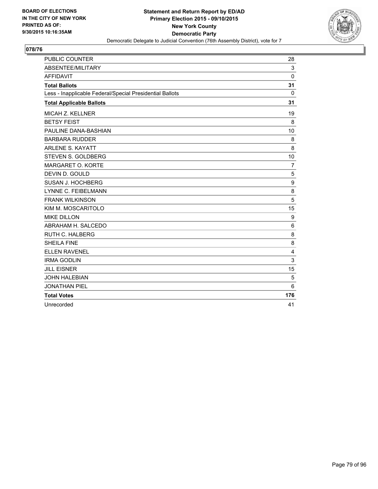

| <b>PUBLIC COUNTER</b>                                    | 28             |
|----------------------------------------------------------|----------------|
| ABSENTEE/MILITARY                                        | 3              |
| <b>AFFIDAVIT</b>                                         | $\mathbf{0}$   |
| <b>Total Ballots</b>                                     | 31             |
| Less - Inapplicable Federal/Special Presidential Ballots | 0              |
| <b>Total Applicable Ballots</b>                          | 31             |
| MICAH Z. KELLNER                                         | 19             |
| <b>BETSY FEIST</b>                                       | 8              |
| PAULINE DANA-BASHIAN                                     | 10             |
| <b>BARBARA RUDDER</b>                                    | 8              |
| <b>ARLENE S. KAYATT</b>                                  | 8              |
| STEVEN S. GOLDBERG                                       | 10             |
| MARGARET O. KORTE                                        | $\overline{7}$ |
| DEVIN D. GOULD                                           | 5              |
| SUSAN J. HOCHBERG                                        | 9              |
| <b>LYNNE C. FEIBELMANN</b>                               | 8              |
| <b>FRANK WILKINSON</b>                                   | 5              |
| KIM M. MOSCARITOLO                                       | 15             |
| <b>MIKE DILLON</b>                                       | 9              |
| ABRAHAM H. SALCEDO                                       | 6              |
| <b>RUTH C. HALBERG</b>                                   | 8              |
| <b>SHEILA FINE</b>                                       | 8              |
| <b>ELLEN RAVENEL</b>                                     | 4              |
| <b>IRMA GODLIN</b>                                       | 3              |
| <b>JILL EISNER</b>                                       | 15             |
| <b>JOHN HALEBIAN</b>                                     | 5              |
| <b>JONATHAN PIEL</b>                                     | 6              |
| <b>Total Votes</b>                                       | 176            |
| Unrecorded                                               | 41             |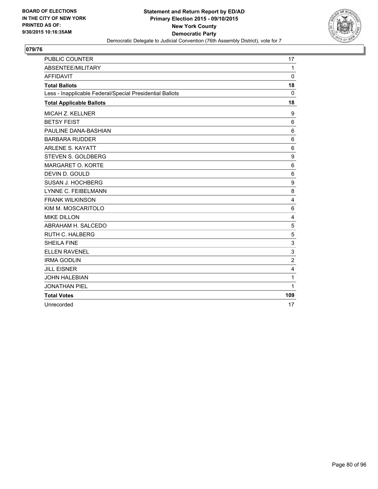

| <b>PUBLIC COUNTER</b>                                    | 17              |
|----------------------------------------------------------|-----------------|
| ABSENTEE/MILITARY                                        | $\mathbf{1}$    |
| <b>AFFIDAVIT</b>                                         | $\Omega$        |
| <b>Total Ballots</b>                                     | 18              |
| Less - Inapplicable Federal/Special Presidential Ballots | $\mathbf{0}$    |
| <b>Total Applicable Ballots</b>                          | 18              |
| <b>MICAH Z. KELLNER</b>                                  | 9               |
| <b>BETSY FEIST</b>                                       | 6               |
| PAULINE DANA-BASHIAN                                     | 6               |
| <b>BARBARA RUDDER</b>                                    | 6               |
| <b>ARLENE S. KAYATT</b>                                  | 6               |
| STEVEN S. GOLDBERG                                       | 9               |
| MARGARET O. KORTE                                        | $6\phantom{1}6$ |
| DEVIN D. GOULD                                           | 6               |
| SUSAN J. HOCHBERG                                        | 9               |
| <b>LYNNE C. FEIBELMANN</b>                               | 8               |
| <b>FRANK WILKINSON</b>                                   | 4               |
| KIM M. MOSCARITOLO                                       | 6               |
| <b>MIKE DILLON</b>                                       | 4               |
| ABRAHAM H. SALCEDO                                       | 5               |
| <b>RUTH C. HALBERG</b>                                   | 5               |
| <b>SHEILA FINE</b>                                       | 3               |
| <b>ELLEN RAVENEL</b>                                     | 3               |
| <b>IRMA GODLIN</b>                                       | $\overline{2}$  |
| <b>JILL EISNER</b>                                       | 4               |
| <b>JOHN HALEBIAN</b>                                     | 1               |
| <b>JONATHAN PIEL</b>                                     | $\mathbf{1}$    |
| <b>Total Votes</b>                                       | 109             |
| Unrecorded                                               | 17              |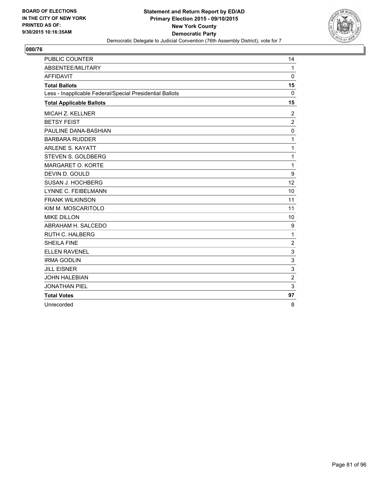

| <b>PUBLIC COUNTER</b>                                    | 14             |
|----------------------------------------------------------|----------------|
| <b>ABSENTEE/MILITARY</b>                                 | $\mathbf{1}$   |
| <b>AFFIDAVIT</b>                                         | 0              |
| <b>Total Ballots</b>                                     | 15             |
| Less - Inapplicable Federal/Special Presidential Ballots | 0              |
| <b>Total Applicable Ballots</b>                          | 15             |
| <b>MICAH Z. KELLNER</b>                                  | $\overline{2}$ |
| <b>BETSY FEIST</b>                                       | $\overline{2}$ |
| PAULINE DANA-BASHIAN                                     | 0              |
| <b>BARBARA RUDDER</b>                                    | 1              |
| <b>ARLENE S. KAYATT</b>                                  | 1              |
| STEVEN S. GOLDBERG                                       | 1              |
| MARGARET O. KORTE                                        | 1              |
| DEVIN D. GOULD                                           | 9              |
| SUSAN J. HOCHBERG                                        | 12             |
| <b>LYNNE C. FEIBELMANN</b>                               | 10             |
| <b>FRANK WILKINSON</b>                                   | 11             |
| KIM M. MOSCARITOLO                                       | 11             |
| <b>MIKE DILLON</b>                                       | 10             |
| ABRAHAM H. SALCEDO                                       | 9              |
| <b>RUTH C. HALBERG</b>                                   | 1              |
| <b>SHEILA FINE</b>                                       | $\overline{2}$ |
| <b>ELLEN RAVENEL</b>                                     | 3              |
| <b>IRMA GODLIN</b>                                       | 3              |
| <b>JILL EISNER</b>                                       | 3              |
| <b>JOHN HALEBIAN</b>                                     | $\overline{2}$ |
| <b>JONATHAN PIEL</b>                                     | 3              |
| <b>Total Votes</b>                                       | 97             |
| Unrecorded                                               | 8              |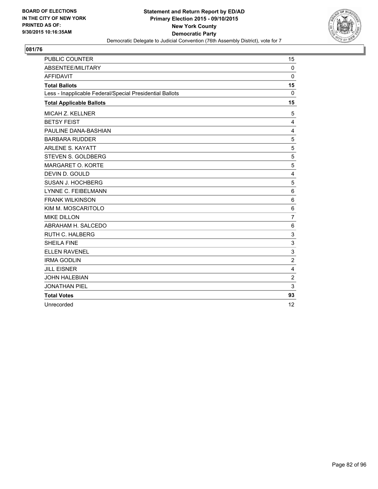

| <b>PUBLIC COUNTER</b>                                    | 15             |
|----------------------------------------------------------|----------------|
| ABSENTEE/MILITARY                                        | $\mathbf 0$    |
| <b>AFFIDAVIT</b>                                         | $\mathbf{0}$   |
| <b>Total Ballots</b>                                     | 15             |
| Less - Inapplicable Federal/Special Presidential Ballots | 0              |
| <b>Total Applicable Ballots</b>                          | 15             |
| MICAH Z. KELLNER                                         | 5              |
| <b>BETSY FEIST</b>                                       | 4              |
| PAULINE DANA-BASHIAN                                     | $\overline{4}$ |
| <b>BARBARA RUDDER</b>                                    | 5              |
| <b>ARLENE S. KAYATT</b>                                  | 5              |
| STEVEN S. GOLDBERG                                       | 5              |
| MARGARET O. KORTE                                        | 5              |
| DEVIN D. GOULD                                           | 4              |
| SUSAN J. HOCHBERG                                        | 5              |
| LYNNE C. FEIBELMANN                                      | 6              |
| <b>FRANK WILKINSON</b>                                   | 6              |
| KIM M. MOSCARITOLO                                       | 6              |
| <b>MIKE DILLON</b>                                       | $\overline{7}$ |
| ABRAHAM H. SALCEDO                                       | 6              |
| RUTH C. HALBERG                                          | 3              |
| <b>SHEILA FINE</b>                                       | 3              |
| <b>ELLEN RAVENEL</b>                                     | 3              |
| <b>IRMA GODLIN</b>                                       | $\overline{2}$ |
| <b>JILL EISNER</b>                                       | 4              |
| <b>JOHN HALEBIAN</b>                                     | $\overline{2}$ |
| <b>JONATHAN PIEL</b>                                     | 3              |
| <b>Total Votes</b>                                       | 93             |
| Unrecorded                                               | 12             |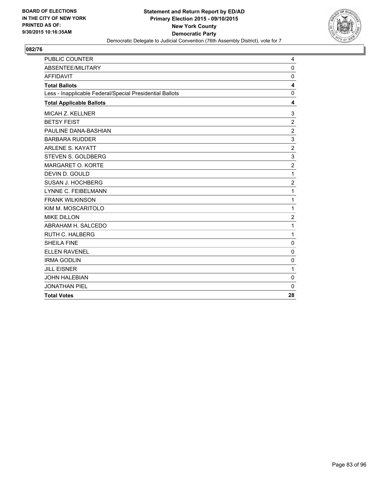

| <b>PUBLIC COUNTER</b>                                    | 4              |
|----------------------------------------------------------|----------------|
| ABSENTEE/MILITARY                                        | 0              |
| <b>AFFIDAVIT</b>                                         | 0              |
| <b>Total Ballots</b>                                     | 4              |
| Less - Inapplicable Federal/Special Presidential Ballots | $\Omega$       |
| <b>Total Applicable Ballots</b>                          | 4              |
| MICAH Z. KELLNER                                         | 3              |
| <b>BETSY FEIST</b>                                       | $\overline{2}$ |
| PAULINE DANA-BASHIAN                                     | $\overline{2}$ |
| <b>BARBARA RUDDER</b>                                    | 3              |
| <b>ARLENE S. KAYATT</b>                                  | $\overline{2}$ |
| <b>STEVEN S. GOLDBERG</b>                                | 3              |
| MARGARET O. KORTE                                        | $\overline{c}$ |
| DEVIN D. GOULD                                           | 1              |
| SUSAN J. HOCHBERG                                        | $\overline{c}$ |
| LYNNE C. FEIBELMANN                                      | 1              |
| <b>FRANK WILKINSON</b>                                   | 1              |
| KIM M. MOSCARITOLO                                       | 1              |
| <b>MIKE DILLON</b>                                       | $\overline{2}$ |
| ABRAHAM H. SALCEDO                                       | 1              |
| <b>RUTH C. HALBERG</b>                                   | 1              |
| <b>SHEILA FINE</b>                                       | $\mathbf 0$    |
| <b>ELLEN RAVENEL</b>                                     | 0              |
| <b>IRMA GODLIN</b>                                       | $\Omega$       |
| <b>JILL EISNER</b>                                       | 1              |
| <b>JOHN HALEBIAN</b>                                     | 0              |
| <b>JONATHAN PIEL</b>                                     | $\Omega$       |
| <b>Total Votes</b>                                       | 28             |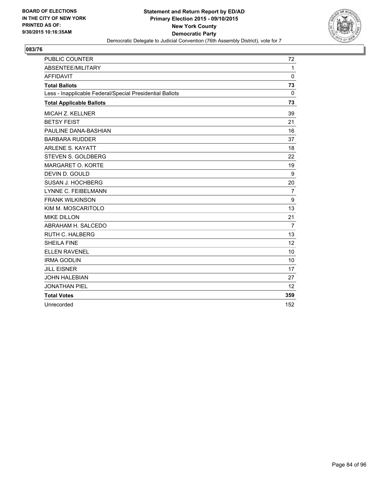

| <b>PUBLIC COUNTER</b>                                    | 72             |
|----------------------------------------------------------|----------------|
| ABSENTEE/MILITARY                                        | $\mathbf{1}$   |
| <b>AFFIDAVIT</b>                                         | 0              |
| <b>Total Ballots</b>                                     | 73             |
| Less - Inapplicable Federal/Special Presidential Ballots | 0              |
| <b>Total Applicable Ballots</b>                          | 73             |
| <b>MICAH Z. KELLNER</b>                                  | 39             |
| <b>BETSY FEIST</b>                                       | 21             |
| PAULINE DANA-BASHIAN                                     | 16             |
| <b>BARBARA RUDDER</b>                                    | 37             |
| <b>ARLENE S. KAYATT</b>                                  | 18             |
| STEVEN S. GOLDBERG                                       | 22             |
| MARGARET O. KORTE                                        | 19             |
| DEVIN D. GOULD                                           | 9              |
| <b>SUSAN J. HOCHBERG</b>                                 | 20             |
| <b>LYNNE C. FEIBELMANN</b>                               | $\overline{7}$ |
| <b>FRANK WILKINSON</b>                                   | 9              |
| KIM M. MOSCARITOLO                                       | 13             |
| <b>MIKE DILLON</b>                                       | 21             |
| ABRAHAM H. SALCEDO                                       | $\overline{7}$ |
| RUTH C. HALBERG                                          | 13             |
| <b>SHEILA FINE</b>                                       | 12             |
| <b>ELLEN RAVENEL</b>                                     | 10             |
| <b>IRMA GODLIN</b>                                       | 10             |
| <b>JILL EISNER</b>                                       | 17             |
| <b>JOHN HALEBIAN</b>                                     | 27             |
| <b>JONATHAN PIEL</b>                                     | 12             |
| <b>Total Votes</b>                                       | 359            |
| Unrecorded                                               | 152            |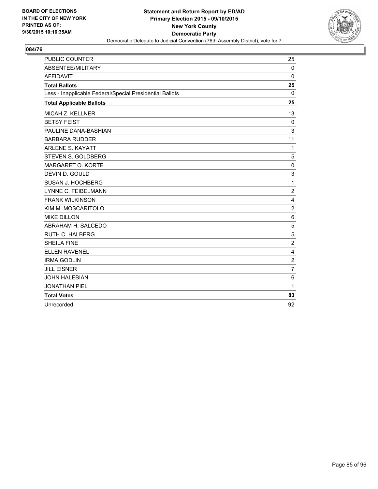

| <b>PUBLIC COUNTER</b>                                    | 25             |
|----------------------------------------------------------|----------------|
| <b>ABSENTEE/MILITARY</b>                                 | $\Omega$       |
| <b>AFFIDAVIT</b>                                         | 0              |
| <b>Total Ballots</b>                                     | 25             |
| Less - Inapplicable Federal/Special Presidential Ballots | 0              |
| <b>Total Applicable Ballots</b>                          | 25             |
| <b>MICAH Z. KELLNER</b>                                  | 13             |
| <b>BETSY FEIST</b>                                       | $\mathbf{0}$   |
| PAULINE DANA-BASHIAN                                     | 3              |
| <b>BARBARA RUDDER</b>                                    | 11             |
| <b>ARLENE S. KAYATT</b>                                  | 1              |
| STEVEN S. GOLDBERG                                       | 5              |
| MARGARET O. KORTE                                        | 0              |
| DEVIN D. GOULD                                           | 3              |
| SUSAN J. HOCHBERG                                        | 1              |
| <b>LYNNE C. FEIBELMANN</b>                               | $\overline{c}$ |
| <b>FRANK WILKINSON</b>                                   | $\overline{4}$ |
| KIM M. MOSCARITOLO                                       | $\overline{2}$ |
| <b>MIKE DILLON</b>                                       | 6              |
| ABRAHAM H. SALCEDO                                       | 5              |
| <b>RUTH C. HALBERG</b>                                   | 5              |
| <b>SHEILA FINE</b>                                       | $\overline{2}$ |
| <b>ELLEN RAVENEL</b>                                     | 4              |
| <b>IRMA GODLIN</b>                                       | $\overline{2}$ |
| <b>JILL EISNER</b>                                       | $\overline{7}$ |
| <b>JOHN HALEBIAN</b>                                     | 6              |
| <b>JONATHAN PIEL</b>                                     | 1              |
| <b>Total Votes</b>                                       | 83             |
| Unrecorded                                               | 92             |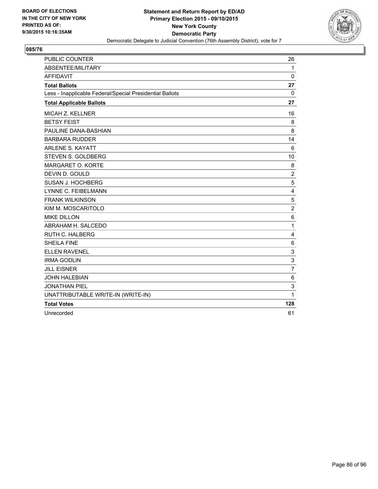

| <b>PUBLIC COUNTER</b>                                    | 26             |
|----------------------------------------------------------|----------------|
| ABSENTEE/MILITARY                                        | 1              |
| <b>AFFIDAVIT</b>                                         | $\mathbf 0$    |
| <b>Total Ballots</b>                                     | 27             |
| Less - Inapplicable Federal/Special Presidential Ballots | 0              |
| <b>Total Applicable Ballots</b>                          | 27             |
| MICAH Z. KELLNER                                         | 16             |
| <b>BETSY FEIST</b>                                       | 8              |
| PAULINE DANA-BASHIAN                                     | 8              |
| <b>BARBARA RUDDER</b>                                    | 14             |
| <b>ARLENE S. KAYATT</b>                                  | 6              |
| <b>STEVEN S. GOLDBERG</b>                                | 10             |
| MARGARET O. KORTE                                        | 8              |
| DEVIN D. GOULD                                           | $\sqrt{2}$     |
| SUSAN J. HOCHBERG                                        | 5              |
| <b>LYNNE C. FEIBELMANN</b>                               | 4              |
| <b>FRANK WILKINSON</b>                                   | 5              |
| KIM M. MOSCARITOLO                                       | $\mathbf 2$    |
| <b>MIKE DILLON</b>                                       | $\,6$          |
| ABRAHAM H. SALCEDO                                       | 1              |
| RUTH C. HALBERG                                          | 4              |
| <b>SHEILA FINE</b>                                       | 6              |
| <b>ELLEN RAVENEL</b>                                     | 3              |
| <b>IRMA GODLIN</b>                                       | 3              |
| <b>JILL EISNER</b>                                       | $\overline{7}$ |
| <b>JOHN HALEBIAN</b>                                     | $\,6$          |
| <b>JONATHAN PIEL</b>                                     | 3              |
| UNATTRIBUTABLE WRITE-IN (WRITE-IN)                       | 1              |
| <b>Total Votes</b>                                       | 128            |
| Unrecorded                                               | 61             |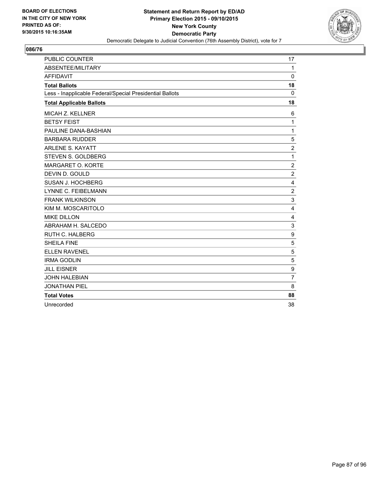

| <b>PUBLIC COUNTER</b>                                    | 17               |
|----------------------------------------------------------|------------------|
| ABSENTEE/MILITARY                                        | $\mathbf{1}$     |
| <b>AFFIDAVIT</b>                                         | 0                |
| <b>Total Ballots</b>                                     | 18               |
| Less - Inapplicable Federal/Special Presidential Ballots | 0                |
| <b>Total Applicable Ballots</b>                          | 18               |
| <b>MICAH Z. KELLNER</b>                                  | 6                |
| <b>BETSY FEIST</b>                                       | 1                |
| PAULINE DANA-BASHIAN                                     | 1                |
| <b>BARBARA RUDDER</b>                                    | 5                |
| <b>ARLENE S. KAYATT</b>                                  | $\overline{2}$   |
| STEVEN S. GOLDBERG                                       | 1                |
| MARGARET O. KORTE                                        | $\overline{c}$   |
| DEVIN D. GOULD                                           | $\overline{2}$   |
| SUSAN J. HOCHBERG                                        | 4                |
| LYNNE C. FEIBELMANN                                      | 2                |
| <b>FRANK WILKINSON</b>                                   | 3                |
| KIM M. MOSCARITOLO                                       | $\overline{4}$   |
| <b>MIKE DILLON</b>                                       | 4                |
| ABRAHAM H. SALCEDO                                       | 3                |
| <b>RUTH C. HALBERG</b>                                   | 9                |
| <b>SHEILA FINE</b>                                       | 5                |
| <b>ELLEN RAVENEL</b>                                     | 5                |
| <b>IRMA GODLIN</b>                                       | 5                |
| <b>JILL EISNER</b>                                       | $\boldsymbol{9}$ |
| <b>JOHN HALEBIAN</b>                                     | $\overline{7}$   |
| <b>JONATHAN PIEL</b>                                     | 8                |
| <b>Total Votes</b>                                       | 88               |
| Unrecorded                                               | 38               |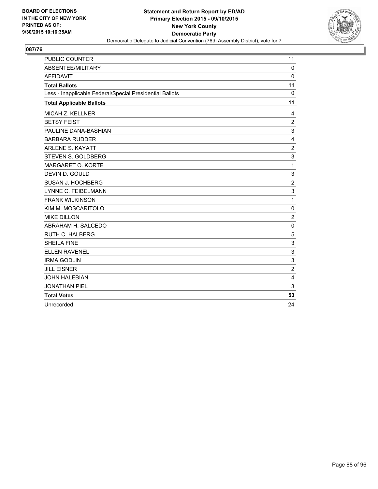

| <b>PUBLIC COUNTER</b>                                    | 11             |
|----------------------------------------------------------|----------------|
| <b>ABSENTEE/MILITARY</b>                                 | $\Omega$       |
| <b>AFFIDAVIT</b>                                         | 0              |
| <b>Total Ballots</b>                                     | 11             |
| Less - Inapplicable Federal/Special Presidential Ballots | $\mathbf{0}$   |
| <b>Total Applicable Ballots</b>                          | 11             |
| <b>MICAH Z. KELLNER</b>                                  | 4              |
| <b>BETSY FEIST</b>                                       | $\overline{2}$ |
| PAULINE DANA-BASHIAN                                     | 3              |
| <b>BARBARA RUDDER</b>                                    | 4              |
| <b>ARLENE S. KAYATT</b>                                  | 2              |
| STEVEN S. GOLDBERG                                       | 3              |
| MARGARET O. KORTE                                        | 1              |
| DEVIN D. GOULD                                           | 3              |
| SUSAN J. HOCHBERG                                        | $\overline{2}$ |
| <b>LYNNE C. FEIBELMANN</b>                               | 3              |
| <b>FRANK WILKINSON</b>                                   | 1              |
| KIM M. MOSCARITOLO                                       | $\mathbf 0$    |
| <b>MIKE DILLON</b>                                       | $\overline{2}$ |
| ABRAHAM H. SALCEDO                                       | $\mathbf 0$    |
| <b>RUTH C. HALBERG</b>                                   | 5              |
| <b>SHEILA FINE</b>                                       | 3              |
| <b>ELLEN RAVENEL</b>                                     | 3              |
| <b>IRMA GODLIN</b>                                       | 3              |
| <b>JILL EISNER</b>                                       | 2              |
| <b>JOHN HALEBIAN</b>                                     | $\overline{4}$ |
| <b>JONATHAN PIEL</b>                                     | 3              |
| <b>Total Votes</b>                                       | 53             |
| Unrecorded                                               | 24             |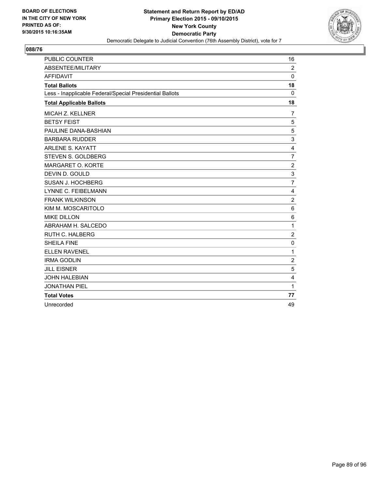

| <b>PUBLIC COUNTER</b>                                    | 16             |
|----------------------------------------------------------|----------------|
| <b>ABSENTEE/MILITARY</b>                                 | $\overline{2}$ |
| <b>AFFIDAVIT</b>                                         | 0              |
| <b>Total Ballots</b>                                     | 18             |
| Less - Inapplicable Federal/Special Presidential Ballots | 0              |
| <b>Total Applicable Ballots</b>                          | 18             |
| <b>MICAH Z. KELLNER</b>                                  | 7              |
| <b>BETSY FEIST</b>                                       | 5              |
| PAULINE DANA-BASHIAN                                     | 5              |
| <b>BARBARA RUDDER</b>                                    | 3              |
| <b>ARLENE S. KAYATT</b>                                  | $\overline{4}$ |
| STEVEN S. GOLDBERG                                       | $\overline{7}$ |
| MARGARET O. KORTE                                        | $\overline{2}$ |
| DEVIN D. GOULD                                           | 3              |
| SUSAN J. HOCHBERG                                        | $\overline{7}$ |
| <b>LYNNE C. FEIBELMANN</b>                               | $\overline{4}$ |
| <b>FRANK WILKINSON</b>                                   | $\overline{2}$ |
| KIM M. MOSCARITOLO                                       | 6              |
| <b>MIKE DILLON</b>                                       | 6              |
| ABRAHAM H. SALCEDO                                       | 1              |
| <b>RUTH C. HALBERG</b>                                   | $\overline{2}$ |
| <b>SHEILA FINE</b>                                       | $\mathbf 0$    |
| <b>ELLEN RAVENEL</b>                                     | 1              |
| <b>IRMA GODLIN</b>                                       | $\overline{2}$ |
| <b>JILL EISNER</b>                                       | 5              |
| <b>JOHN HALEBIAN</b>                                     | $\overline{4}$ |
| <b>JONATHAN PIEL</b>                                     | 1              |
| <b>Total Votes</b>                                       | 77             |
| Unrecorded                                               | 49             |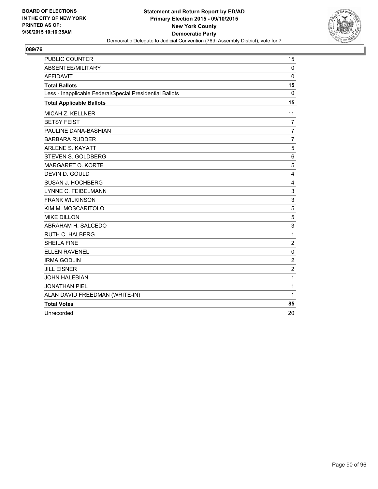

| <b>PUBLIC COUNTER</b>                                    | 15               |
|----------------------------------------------------------|------------------|
| ABSENTEE/MILITARY                                        | 0                |
| <b>AFFIDAVIT</b>                                         | $\mathbf{0}$     |
| <b>Total Ballots</b>                                     | 15               |
| Less - Inapplicable Federal/Special Presidential Ballots | $\Omega$         |
| <b>Total Applicable Ballots</b>                          | 15               |
| MICAH Z. KELLNER                                         | 11               |
| <b>BETSY FEIST</b>                                       | 7                |
| PAULINE DANA-BASHIAN                                     | $\overline{7}$   |
| <b>BARBARA RUDDER</b>                                    | $\overline{7}$   |
| <b>ARLENE S. KAYATT</b>                                  | 5                |
| STEVEN S. GOLDBERG                                       | 6                |
| MARGARET O. KORTE                                        | 5                |
| DEVIN D. GOULD                                           | 4                |
| <b>SUSAN J. HOCHBERG</b>                                 | 4                |
| LYNNE C. FEIBELMANN                                      | 3                |
| <b>FRANK WILKINSON</b>                                   | 3                |
| KIM M. MOSCARITOLO                                       | 5                |
| <b>MIKE DILLON</b>                                       | 5                |
| ABRAHAM H. SALCEDO                                       | 3                |
| <b>RUTH C. HALBERG</b>                                   | $\mathbf{1}$     |
| <b>SHEILA FINE</b>                                       | $\boldsymbol{2}$ |
| <b>ELLEN RAVENEL</b>                                     | $\mathbf 0$      |
| <b>IRMA GODLIN</b>                                       | $\overline{2}$   |
| <b>JILL EISNER</b>                                       | $\overline{2}$   |
| <b>JOHN HALEBIAN</b>                                     | 1                |
| <b>JONATHAN PIEL</b>                                     | 1                |
| ALAN DAVID FREEDMAN (WRITE-IN)                           | $\mathbf{1}$     |
| <b>Total Votes</b>                                       | 85               |
| Unrecorded                                               | 20               |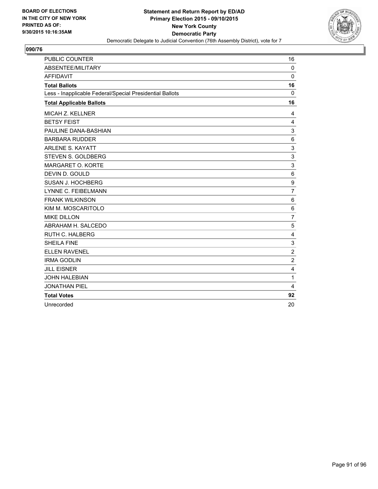

| <b>PUBLIC COUNTER</b>                                    | 16             |
|----------------------------------------------------------|----------------|
| <b>ABSENTEE/MILITARY</b>                                 | $\Omega$       |
| <b>AFFIDAVIT</b>                                         | 0              |
| <b>Total Ballots</b>                                     | 16             |
| Less - Inapplicable Federal/Special Presidential Ballots | 0              |
| <b>Total Applicable Ballots</b>                          | 16             |
| <b>MICAH Z. KELLNER</b>                                  | 4              |
| <b>BETSY FEIST</b>                                       | 4              |
| PAULINE DANA-BASHIAN                                     | 3              |
| <b>BARBARA RUDDER</b>                                    | 6              |
| <b>ARLENE S. KAYATT</b>                                  | 3              |
| STEVEN S. GOLDBERG                                       | 3              |
| MARGARET O. KORTE                                        | 3              |
| DEVIN D. GOULD                                           | 6              |
| SUSAN J. HOCHBERG                                        | 9              |
| <b>LYNNE C. FEIBELMANN</b>                               | $\overline{7}$ |
| <b>FRANK WILKINSON</b>                                   | 6              |
| KIM M. MOSCARITOLO                                       | 6              |
| <b>MIKE DILLON</b>                                       | $\overline{7}$ |
| ABRAHAM H. SALCEDO                                       | 5              |
| <b>RUTH C. HALBERG</b>                                   | 4              |
| <b>SHEILA FINE</b>                                       | 3              |
| <b>ELLEN RAVENEL</b>                                     | $\overline{c}$ |
| <b>IRMA GODLIN</b>                                       | $\overline{2}$ |
| <b>JILL EISNER</b>                                       | 4              |
| <b>JOHN HALEBIAN</b>                                     | 1              |
| <b>JONATHAN PIEL</b>                                     | 4              |
| <b>Total Votes</b>                                       | 92             |
| Unrecorded                                               | 20             |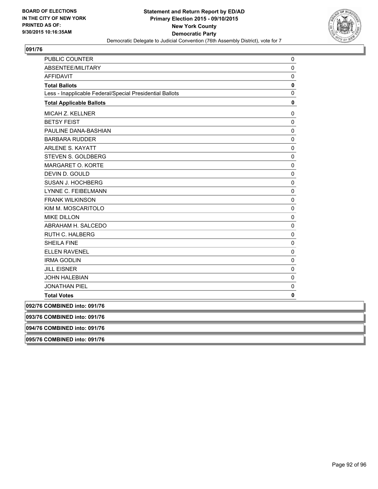

| PUBLIC COUNTER                                           | 0 |
|----------------------------------------------------------|---|
| ABSENTEE/MILITARY                                        | 0 |
| <b>AFFIDAVIT</b>                                         | 0 |
| <b>Total Ballots</b>                                     | 0 |
| Less - Inapplicable Federal/Special Presidential Ballots | 0 |
| <b>Total Applicable Ballots</b>                          | 0 |
| MICAH Z. KELLNER                                         | 0 |
| <b>BETSY FEIST</b>                                       | 0 |
| PAULINE DANA-BASHIAN                                     | 0 |
| <b>BARBARA RUDDER</b>                                    | 0 |
| <b>ARLENE S. KAYATT</b>                                  | 0 |
| <b>STEVEN S. GOLDBERG</b>                                | 0 |
| MARGARET O. KORTE                                        | 0 |
| DEVIN D. GOULD                                           | 0 |
| <b>SUSAN J. HOCHBERG</b>                                 | 0 |
| LYNNE C. FEIBELMANN                                      | 0 |
| <b>FRANK WILKINSON</b>                                   | 0 |
| KIM M. MOSCARITOLO                                       | 0 |
| <b>MIKE DILLON</b>                                       | 0 |
| ABRAHAM H. SALCEDO                                       | 0 |
| <b>RUTH C. HALBERG</b>                                   | 0 |
| <b>SHEILA FINE</b>                                       | 0 |
| <b>ELLEN RAVENEL</b>                                     | 0 |
| <b>IRMA GODLIN</b>                                       | 0 |
| <b>JILL EISNER</b>                                       | 0 |
| <b>JOHN HALEBIAN</b>                                     | 0 |
| <b>JONATHAN PIEL</b>                                     | 0 |
| <b>Total Votes</b>                                       | 0 |
| 092/76 COMBINED into: 091/76                             |   |
| 093/76 COMBINED into: 091/76                             |   |
| 094/76 COMBINED into: 091/76                             |   |
| 095/76 COMBINED into: 091/76                             |   |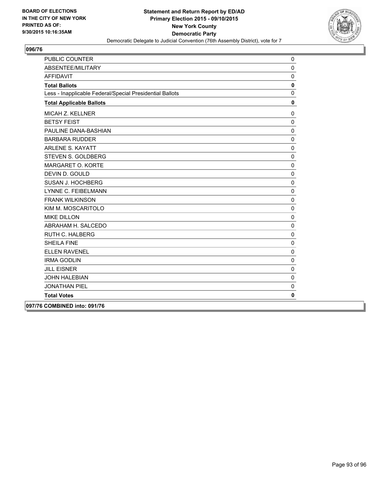

| PUBLIC COUNTER                                           | 0            |
|----------------------------------------------------------|--------------|
| ABSENTEE/MILITARY                                        | $\mathbf 0$  |
| <b>AFFIDAVIT</b>                                         | $\mathbf 0$  |
| <b>Total Ballots</b>                                     | 0            |
| Less - Inapplicable Federal/Special Presidential Ballots | $\mathbf 0$  |
| <b>Total Applicable Ballots</b>                          | $\mathbf{0}$ |
| MICAH Z. KELLNER                                         | $\mathbf 0$  |
| <b>BETSY FEIST</b>                                       | $\mathbf 0$  |
| PAULINE DANA-BASHIAN                                     | $\mathbf 0$  |
| <b>BARBARA RUDDER</b>                                    | $\mathbf 0$  |
| <b>ARLENE S. KAYATT</b>                                  | $\mathbf 0$  |
| STEVEN S. GOLDBERG                                       | $\mathbf 0$  |
| MARGARET O. KORTE                                        | $\mathbf 0$  |
| DEVIN D. GOULD                                           | $\mathbf 0$  |
| <b>SUSAN J. HOCHBERG</b>                                 | $\pmb{0}$    |
| LYNNE C. FEIBELMANN                                      | $\pmb{0}$    |
| <b>FRANK WILKINSON</b>                                   | $\mathbf 0$  |
| KIM M. MOSCARITOLO                                       | $\pmb{0}$    |
| <b>MIKE DILLON</b>                                       | $\mathbf{0}$ |
| ABRAHAM H. SALCEDO                                       | $\mathbf 0$  |
| <b>RUTH C. HALBERG</b>                                   | $\mathbf 0$  |
| <b>SHEILA FINE</b>                                       | $\mathbf 0$  |
| <b>ELLEN RAVENEL</b>                                     | $\mathbf 0$  |
| <b>IRMA GODLIN</b>                                       | $\pmb{0}$    |
| <b>JILL EISNER</b>                                       | $\mathbf 0$  |
| <b>JOHN HALEBIAN</b>                                     | $\mathbf 0$  |
| <b>JONATHAN PIEL</b>                                     | $\pmb{0}$    |
| <b>Total Votes</b>                                       | 0            |
| 097/76 COMBINED into: 091/76                             |              |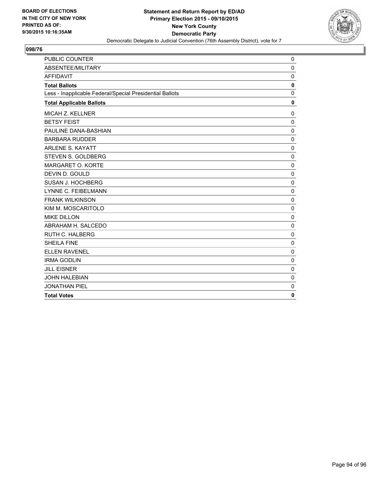

| PUBLIC COUNTER                                           | 0            |
|----------------------------------------------------------|--------------|
| ABSENTEE/MILITARY                                        | $\mathbf 0$  |
| <b>AFFIDAVIT</b>                                         | $\Omega$     |
| <b>Total Ballots</b>                                     | 0            |
| Less - Inapplicable Federal/Special Presidential Ballots | $\mathbf{0}$ |
| <b>Total Applicable Ballots</b>                          | 0            |
| MICAH Z. KELLNER                                         | $\Omega$     |
| <b>BETSY FEIST</b>                                       | $\Omega$     |
| PAULINE DANA-BASHIAN                                     | $\Omega$     |
| <b>BARBARA RUDDER</b>                                    | $\mathbf 0$  |
| <b>ARLENE S. KAYATT</b>                                  | $\mathbf 0$  |
| <b>STEVEN S. GOLDBERG</b>                                | $\mathbf 0$  |
| MARGARET O. KORTE                                        | 0            |
| DEVIN D. GOULD                                           | $\mathbf 0$  |
| SUSAN J. HOCHBERG                                        | $\mathbf 0$  |
| LYNNE C. FEIBELMANN                                      | $\mathbf{0}$ |
| <b>FRANK WILKINSON</b>                                   | $\Omega$     |
| KIM M. MOSCARITOLO                                       | $\mathbf 0$  |
| <b>MIKE DILLON</b>                                       | 0            |
| ABRAHAM H. SALCEDO                                       | $\mathbf 0$  |
| <b>RUTH C. HALBERG</b>                                   | $\mathbf 0$  |
| <b>SHEILA FINE</b>                                       | $\mathbf 0$  |
| <b>ELLEN RAVENEL</b>                                     | $\mathbf 0$  |
| <b>IRMA GODLIN</b>                                       | $\Omega$     |
| <b>JILL EISNER</b>                                       | $\Omega$     |
| <b>JOHN HALEBIAN</b>                                     | $\mathbf 0$  |
| <b>JONATHAN PIEL</b>                                     | $\mathbf 0$  |
| <b>Total Votes</b>                                       | 0            |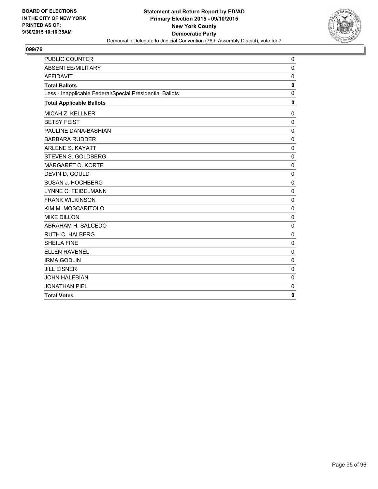

| <b>PUBLIC COUNTER</b>                                    | 0            |
|----------------------------------------------------------|--------------|
| ABSENTEE/MILITARY                                        | $\mathbf 0$  |
| <b>AFFIDAVIT</b>                                         | $\mathbf 0$  |
| <b>Total Ballots</b>                                     | $\mathbf{0}$ |
| Less - Inapplicable Federal/Special Presidential Ballots | $\mathbf 0$  |
| <b>Total Applicable Ballots</b>                          | 0            |
| MICAH Z. KELLNER                                         | 0            |
| <b>BETSY FEIST</b>                                       | $\Omega$     |
| PAULINE DANA-BASHIAN                                     | 0            |
| <b>BARBARA RUDDER</b>                                    | $\mathbf 0$  |
| <b>ARLENE S. KAYATT</b>                                  | $\mathbf 0$  |
| STEVEN S. GOLDBERG                                       | $\mathbf 0$  |
| MARGARET O. KORTE                                        | $\Omega$     |
| DEVIN D. GOULD                                           | $\Omega$     |
| SUSAN J. HOCHBERG                                        | 0            |
| LYNNE C. FEIBELMANN                                      | $\mathbf 0$  |
| <b>FRANK WILKINSON</b>                                   | $\mathbf 0$  |
| KIM M. MOSCARITOLO                                       | $\mathbf 0$  |
| <b>MIKE DILLON</b>                                       | $\Omega$     |
| ABRAHAM H. SALCEDO                                       | $\mathbf 0$  |
| <b>RUTH C. HALBERG</b>                                   | 0            |
| <b>SHEILA FINE</b>                                       | $\mathbf 0$  |
| <b>ELLEN RAVENEL</b>                                     | $\mathbf 0$  |
| <b>IRMA GODLIN</b>                                       | $\mathbf 0$  |
| <b>JILL EISNER</b>                                       | $\Omega$     |
| <b>JOHN HALEBIAN</b>                                     | 0            |
| <b>JONATHAN PIEL</b>                                     | 0            |
| <b>Total Votes</b>                                       | 0            |